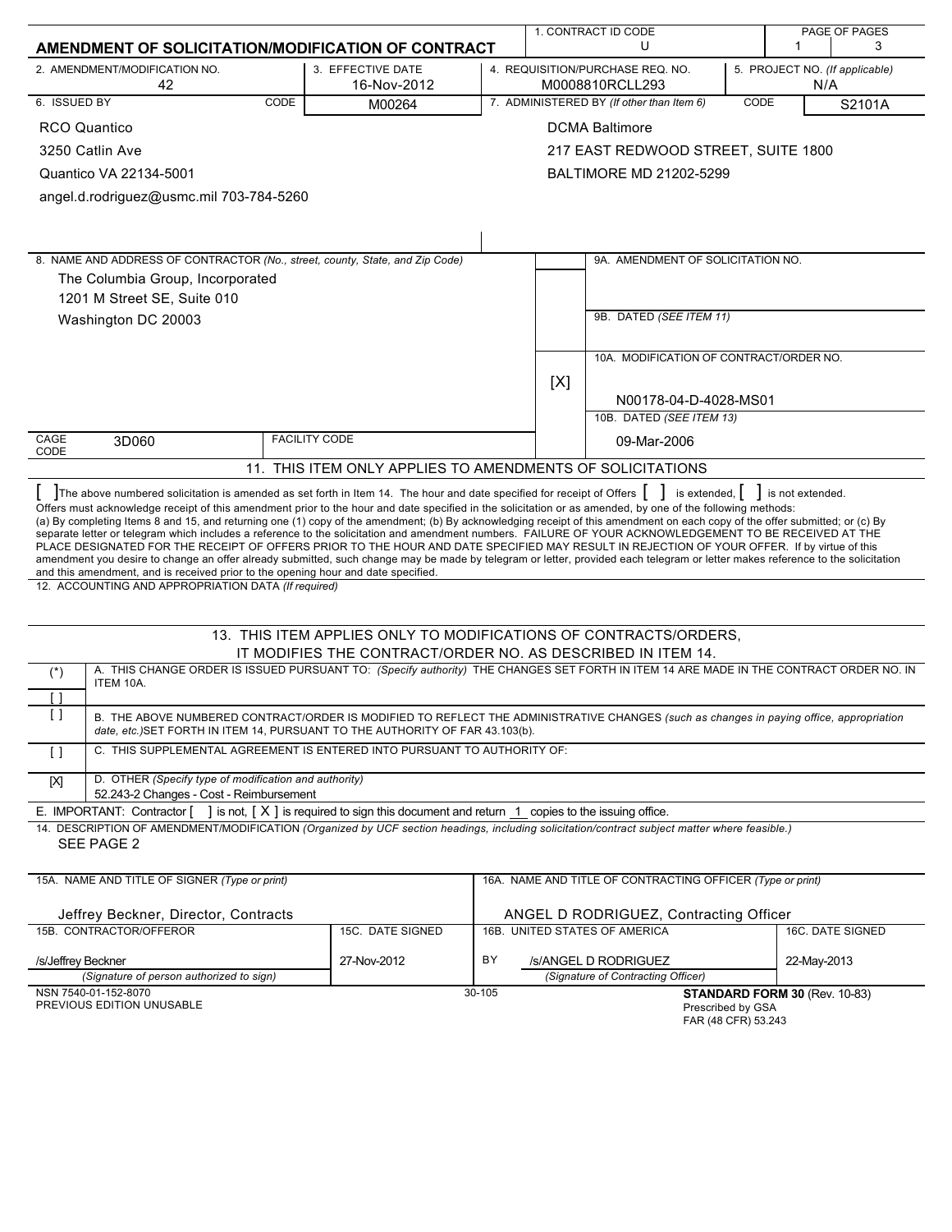|                                                                                                                                                                                                                                                                                                                                                                                                                                                                                                                                                                                                                                                                                                                                                                                                                      |                                                                                                                                 |                                        |                       | 1. CONTRACT ID CODE                                        |                   |                                       | PAGE OF PAGES    |  |  |  |
|----------------------------------------------------------------------------------------------------------------------------------------------------------------------------------------------------------------------------------------------------------------------------------------------------------------------------------------------------------------------------------------------------------------------------------------------------------------------------------------------------------------------------------------------------------------------------------------------------------------------------------------------------------------------------------------------------------------------------------------------------------------------------------------------------------------------|---------------------------------------------------------------------------------------------------------------------------------|----------------------------------------|-----------------------|------------------------------------------------------------|-------------------|---------------------------------------|------------------|--|--|--|
| AMENDMENT OF SOLICITATION/MODIFICATION OF CONTRACT                                                                                                                                                                                                                                                                                                                                                                                                                                                                                                                                                                                                                                                                                                                                                                   |                                                                                                                                 |                                        | U                     |                                                            |                   | 1                                     | 3                |  |  |  |
| 2. AMENDMENT/MODIFICATION NO.<br>42                                                                                                                                                                                                                                                                                                                                                                                                                                                                                                                                                                                                                                                                                                                                                                                  | 3. EFFECTIVE DATE<br>16-Nov-2012                                                                                                |                                        |                       | 4. REQUISITION/PURCHASE REQ. NO.<br>M0008810RCLL293        |                   | 5. PROJECT NO. (If applicable)<br>N/A |                  |  |  |  |
| 6. ISSUED BY<br>CODE                                                                                                                                                                                                                                                                                                                                                                                                                                                                                                                                                                                                                                                                                                                                                                                                 | M00264                                                                                                                          |                                        |                       | 7. ADMINISTERED BY (If other than Item 6)                  | CODE              |                                       | S2101A           |  |  |  |
| <b>RCO Quantico</b>                                                                                                                                                                                                                                                                                                                                                                                                                                                                                                                                                                                                                                                                                                                                                                                                  |                                                                                                                                 |                                        | <b>DCMA Baltimore</b> |                                                            |                   |                                       |                  |  |  |  |
| 3250 Catlin Ave                                                                                                                                                                                                                                                                                                                                                                                                                                                                                                                                                                                                                                                                                                                                                                                                      |                                                                                                                                 |                                        |                       | 217 EAST REDWOOD STREET, SUITE 1800                        |                   |                                       |                  |  |  |  |
| Quantico VA 22134-5001                                                                                                                                                                                                                                                                                                                                                                                                                                                                                                                                                                                                                                                                                                                                                                                               |                                                                                                                                 |                                        |                       | BALTIMORE MD 21202-5299                                    |                   |                                       |                  |  |  |  |
| angel.d.rodriguez@usmc.mil 703-784-5260                                                                                                                                                                                                                                                                                                                                                                                                                                                                                                                                                                                                                                                                                                                                                                              |                                                                                                                                 |                                        |                       |                                                            |                   |                                       |                  |  |  |  |
|                                                                                                                                                                                                                                                                                                                                                                                                                                                                                                                                                                                                                                                                                                                                                                                                                      |                                                                                                                                 |                                        |                       |                                                            |                   |                                       |                  |  |  |  |
|                                                                                                                                                                                                                                                                                                                                                                                                                                                                                                                                                                                                                                                                                                                                                                                                                      |                                                                                                                                 |                                        |                       |                                                            |                   |                                       |                  |  |  |  |
| 8. NAME AND ADDRESS OF CONTRACTOR (No., street, county, State, and Zip Code)                                                                                                                                                                                                                                                                                                                                                                                                                                                                                                                                                                                                                                                                                                                                         |                                                                                                                                 |                                        |                       | 9A. AMENDMENT OF SOLICITATION NO.                          |                   |                                       |                  |  |  |  |
| The Columbia Group, Incorporated                                                                                                                                                                                                                                                                                                                                                                                                                                                                                                                                                                                                                                                                                                                                                                                     |                                                                                                                                 |                                        |                       |                                                            |                   |                                       |                  |  |  |  |
| 1201 M Street SE, Suite 010                                                                                                                                                                                                                                                                                                                                                                                                                                                                                                                                                                                                                                                                                                                                                                                          |                                                                                                                                 |                                        |                       |                                                            |                   |                                       |                  |  |  |  |
| Washington DC 20003                                                                                                                                                                                                                                                                                                                                                                                                                                                                                                                                                                                                                                                                                                                                                                                                  |                                                                                                                                 |                                        |                       | 9B. DATED (SEE ITEM 11)                                    |                   |                                       |                  |  |  |  |
|                                                                                                                                                                                                                                                                                                                                                                                                                                                                                                                                                                                                                                                                                                                                                                                                                      |                                                                                                                                 |                                        |                       |                                                            |                   |                                       |                  |  |  |  |
|                                                                                                                                                                                                                                                                                                                                                                                                                                                                                                                                                                                                                                                                                                                                                                                                                      |                                                                                                                                 |                                        |                       | 10A. MODIFICATION OF CONTRACT/ORDER NO.                    |                   |                                       |                  |  |  |  |
|                                                                                                                                                                                                                                                                                                                                                                                                                                                                                                                                                                                                                                                                                                                                                                                                                      |                                                                                                                                 |                                        | [X]                   |                                                            |                   |                                       |                  |  |  |  |
|                                                                                                                                                                                                                                                                                                                                                                                                                                                                                                                                                                                                                                                                                                                                                                                                                      |                                                                                                                                 |                                        |                       | N00178-04-D-4028-MS01<br>10B. DATED (SEE ITEM 13)          |                   |                                       |                  |  |  |  |
| CAGE                                                                                                                                                                                                                                                                                                                                                                                                                                                                                                                                                                                                                                                                                                                                                                                                                 |                                                                                                                                 |                                        |                       |                                                            |                   |                                       |                  |  |  |  |
| <b>FACILITY CODE</b><br>3D060<br>09-Mar-2006<br>CODE                                                                                                                                                                                                                                                                                                                                                                                                                                                                                                                                                                                                                                                                                                                                                                 |                                                                                                                                 |                                        |                       |                                                            |                   |                                       |                  |  |  |  |
| 11. THIS ITEM ONLY APPLIES TO AMENDMENTS OF SOLICITATIONS                                                                                                                                                                                                                                                                                                                                                                                                                                                                                                                                                                                                                                                                                                                                                            |                                                                                                                                 |                                        |                       |                                                            |                   |                                       |                  |  |  |  |
| (a) By completing Items 8 and 15, and returning one (1) copy of the amendment; (b) By acknowledging receipt of this amendment on each copy of the offer submitted; or (c) By<br>separate letter or telegram which includes a reference to the solicitation and amendment numbers. FAILURE OF YOUR ACKNOWLEDGEMENT TO BE RECEIVED AT THE<br>PLACE DESIGNATED FOR THE RECEIPT OF OFFERS PRIOR TO THE HOUR AND DATE SPECIFIED MAY RESULT IN REJECTION OF YOUR OFFER. If by virtue of this<br>amendment you desire to change an offer already submitted, such change may be made by telegram or letter, provided each telegram or letter makes reference to the solicitation<br>and this amendment, and is received prior to the opening hour and date specified.<br>12. ACCOUNTING AND APPROPRIATION DATA (If required) |                                                                                                                                 |                                        |                       |                                                            |                   |                                       |                  |  |  |  |
|                                                                                                                                                                                                                                                                                                                                                                                                                                                                                                                                                                                                                                                                                                                                                                                                                      |                                                                                                                                 |                                        |                       |                                                            |                   |                                       |                  |  |  |  |
|                                                                                                                                                                                                                                                                                                                                                                                                                                                                                                                                                                                                                                                                                                                                                                                                                      | 13. THIS ITEM APPLIES ONLY TO MODIFICATIONS OF CONTRACTS/ORDERS,<br>IT MODIFIES THE CONTRACT/ORDER NO. AS DESCRIBED IN ITEM 14. |                                        |                       |                                                            |                   |                                       |                  |  |  |  |
| A. THIS CHANGE ORDER IS ISSUED PURSUANT TO: (Specify authority) THE CHANGES SET FORTH IN ITEM 14 ARE MADE IN THE CONTRACT ORDER NO. IN<br>$(\dot{z})$                                                                                                                                                                                                                                                                                                                                                                                                                                                                                                                                                                                                                                                                |                                                                                                                                 |                                        |                       |                                                            |                   |                                       |                  |  |  |  |
| ITEM 10A.                                                                                                                                                                                                                                                                                                                                                                                                                                                                                                                                                                                                                                                                                                                                                                                                            |                                                                                                                                 |                                        |                       |                                                            |                   |                                       |                  |  |  |  |
| $\Box$<br>$\left[ \begin{array}{c} 1 \end{array} \right]$<br>B. THE ABOVE NUMBERED CONTRACT/ORDER IS MODIFIED TO REFLECT THE ADMINISTRATIVE CHANGES (such as changes in paying office, appropriation<br>date, etc.) SET FORTH IN ITEM 14, PURSUANT TO THE AUTHORITY OF FAR 43.103(b).                                                                                                                                                                                                                                                                                                                                                                                                                                                                                                                                |                                                                                                                                 |                                        |                       |                                                            |                   |                                       |                  |  |  |  |
| C. THIS SUPPLEMENTAL AGREEMENT IS ENTERED INTO PURSUANT TO AUTHORITY OF:<br>$\Box$                                                                                                                                                                                                                                                                                                                                                                                                                                                                                                                                                                                                                                                                                                                                   |                                                                                                                                 |                                        |                       |                                                            |                   |                                       |                  |  |  |  |
| D. OTHER (Specify type of modification and authority)<br>$[{\sf X}]$                                                                                                                                                                                                                                                                                                                                                                                                                                                                                                                                                                                                                                                                                                                                                 |                                                                                                                                 |                                        |                       |                                                            |                   |                                       |                  |  |  |  |
| 52.243-2 Changes - Cost - Reimbursement<br>E. IMPORTANT: Contractor $\begin{bmatrix} \\ \end{bmatrix}$ is not, $\begin{bmatrix} X \\ \end{bmatrix}$ is required to sign this document and return $\begin{bmatrix} 1 \\ \end{bmatrix}$ copies to the issuing office.                                                                                                                                                                                                                                                                                                                                                                                                                                                                                                                                                  |                                                                                                                                 |                                        |                       |                                                            |                   |                                       |                  |  |  |  |
| 14. DESCRIPTION OF AMENDMENT/MODIFICATION (Organized by UCF section headings, including solicitation/contract subject matter where feasible.)<br>SEE PAGE 2                                                                                                                                                                                                                                                                                                                                                                                                                                                                                                                                                                                                                                                          |                                                                                                                                 |                                        |                       |                                                            |                   |                                       |                  |  |  |  |
| 15A. NAME AND TITLE OF SIGNER (Type or print)                                                                                                                                                                                                                                                                                                                                                                                                                                                                                                                                                                                                                                                                                                                                                                        |                                                                                                                                 |                                        |                       | 16A. NAME AND TITLE OF CONTRACTING OFFICER (Type or print) |                   |                                       |                  |  |  |  |
| Jeffrey Beckner, Director, Contracts                                                                                                                                                                                                                                                                                                                                                                                                                                                                                                                                                                                                                                                                                                                                                                                 |                                                                                                                                 | ANGEL D RODRIGUEZ, Contracting Officer |                       |                                                            |                   |                                       |                  |  |  |  |
| 15B. CONTRACTOR/OFFEROR                                                                                                                                                                                                                                                                                                                                                                                                                                                                                                                                                                                                                                                                                                                                                                                              | 15C. DATE SIGNED                                                                                                                |                                        |                       | 16B. UNITED STATES OF AMERICA                              |                   |                                       | 16C. DATE SIGNED |  |  |  |
| /s/Jeffrey Beckner                                                                                                                                                                                                                                                                                                                                                                                                                                                                                                                                                                                                                                                                                                                                                                                                   | ΒY                                                                                                                              |                                        | /s/ANGEL D RODRIGUEZ  |                                                            | 22-May-2013       |                                       |                  |  |  |  |
| (Signature of person authorized to sign)                                                                                                                                                                                                                                                                                                                                                                                                                                                                                                                                                                                                                                                                                                                                                                             |                                                                                                                                 |                                        |                       | (Signature of Contracting Officer)                         |                   |                                       |                  |  |  |  |
| NSN 7540-01-152-8070<br>PREVIOUS EDITION UNUSABLE                                                                                                                                                                                                                                                                                                                                                                                                                                                                                                                                                                                                                                                                                                                                                                    |                                                                                                                                 | 30-105                                 |                       |                                                            | Prescribed by GSA | STANDARD FORM 30 (Rev. 10-83)         |                  |  |  |  |

Prescribed by GSA FAR (48 CFR) 53.243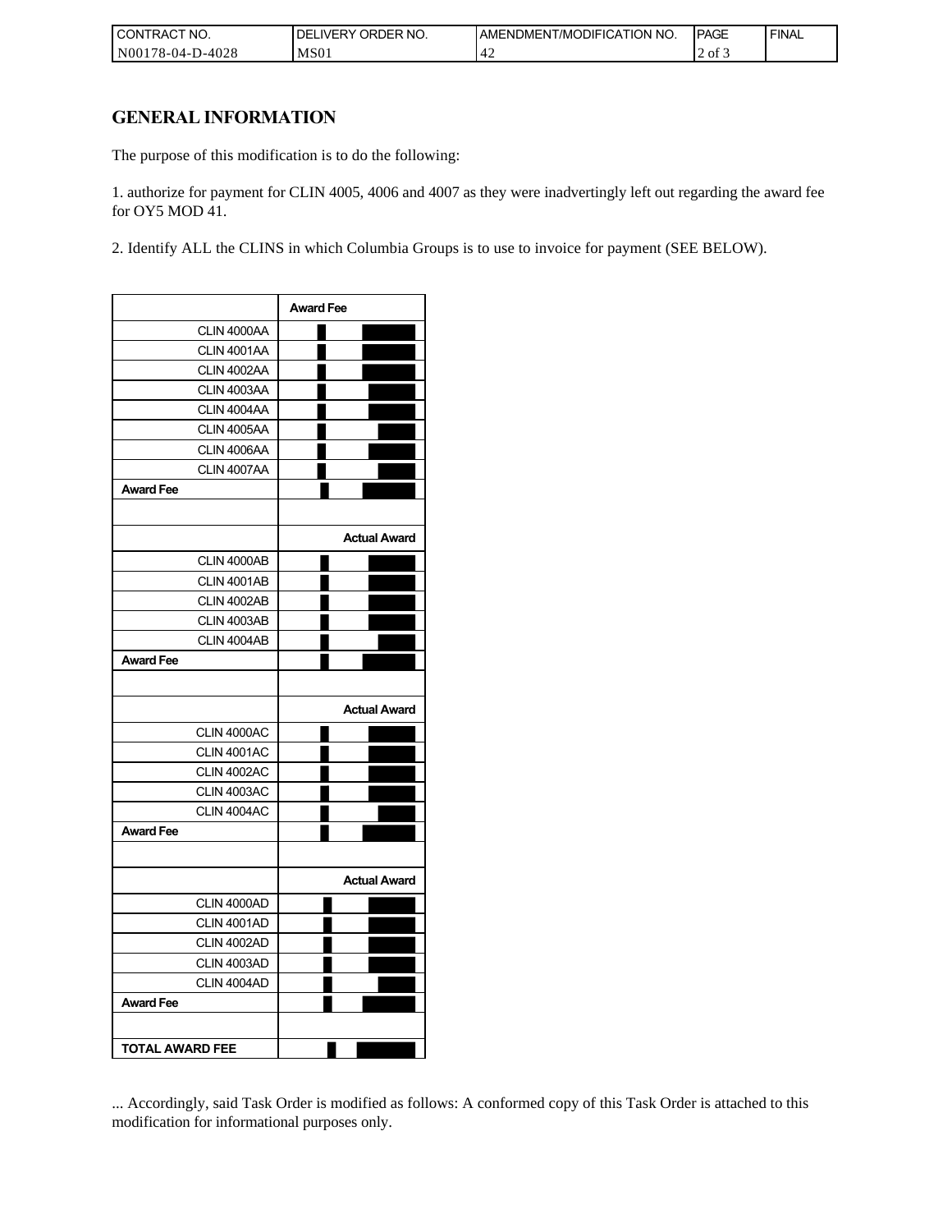| I CONTRACT NO.   | ORDER NO.<br><b>DELIVERY</b> | AMENDMENT/MODIFICATION NO. | <b>IPAGE</b> | <b>FINAL</b> |
|------------------|------------------------------|----------------------------|--------------|--------------|
| N00178-04-D-4028 | MS <sub>01</sub>             | г.                         | of 3         |              |

## **GENERAL INFORMATION**

The purpose of this modification is to do the following:

1. authorize for payment for CLIN 4005, 4006 and 4007 as they were inadvertingly left out regarding the award fee for OY5 MOD 41.

2. Identify ALL the CLINS in which Columbia Groups is to use to invoice for payment (SEE BELOW).

|                        | <b>Award Fee</b>    |
|------------------------|---------------------|
| CLIN 4000AA            |                     |
| CLIN 4001AA            |                     |
| CLIN 4002AA            |                     |
| CLIN 4003AA            |                     |
| CLIN 4004AA            |                     |
| CLIN 4005AA            |                     |
| CLIN 4006AA            |                     |
| CLIN 4007AA            |                     |
| <b>Award Fee</b>       |                     |
|                        |                     |
|                        | <b>Actual Award</b> |
| CLIN 4000AB            |                     |
| CLIN 4001AB            |                     |
| CLIN 4002AB            |                     |
| CLIN 4003AB            |                     |
| CLIN 4004AB            |                     |
| <b>Award Fee</b>       |                     |
|                        |                     |
|                        | <b>Actual Award</b> |
| CLIN 4000AC            |                     |
| CLIN 4001AC            |                     |
| CLIN 4002AC            |                     |
| CLIN 4003AC            |                     |
| CLIN 4004AC            |                     |
| <b>Award Fee</b>       |                     |
|                        |                     |
|                        | <b>Actual Award</b> |
| CLIN 4000AD            |                     |
| CLIN 4001AD            |                     |
| CLIN 4002AD            |                     |
| CLIN 4003AD            |                     |
| CLIN 4004AD            |                     |
| <b>Award Fee</b>       |                     |
|                        |                     |
| <b>TOTAL AWARD FEE</b> |                     |

... Accordingly, said Task Order is modified as follows: A conformed copy of this Task Order is attached to this modification for informational purposes only.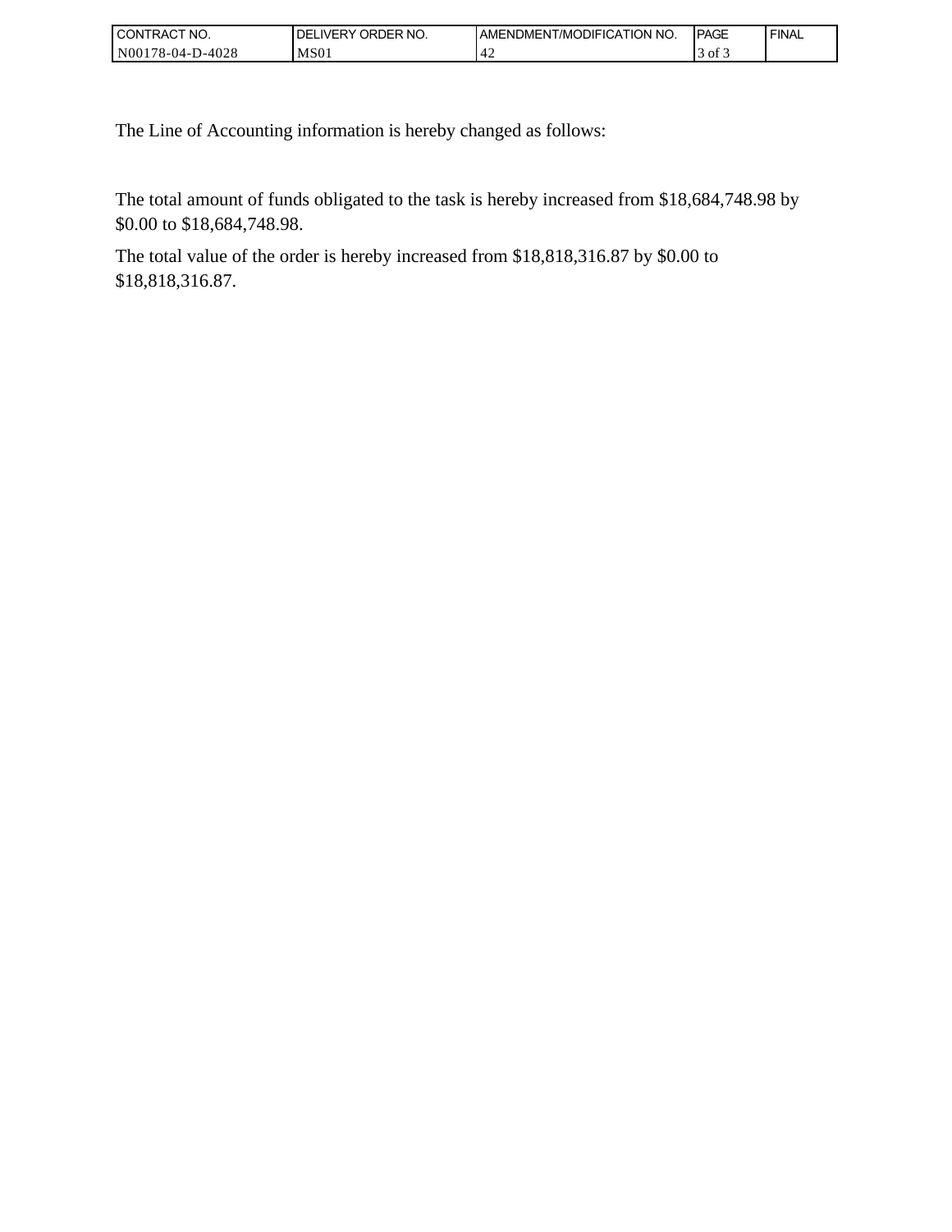| $\sim$<br>'NO.<br><b>CONTRACT</b>            | ORDER NO.<br>DE<br><b>IVERY</b> | \TION NO.<br><b>MODIFICA</b><br>I AMENDMENT | <b>IPAGE</b>          | <b>FINAL</b> |
|----------------------------------------------|---------------------------------|---------------------------------------------|-----------------------|--------------|
| 0-4028<br>N <sub>00</sub> 178<br>'8-04-<br>◡ | MS <sub>01</sub>                | −                                           | $\sim$<br>ot 3<br>. . |              |

The Line of Accounting information is hereby changed as follows:

The total amount of funds obligated to the task is hereby increased from \$18,684,748.98 by \$0.00 to \$18,684,748.98.

The total value of the order is hereby increased from \$18,818,316.87 by \$0.00 to \$18,818,316.87.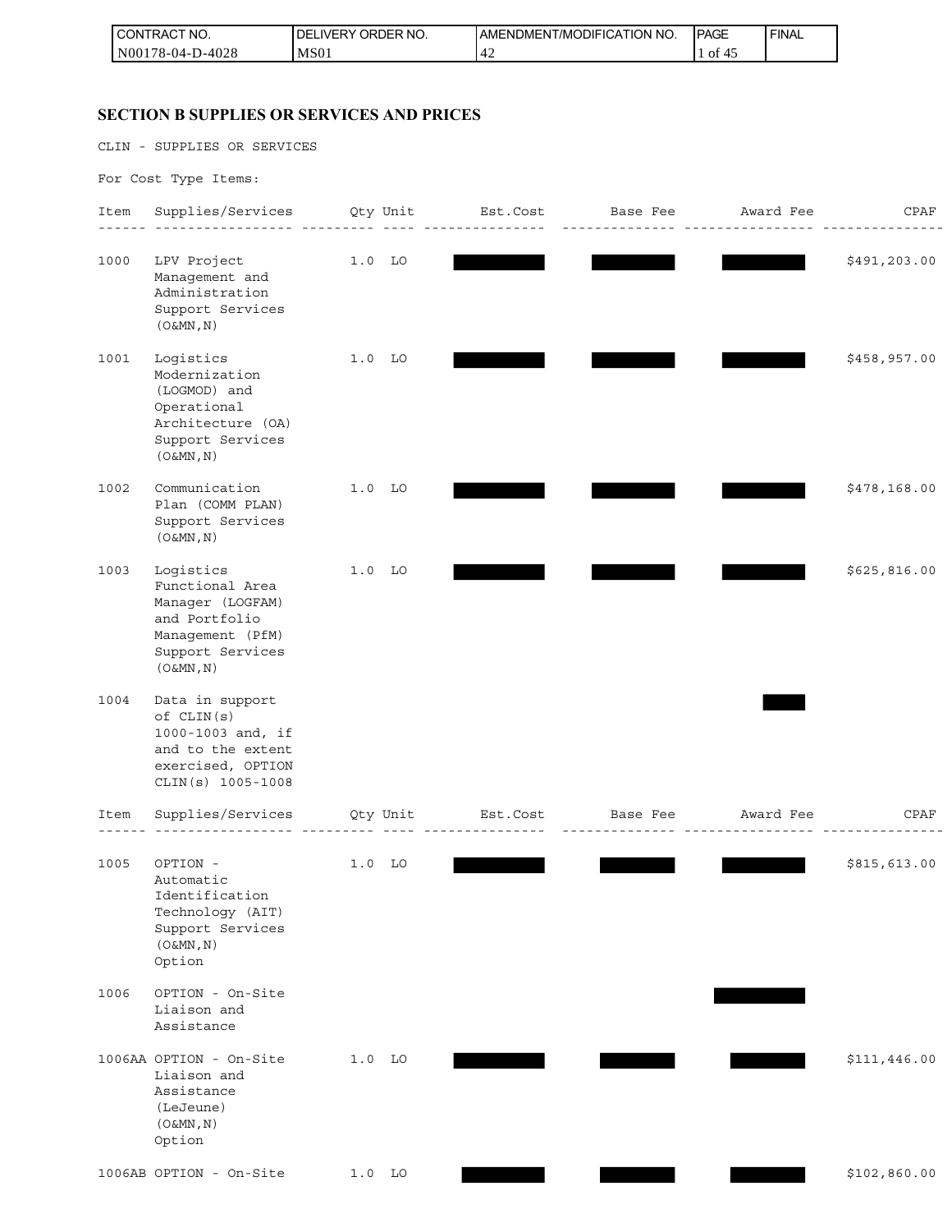| I CON'<br>ITRACT NO. | ' ORDER NO.<br><b>LIVERY</b><br>DEL | <b>IAMENDMENT/MODIFICATION NO.</b> | <b>IPAGE</b>        | <b>FINAL</b> |
|----------------------|-------------------------------------|------------------------------------|---------------------|--------------|
| N00178-04-D-4028     | MS <sub>01</sub>                    | - T 4                              | $\sim$ $\sim$<br>ΟĪ |              |

# **SECTION B SUPPLIES OR SERVICES AND PRICES**

CLIN - SUPPLIES OR SERVICES

For Cost Type Items:

| Item | Supplies/Services Qty Unit Est.Cost Base Fee Award Fee<br><u>____________</u>                                            |          |          |                                                                                      | __________ | CPAF         |
|------|--------------------------------------------------------------------------------------------------------------------------|----------|----------|--------------------------------------------------------------------------------------|------------|--------------|
| 1000 | LPV Project<br>Management and<br>Administration<br>Support Services<br>$(0 \& MN, N)$                                    | $1.0$ LO |          |                                                                                      |            | \$491,203.00 |
| 1001 | Logistics<br>Modernization<br>(LOGMOD) and<br>Operational<br>Architecture (OA)<br>Support Services<br>$(0\&MN, N)$       | $1.0$ LO |          |                                                                                      |            | \$458,957.00 |
| 1002 | Communication<br>Plan (COMM PLAN)<br>Support Services<br>$(0\&MN, N)$                                                    | $1.0$ LO |          |                                                                                      |            | \$478,168.00 |
| 1003 | Logistics<br>Functional Area<br>Manager (LOGFAM)<br>and Portfolio<br>Management (PfM)<br>Support Services<br>$(0\&MN,N)$ | $1.0$ LO |          |                                                                                      |            | \$625,816.00 |
| 1004 | Data in support<br>of CLIN(s)<br>1000-1003 and, if<br>and to the extent<br>exercised, OPTION<br>CLIN(s) 1005-1008        |          |          |                                                                                      |            |              |
| Item | Supplies/Services<br>------------------ ----------                                                                       |          |          | Qty Unit          Est.Cost           Base Fee          Award Fee<br>________________ |            | CPAF         |
| 1005 | OPTION -<br>Automatic<br>Identification<br>Technology (AIT)<br>Support Services<br>$(0\&MN, N)$<br>Option                | $1.0$ LO |          |                                                                                      |            | \$815,613.00 |
| 1006 | OPTION - On-Site<br>Liaison and<br>Assistance                                                                            |          |          |                                                                                      |            |              |
|      | 1006AA OPTION - On-Site<br>Liaison and<br>Assistance<br>(LeJeune)<br>$(0\&MN, N)$<br>Option                              | $1.0$ LO |          |                                                                                      |            | \$111,446.00 |
|      | 1006AB OPTION - On-Site                                                                                                  |          | $1.0$ LO |                                                                                      |            | \$102,860.00 |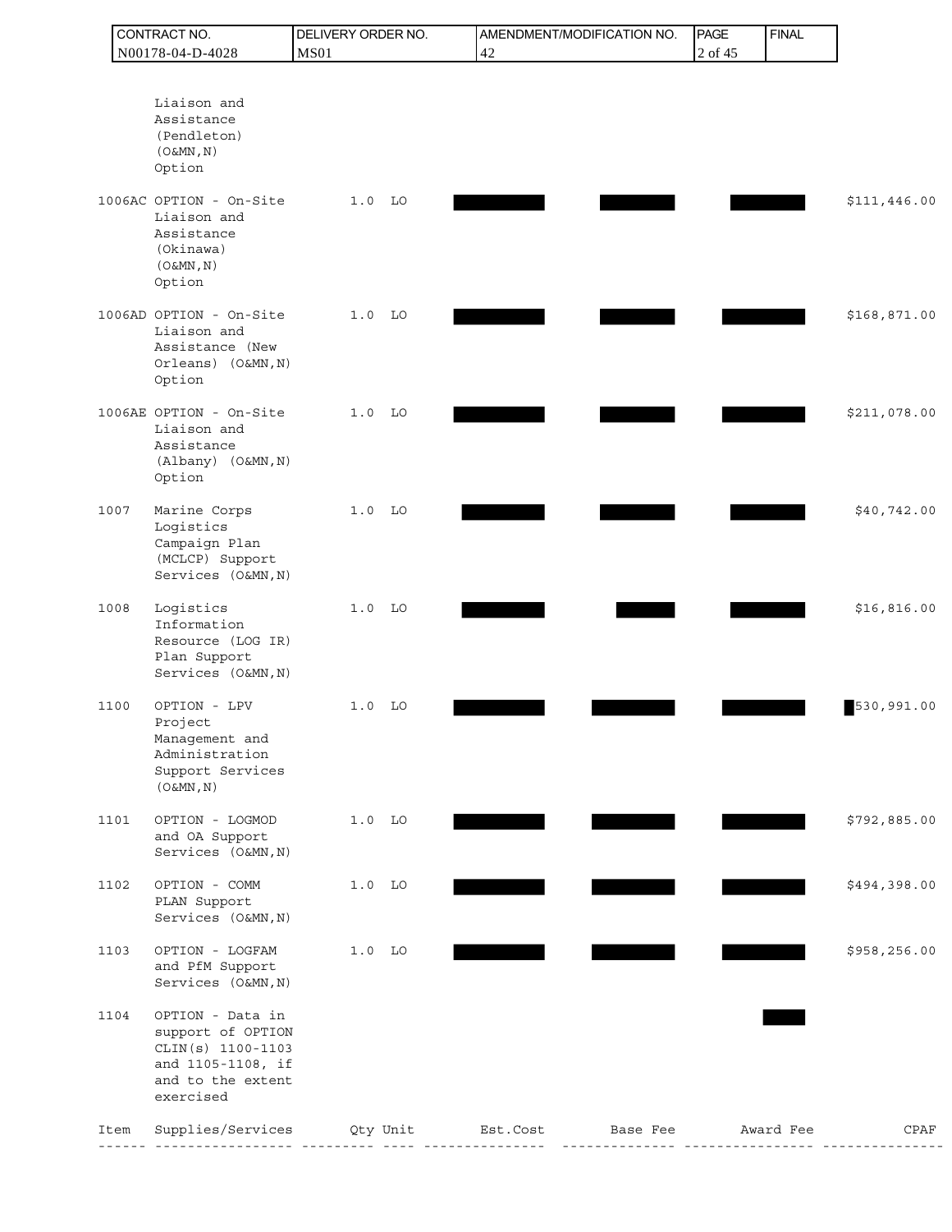|      | CONTRACT NO.                                                                                                      | DELIVERY ORDER NO. |           |    |          | AMENDMENT/MODIFICATION NO. | <b>PAGE</b> | <b>FINAL</b> |              |
|------|-------------------------------------------------------------------------------------------------------------------|--------------------|-----------|----|----------|----------------------------|-------------|--------------|--------------|
|      | N00178-04-D-4028                                                                                                  | <b>MS01</b>        |           | 42 |          |                            | 2 of 45     |              |              |
|      | Liaison and<br>Assistance<br>(Pendleton)<br>$(0\&MN, N)$<br>Option                                                |                    |           |    |          |                            |             |              |              |
|      | 1006AC OPTION - On-Site<br>Liaison and<br>Assistance<br>(Okinawa)<br>$(0\&MN, N)$<br>Option                       |                    | $1.0$ LO  |    |          |                            |             |              | \$111,446.00 |
|      | 1006AD OPTION - On-Site<br>Liaison and<br>Assistance (New<br>Orleans) (O&MN, N)<br>Option                         | 1.0                | <b>LO</b> |    |          |                            |             |              | \$168,871.00 |
|      | 1006AE OPTION - On-Site<br>Liaison and<br>Assistance<br>(Albany) (O&MN, N)<br>Option                              | 1.0                | <b>LO</b> |    |          |                            |             |              | \$211,078.00 |
| 1007 | Marine Corps<br>Logistics<br>Campaign Plan<br>(MCLCP) Support<br>Services (O&MN, N)                               | 1.0                | LO        |    |          |                            |             |              | \$40,742.00  |
| 1008 | Logistics<br>Information<br>Resource (LOG IR)<br>Plan Support<br>Services (O&MN, N)                               | 1.0                | <b>LO</b> |    |          |                            |             |              | \$16,816.00  |
| 1100 | OPTION - LPV<br>Project<br>Management and<br>Administration<br>Support Services<br>$(0 \& MN, N)$                 | 1.0                | LO        |    |          |                            |             |              | 530,991.00   |
| 1101 | OPTION - LOGMOD<br>and OA Support<br>Services (O&MN, N)                                                           |                    | $1.0$ LO  |    |          |                            |             |              | \$792,885.00 |
| 1102 | OPTION - COMM<br>PLAN Support<br>Services (O&MN, N)                                                               |                    | $1.0$ LO  |    |          |                            |             |              | \$494,398.00 |
| 1103 | OPTION - LOGFAM<br>and PfM Support<br>Services (O&MN, N)                                                          | 1.0                | <b>LO</b> |    |          |                            |             |              | \$958,256.00 |
| 1104 | OPTION - Data in<br>support of OPTION<br>CLIN(s) 1100-1103<br>and 1105-1108, if<br>and to the extent<br>exercised |                    |           |    |          |                            |             |              |              |
| Item | Supplies/Services                                                                                                 |                    | Qty Unit  |    | Est.Cost | Base Fee                   |             | Award Fee    | CPAF         |
|      |                                                                                                                   |                    |           |    |          |                            |             |              |              |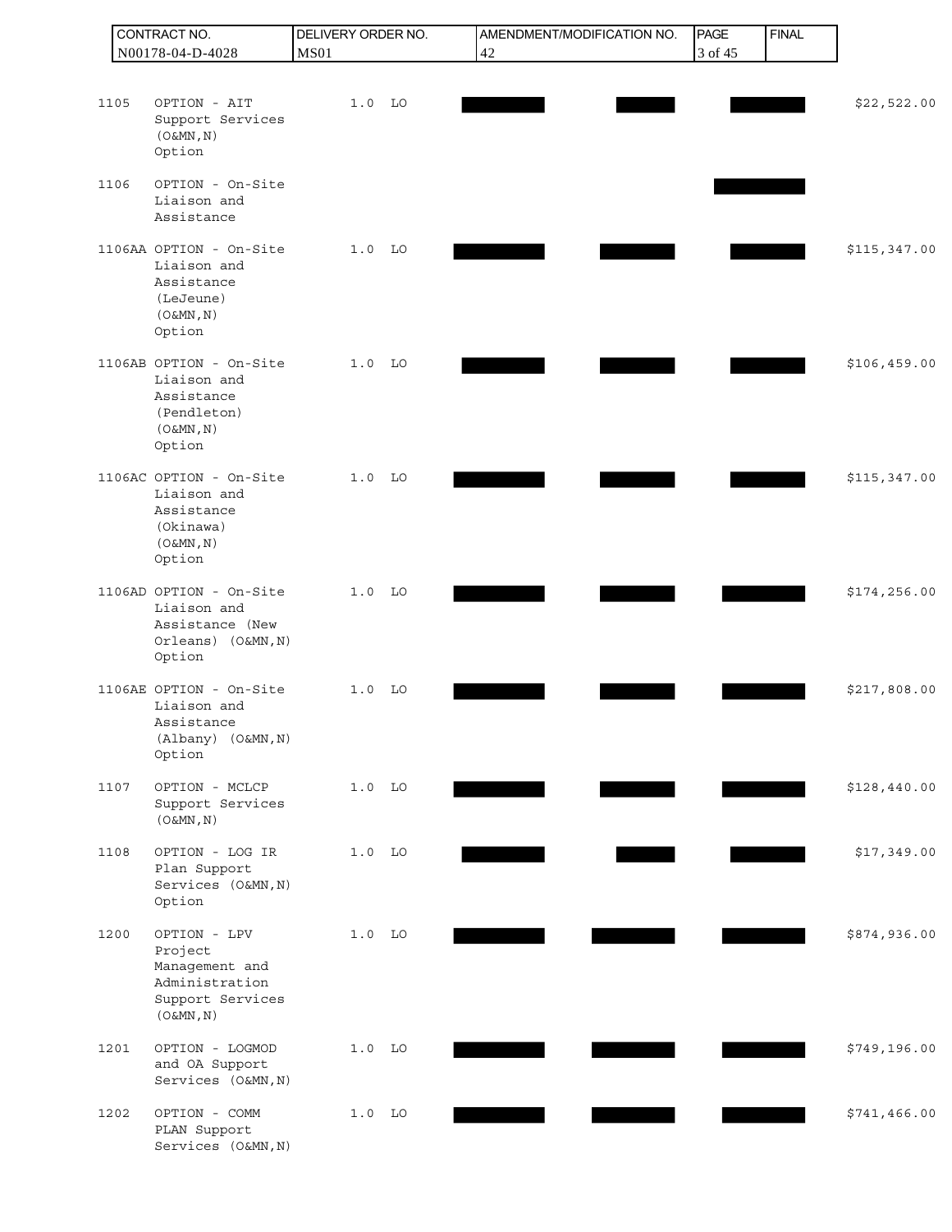|      | CONTRACT NO.                                                                                  | DELIVERY ORDER NO. | AMENDMENT/MODIFICATION NO. | PAGE    | <b>FINAL</b> |              |
|------|-----------------------------------------------------------------------------------------------|--------------------|----------------------------|---------|--------------|--------------|
|      | N00178-04-D-4028                                                                              | <b>MS01</b>        | 42                         | 3 of 45 |              |              |
| 1105 | OPTION - AIT                                                                                  | $1.0$ LO           |                            |         |              | \$22,522.00  |
|      | Support Services<br>$(0\&MN, N)$<br>Option                                                    |                    |                            |         |              |              |
| 1106 | OPTION - On-Site<br>Liaison and<br>Assistance                                                 |                    |                            |         |              |              |
|      | 1106AA OPTION - On-Site<br>Liaison and<br>Assistance<br>(LeJeune)<br>$(0 \& MN, N)$<br>Option | $1.0$ LO           |                            |         |              | \$115,347.00 |
|      | 1106AB OPTION - On-Site<br>Liaison and<br>Assistance<br>(Pendleton)<br>(O&MN, N)<br>Option    | $1.0$ LO           |                            |         |              | \$106,459.00 |
|      | 1106AC OPTION - On-Site<br>Liaison and<br>Assistance<br>(Okinawa)<br>(O&MN, N)<br>Option      | $1.0$ LO           |                            |         |              | \$115,347.00 |
|      | 1106AD OPTION - On-Site<br>Liaison and<br>Assistance (New<br>Orleans) (O&MN, N)<br>Option     | $1.0$ LO           |                            |         |              | \$174,256.00 |
|      | 1106AE OPTION - On-Site<br>Liaison and<br>Assistance<br>(Albany) (O&MN, N)<br>Option          | $1.0$ LO           |                            |         |              | \$217,808.00 |
| 1107 | OPTION - MCLCP<br>Support Services<br>$(0 \& MN, N)$                                          | $1.0$ LO           |                            |         |              | \$128,440.00 |
| 1108 | OPTION - LOG IR<br>Plan Support<br>Services (O&MN, N)<br>Option                               | $1.0$ LO           |                            |         |              | \$17,349.00  |
| 1200 | OPTION - LPV<br>Project<br>Management and<br>Administration<br>Support Services<br>(O&MN, N)  | $1.0$ LO           |                            |         |              | \$874,936.00 |
| 1201 | OPTION - LOGMOD<br>and OA Support<br>Services (O&MN, N)                                       | $1.0$ LO           |                            |         |              | \$749,196.00 |
| 1202 | OPTION - COMM<br>PLAN Support<br>Services (O&MN, N)                                           | $1.0$ LO           |                            |         |              | \$741,466.00 |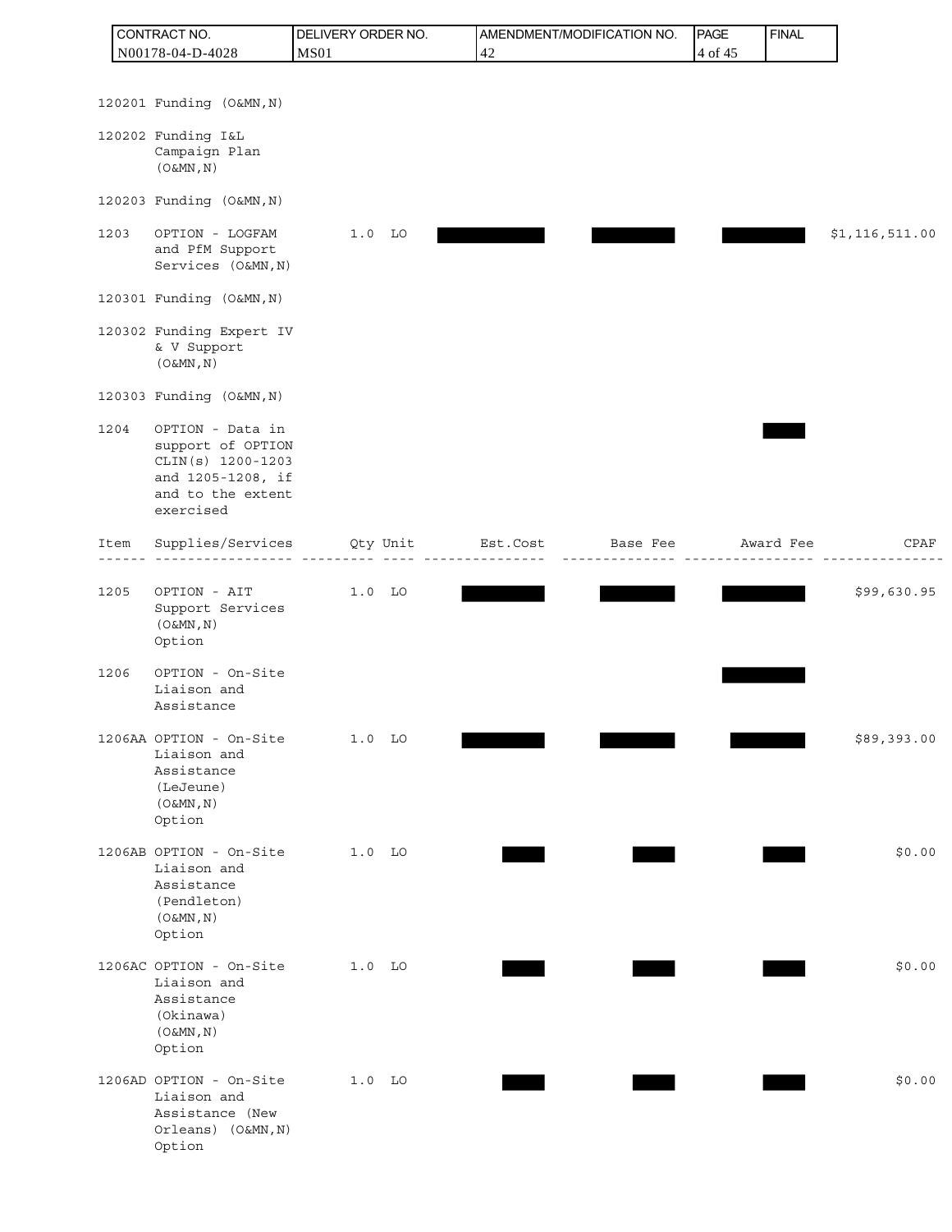| CONTRACT NO.                                                                                                              | DELIVERY ORDER NO. | AMENDMENT/MODIFICATION NO.                                                                    | PAGE    | <b>FINAL</b> |                  |
|---------------------------------------------------------------------------------------------------------------------------|--------------------|-----------------------------------------------------------------------------------------------|---------|--------------|------------------|
| N00178-04-D-4028                                                                                                          | <b>MS01</b>        | 42                                                                                            | 4 of 45 |              |                  |
|                                                                                                                           |                    |                                                                                               |         |              |                  |
| 120201 Funding (O&MN, N)                                                                                                  |                    |                                                                                               |         |              |                  |
| 120202 Funding I&L<br>Campaign Plan<br>$(0\&MN, N)$                                                                       |                    |                                                                                               |         |              |                  |
| 120203 Funding (O&MN, N)                                                                                                  |                    |                                                                                               |         |              |                  |
| 1203<br>OPTION - LOGFAM<br>and PfM Support<br>Services (O&MN, N)                                                          | $1.0$ LO           |                                                                                               |         |              | \$1, 116, 511.00 |
| 120301 Funding (O&MN, N)                                                                                                  |                    |                                                                                               |         |              |                  |
| 120302 Funding Expert IV<br>& V Support<br>$(0\&MN, N)$                                                                   |                    |                                                                                               |         |              |                  |
| 120303 Funding (O&MN, N)                                                                                                  |                    |                                                                                               |         |              |                  |
| 1204<br>OPTION - Data in<br>support of OPTION<br>CLIN(s) 1200-1203<br>and 1205-1208, if<br>and to the extent<br>exercised |                    |                                                                                               |         |              |                  |
| Item<br>. _ _ _ _ _ _ _ _ _ _ _ _ _                                                                                       |                    | Supplies/Services Oty Unit Est.Cost Base Fee Award Fee<br><u> - - - - - - - - - - - - - -</u> |         |              | CPAF             |
| OPTION - AIT<br>1205<br>Support Services<br>$(0 \& MN, N)$<br>Option                                                      | $1.0$ LO           |                                                                                               |         |              | \$99,630.95      |
| OPTION - On-Site<br>1206<br>Liaison and<br>Assistance                                                                     |                    |                                                                                               |         |              |                  |
| 1206AA OPTION - On-Site<br>Liaison and<br>Assistance<br>(LeJeune)<br>$(0 \& MN, N)$<br>Option                             | $1.0$ LO           |                                                                                               |         |              | \$89,393.00      |
| 1206AB OPTION - On-Site<br>Liaison and<br>Assistance<br>(Pendleton)<br>$(0\&MN, N)$<br>Option                             | $1.0$ LO           |                                                                                               |         |              | \$0.00           |
| 1206AC OPTION - On-Site<br>Liaison and<br>Assistance<br>(Okinawa)<br>$(0\&MN, N)$<br>Option                               | $1.0$ LO           |                                                                                               |         |              | \$0.00           |
| 1206AD OPTION - On-Site<br>Liaison and<br>Assistance (New<br>Orleans) (O&MN, N)<br>Option                                 | $1.0$ LO           |                                                                                               |         |              | \$0.00           |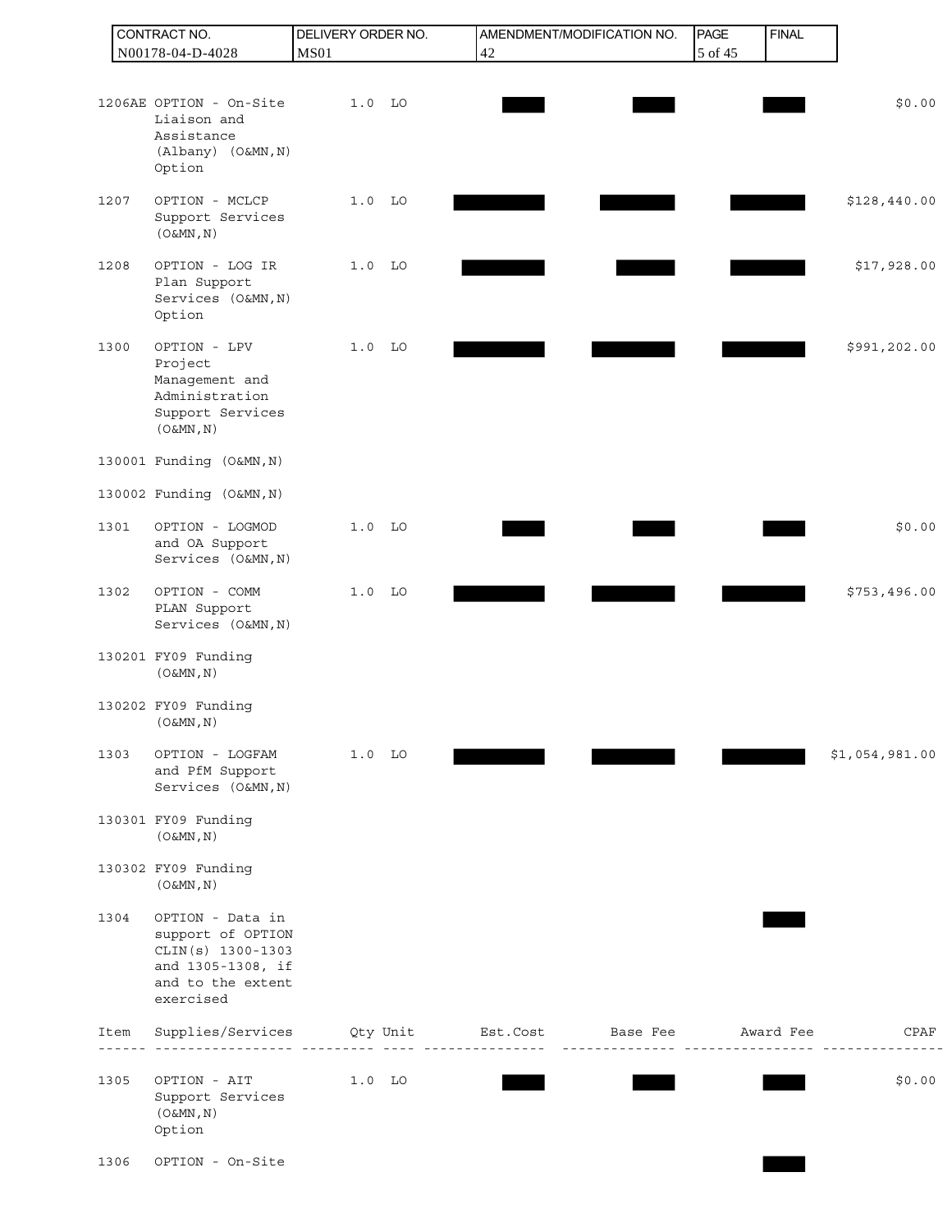|      | CONTRACT NO.                                                                                                      | DELIVERY ORDER NO. |                        | AMENDMENT/MODIFICATION NO. | PAGE     | <b>FINAL</b> |                |
|------|-------------------------------------------------------------------------------------------------------------------|--------------------|------------------------|----------------------------|----------|--------------|----------------|
|      | N00178-04-D-4028                                                                                                  | <b>MS01</b>        | 42                     |                            | 5 of 45  |              |                |
|      | 1206AE OPTION - On-Site<br>Liaison and<br>Assistance<br>(Albany) (O&MN, N)<br>Option                              | $1.0$ LO           |                        |                            |          |              | \$0.00         |
| 1207 | OPTION - MCLCP<br>Support Services<br>$(0\&MN, N)$                                                                | $1.0$ LO           |                        |                            |          |              | \$128,440.00   |
| 1208 | OPTION - LOG IR<br>Plan Support<br>Services (O&MN, N)<br>Option                                                   | $1.0$ LO           |                        |                            |          |              | \$17,928.00    |
| 1300 | OPTION - LPV<br>Project<br>Management and<br>Administration<br>Support Services<br>(O&MN, N)                      | $1.0$ LO           |                        |                            |          |              | \$991,202.00   |
|      | 130001 Funding (O&MN, N)                                                                                          |                    |                        |                            |          |              |                |
|      | 130002 Funding (O&MN, N)                                                                                          |                    |                        |                            |          |              |                |
| 1301 | OPTION - LOGMOD<br>and OA Support<br>Services (O&MN, N)                                                           | $1.0$ LO           |                        |                            |          |              | \$0.00         |
| 1302 | OPTION - COMM<br>PLAN Support<br>Services (O&MN, N)                                                               | $1.0$ LO           |                        |                            |          |              | \$753,496.00   |
|      | 130201 FY09 Funding<br>$(0 \& MN, N)$                                                                             |                    |                        |                            |          |              |                |
|      | 130202 FY09 Funding<br>$($ O&MN , N $)$                                                                           |                    |                        |                            |          |              |                |
| 1303 | OPTION - LOGFAM<br>and PfM Support<br>Services (O&MN, N)                                                          | $1.0$ LO           |                        |                            |          |              | \$1,054,981.00 |
|      | 130301 FY09 Funding<br>$(0 \& MN, N)$                                                                             |                    |                        |                            |          |              |                |
|      | 130302 FY09 Funding<br>(O&MN, N)                                                                                  |                    |                        |                            |          |              |                |
| 1304 | OPTION - Data in<br>support of OPTION<br>CLIN(s) 1300-1303<br>and 1305-1308, if<br>and to the extent<br>exercised |                    |                        |                            |          |              |                |
| Item | Supplies/Services                                                                                                 |                    | Qty Unit Est.Cost<br>. | Base Fee<br>--------       | <u>.</u> | Award Fee    | CPAF           |
| 1305 | OPTION - AIT<br>Support Services<br>$(0\&MN, N)$<br>Option                                                        | $1.0$ LO           |                        |                            |          |              | \$0.00         |
| 1306 | OPTION - On-Site                                                                                                  |                    |                        |                            |          |              |                |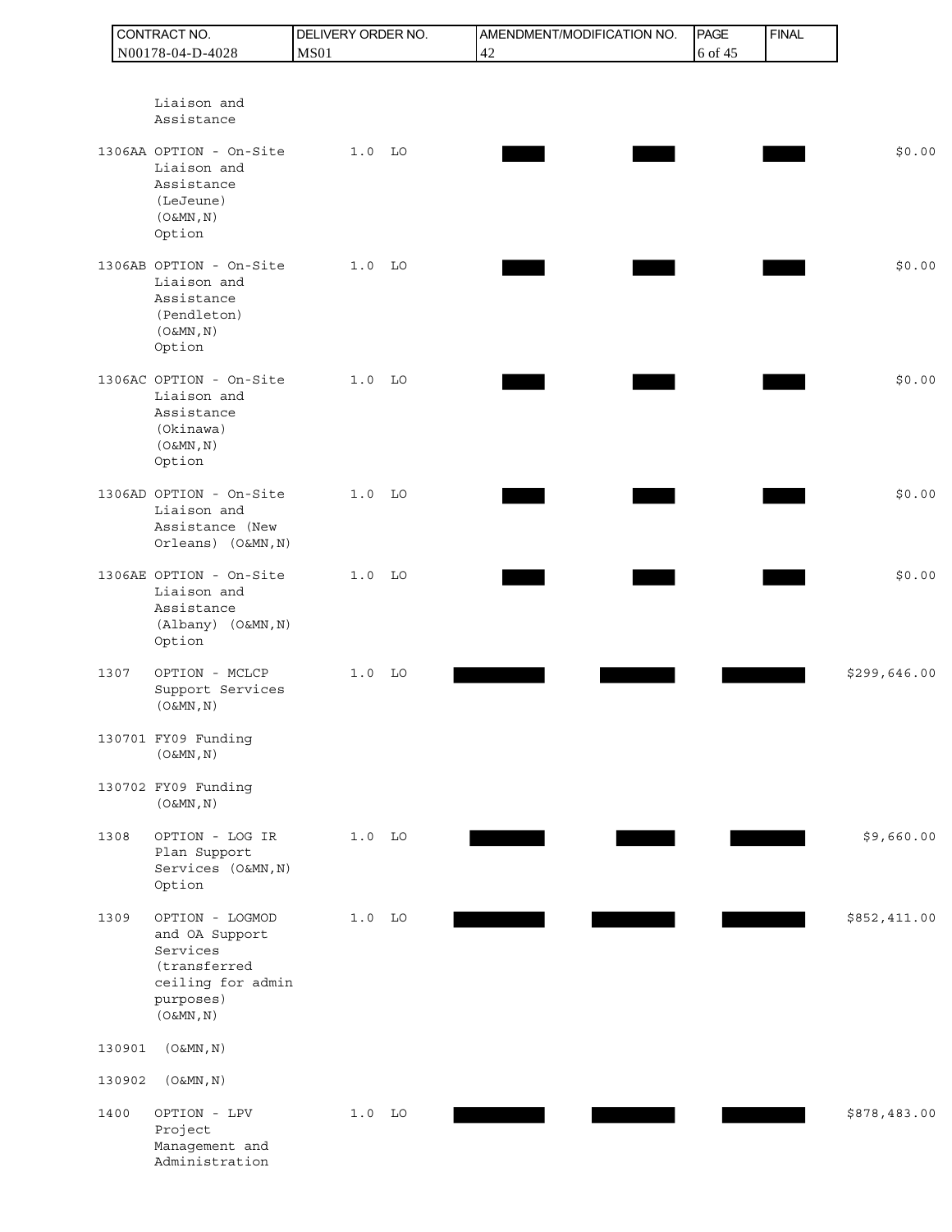|        | CONTRACT NO.                                                                                                 | DELIVERY ORDER NO. |    | AMENDMENT/MODIFICATION NO. | PAGE    | <b>FINAL</b> |              |
|--------|--------------------------------------------------------------------------------------------------------------|--------------------|----|----------------------------|---------|--------------|--------------|
|        | N00178-04-D-4028                                                                                             | <b>MS01</b>        |    | 42                         | 6 of 45 |              |              |
|        | Liaison and<br>Assistance                                                                                    |                    |    |                            |         |              |              |
|        | 1306AA OPTION - On-Site<br>Liaison and<br>Assistance<br>(LeJeune)<br>$(0\&MN, N)$<br>Option                  | $1.0$ LO           |    |                            |         |              | \$0.00       |
|        | 1306AB OPTION - On-Site<br>Liaison and<br>Assistance<br>(Pendleton)<br>(O&MN, N)<br>Option                   | $1.0$ LO           |    |                            |         |              | \$0.00       |
|        | 1306AC OPTION - On-Site<br>Liaison and<br>Assistance<br>(Okinawa)<br>(O&MN, N)<br>Option                     | $1.0$ LO           |    |                            |         |              | \$0.00       |
|        | 1306AD OPTION - On-Site<br>Liaison and<br>Assistance (New<br>Orleans) (O&MN, N)                              | 1.0                | LO |                            |         |              | \$0.00       |
|        | 1306AE OPTION - On-Site<br>Liaison and<br>Assistance<br>(Albany) (O&MN, N)<br>Option                         | $1.0$ LO           |    |                            |         |              | \$0.00       |
| 1307   | OPTION - MCLCP<br>Support Services<br>(O&MN, N)                                                              | $1.0$ LO           |    |                            |         |              | \$299,646.00 |
|        | 130701 FY09 Funding<br>(O&MN, N)                                                                             |                    |    |                            |         |              |              |
|        | 130702 FY09 Funding<br>(O&MN, N)                                                                             |                    |    |                            |         |              |              |
| 1308   | OPTION - LOG IR<br>Plan Support<br>Services (O&MN, N)<br>Option                                              | $1.0$ LO           |    |                            |         |              | \$9,660.00   |
| 1309   | OPTION - LOGMOD<br>and OA Support<br>Services<br>(transferred<br>ceiling for admin<br>purposes)<br>(O&MN, N) | $1.0$ LO           |    |                            |         |              | \$852,411.00 |
| 130901 | $(0 \& MN, N)$                                                                                               |                    |    |                            |         |              |              |
| 130902 | $(0\&MN, N)$                                                                                                 |                    |    |                            |         |              |              |
| 1400   | OPTION - LPV<br>Project<br>Management and<br>Administration                                                  | $1.0$ LO           |    |                            |         |              | \$878,483.00 |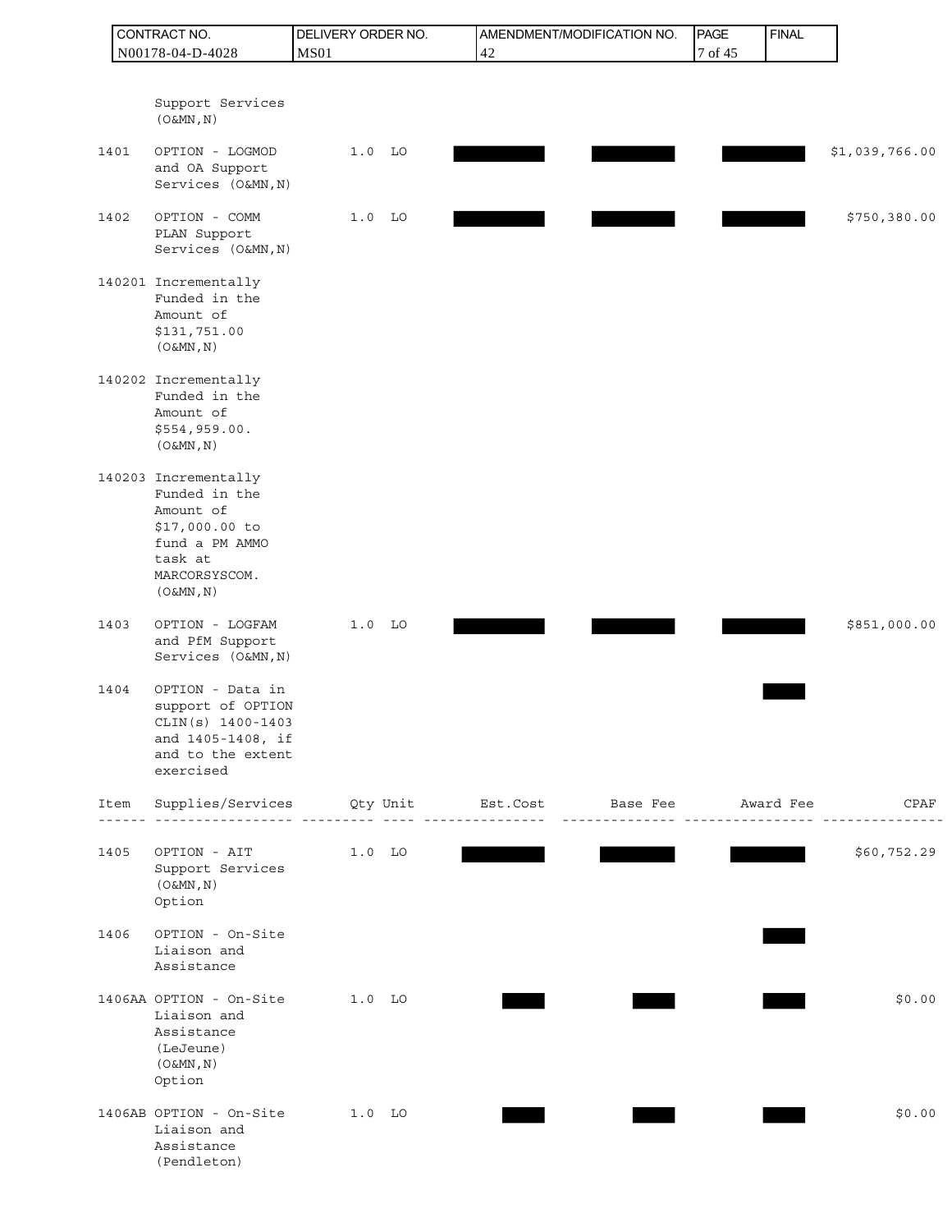|      | CONTRACT NO.                                                                                                                    | DELIVERY ORDER NO. |          |                      | AMENDMENT/MODIFICATION NO.            | PAGE    | <b>FINAL</b> |                |
|------|---------------------------------------------------------------------------------------------------------------------------------|--------------------|----------|----------------------|---------------------------------------|---------|--------------|----------------|
|      | N00178-04-D-4028                                                                                                                | <b>MS01</b>        |          | 42                   |                                       | 7 of 45 |              |                |
|      | Support Services<br>$(0\&MN, N)$                                                                                                |                    |          |                      |                                       |         |              |                |
| 1401 | OPTION - LOGMOD<br>and OA Support<br>Services (O&MN, N)                                                                         | $1.0$ LO           |          |                      |                                       |         |              | \$1,039,766.00 |
| 1402 | OPTION - COMM<br>PLAN Support<br>Services (O&MN, N)                                                                             | $1.0$ LO           |          |                      |                                       |         |              | \$750,380.00   |
|      | 140201 Incrementally<br>Funded in the<br>Amount of<br>\$131,751.00<br>$(0 \& MN, N)$                                            |                    |          |                      |                                       |         |              |                |
|      | 140202 Incrementally<br>Funded in the<br>Amount of<br>\$554,959.00.<br>(O&MN, N)                                                |                    |          |                      |                                       |         |              |                |
|      | 140203 Incrementally<br>Funded in the<br>Amount of<br>\$17,000.00 to<br>fund a PM AMMO<br>task at<br>MARCORSYSCOM.<br>(O&MN, N) |                    |          |                      |                                       |         |              |                |
| 1403 | OPTION - LOGFAM<br>and PfM Support<br>Services (O&MN, N)                                                                        | $1.0$ LO           |          |                      |                                       |         |              | \$851,000.00   |
| 1404 | OPTION - Data in<br>support of OPTION<br>$CLIN(S) 1400-1403$<br>and 1405-1408, if<br>and to the extent<br>exercised             |                    |          |                      |                                       |         |              |                |
| Item | Supplies/Services                                                                                                               |                    | Qty Unit | Est.Cost<br>-------- | Base Fee Mward Fee<br>$- - - - - - -$ |         |              | CPAF           |
| 1405 | OPTION - AIT<br>Support Services<br>$(0\&MN, N)$<br>Option                                                                      | $1.0$ LO           |          |                      |                                       |         |              | \$60,752.29    |
| 1406 | OPTION - On-Site<br>Liaison and<br>Assistance                                                                                   |                    |          |                      |                                       |         |              |                |
|      | 1406AA OPTION - On-Site<br>Liaison and<br>Assistance<br>(LeJeune)<br>$(0\&MN, N)$<br>Option                                     | $1.0$ LO           |          |                      |                                       |         |              | \$0.00         |
|      | 1406AB OPTION - On-Site<br>Liaison and<br>Assistance<br>(Pendleton)                                                             | $1.0$ LO           |          |                      |                                       |         |              | \$0.00         |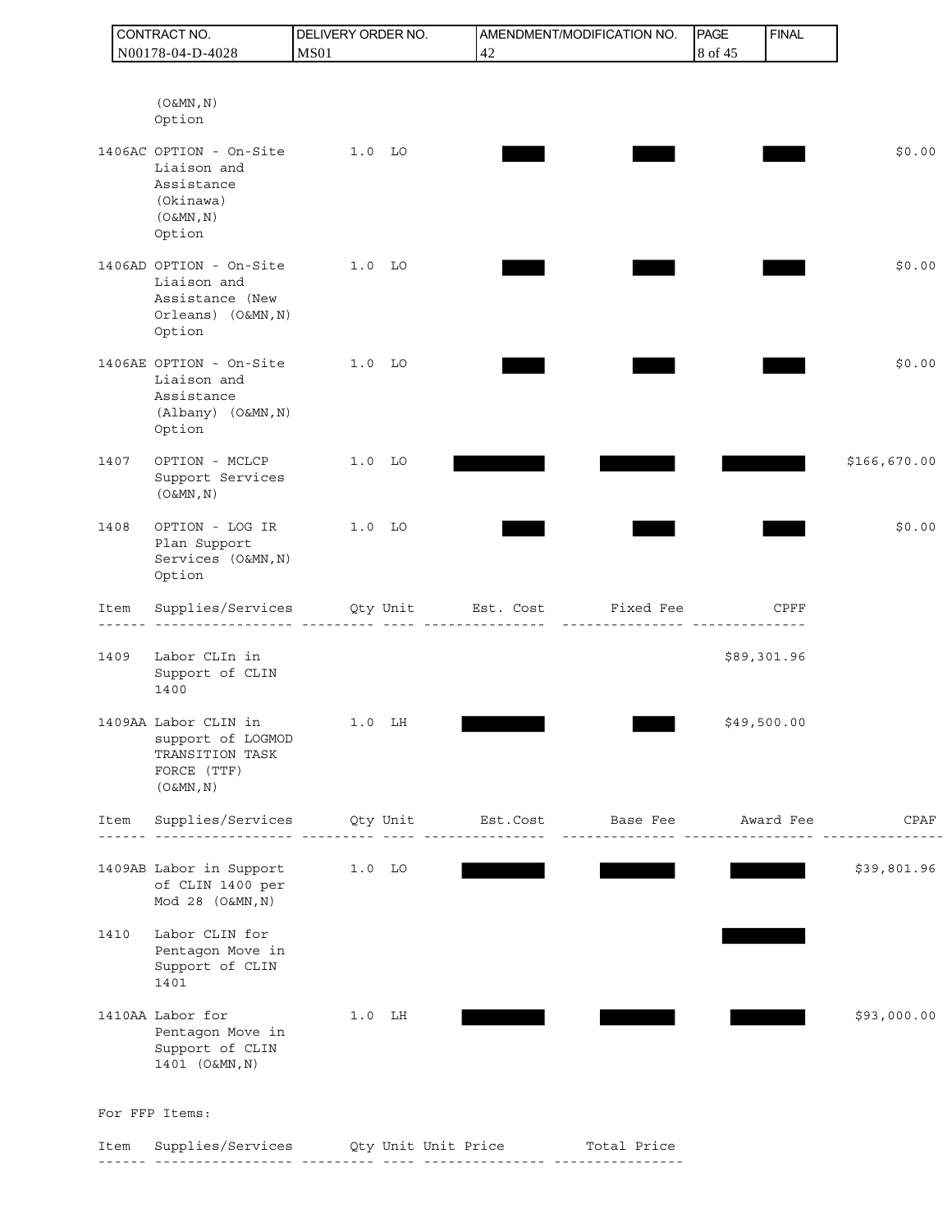|      | CONTRACT NO.                                                                                       | DELIVERY ORDER NO. | AMENDMENT/MODIFICATION NO.                                                                     | PAGE    | <b>FINAL</b> |              |
|------|----------------------------------------------------------------------------------------------------|--------------------|------------------------------------------------------------------------------------------------|---------|--------------|--------------|
|      | N00178-04-D-4028                                                                                   | <b>MS01</b>        | 42                                                                                             | 8 of 45 |              |              |
|      |                                                                                                    |                    |                                                                                                |         |              |              |
|      | $(0 \& MN, N)$<br>Option                                                                           |                    |                                                                                                |         |              |              |
|      | 1406AC OPTION - On-Site<br>Liaison and<br>Assistance<br>(Okinawa)<br>$(0\&MN, N)$<br>Option        | $1.0$ LO           |                                                                                                |         |              | \$0.00       |
|      | 1406AD OPTION - On-Site<br>Liaison and<br>Assistance (New<br>Orleans) (O&MN, N)<br>Option          | $1.0$ LO           |                                                                                                |         |              | \$0.00       |
|      | 1406AE OPTION - On-Site<br>Liaison and<br>Assistance<br>(Albany) (O&MN, N)<br>Option               | $1.0$ LO           |                                                                                                |         |              | \$0.00       |
| 1407 | OPTION - MCLCP<br>Support Services<br>$(0\&MN, N)$                                                 | $1.0$ LO           |                                                                                                |         |              | \$166,670.00 |
| 1408 | OPTION - LOG IR<br>Plan Support<br>Services (O&MN, N)<br>Option                                    | 1.0 LO             |                                                                                                |         |              | \$0.00       |
| Item |                                                                                                    |                    | Supplies/Services Qty Unit Est. Cost Fixed Fee                                                 |         | CPFF         |              |
| 1409 | Labor CLIn in<br>Support of CLIN<br>1400                                                           |                    |                                                                                                |         | \$89,301.96  |              |
|      | 1409AA Labor CLIN in 1.0 LH<br>support of LOGMOD<br>TRANSITION TASK<br>FORCE (TTF)<br>$(0\&MN, N)$ |                    |                                                                                                |         | \$49,500.00  |              |
| Item |                                                                                                    |                    | Supplies/Services Qty Unit Est.Cost Base Fee Award Fee                                         |         |              | CPAF         |
|      | 1409AB Labor in Support<br>of CLIN 1400 per<br>Mod 28 (O&MN, N)                                    | 1.0 LO             |                                                                                                |         |              | \$39,801.96  |
| 1410 | Labor CLIN for<br>Pentagon Move in<br>Support of CLIN<br>1401                                      |                    |                                                                                                |         |              |              |
|      | 1410AA Labor for<br>Pentagon Move in<br>Support of CLIN<br>1401 (O&MN, N)                          | $1.0$ LH           |                                                                                                |         |              | \$93,000.00  |
|      | For FFP Items:                                                                                     |                    |                                                                                                |         |              |              |
| Item |                                                                                                    | . 2012 222222 23   | Supplies/Services Qty Unit Unit Price Total Price<br><u> - - - - - -   - - - - - - - - - -</u> |         |              |              |
|      |                                                                                                    |                    |                                                                                                |         |              |              |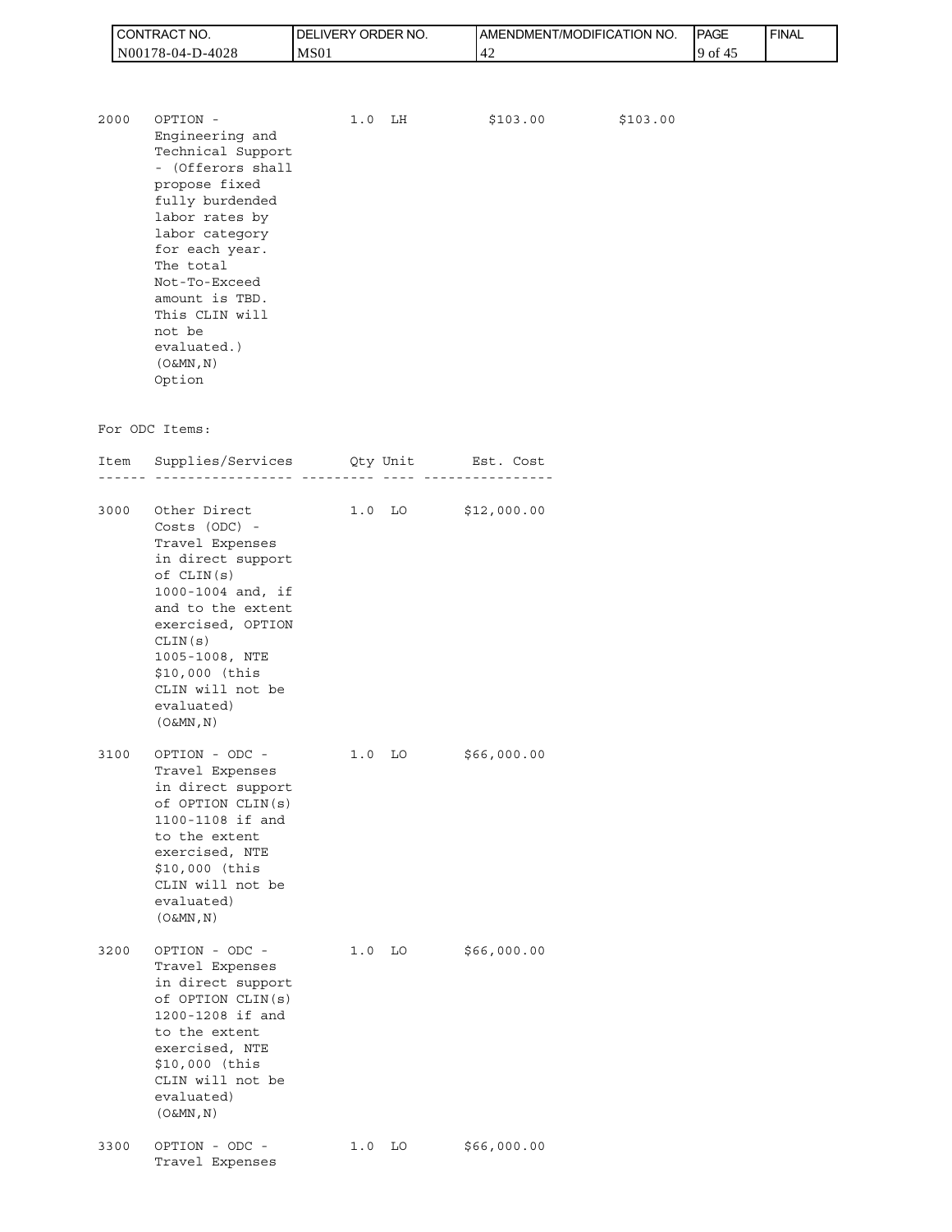| CT NO.<br>CONTRAC, | `ORDER NO.<br>ı DEI<br>_IVERY ( | <b>IAMENDMENT/MODIFICATION NO.</b> | <b>PAGE</b> | <b>FINAL</b> |
|--------------------|---------------------------------|------------------------------------|-------------|--------------|
| IN00178-04-D-4028  | MS <sub>01</sub>                | 4                                  | 9 of<br>41  |              |

| 2000 | OPTION -          | 1.0 | LH | \$103.00 | \$103.00 |
|------|-------------------|-----|----|----------|----------|
|      | Engineering and   |     |    |          |          |
|      | Technical Support |     |    |          |          |
|      | - (Offerors shall |     |    |          |          |
|      | propose fixed     |     |    |          |          |
|      | fully burdended   |     |    |          |          |
|      | labor rates by    |     |    |          |          |
|      | labor category    |     |    |          |          |
|      | for each year.    |     |    |          |          |
|      | The total         |     |    |          |          |
|      | Not-To-Exceed     |     |    |          |          |
|      | amount is TBD.    |     |    |          |          |
|      | This CLIN will    |     |    |          |          |
|      | not be            |     |    |          |          |
|      | evaluated.)       |     |    |          |          |
|      | $(0\&MN, N)$      |     |    |          |          |
|      | Option            |     |    |          |          |

## For ODC Items:

|      | Item Supplies/Services Qty Unit Est. Cost                                                                                                                                                                                                               | <u>.</u> |                   |                     |
|------|---------------------------------------------------------------------------------------------------------------------------------------------------------------------------------------------------------------------------------------------------------|----------|-------------------|---------------------|
| 3000 | Other Direct<br>$Costs$ (ODC) -<br>Travel Expenses<br>in direct support<br>of CLIN(s)<br>1000-1004 and, if<br>and to the extent<br>exercised, OPTION<br>CLIN(S)<br>1005-1008, NTE<br>\$10,000 (this<br>CLIN will not be<br>evaluated)<br>$(0 \& MN, N)$ |          |                   | 1.0 LO $$12,000.00$ |
| 3100 | OPTION - ODC -<br>Travel Expenses<br>in direct support<br>of OPTION CLIN(s)<br>1100-1108 if and<br>to the extent<br>exercised, NTE<br>\$10,000 (this<br>CLIN will not be<br>evaluated)<br>$(0 \& MN, N)$                                                |          | $1.0$ LO          | \$66,000.00         |
| 3200 | OPTION - ODC -<br>Travel Expenses<br>in direct support<br>of OPTION CLIN(s)<br>1200-1208 if and<br>to the extent<br>exercised, NTE<br>\$10,000 (this<br>CLIN will not be<br>evaluated)<br>$(0 \& MN, N)$                                                |          | 1.0 <sub>LO</sub> | \$66,000.00         |
| 3300 | OPTION - ODC -<br>Travel Expenses                                                                                                                                                                                                                       |          | $1.0$ LO          | \$66,000.00         |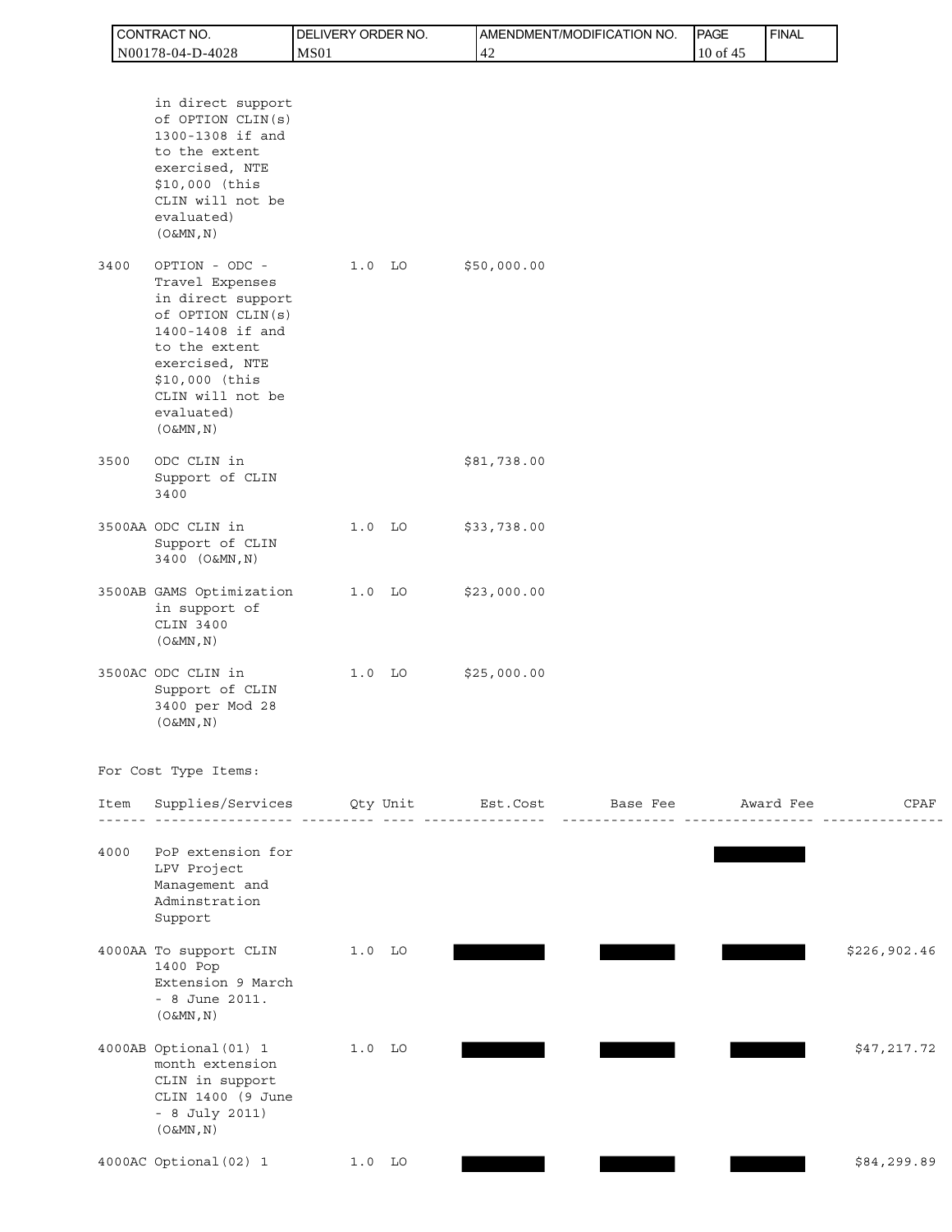|      | CONTRACT NO.                                                                                                                                                                                           | DELIVERY ORDER NO. |          |             | AMENDMENT/MODIFICATION NO. | PAGE     | <b>FINAL</b> |              |
|------|--------------------------------------------------------------------------------------------------------------------------------------------------------------------------------------------------------|--------------------|----------|-------------|----------------------------|----------|--------------|--------------|
|      | N00178-04-D-4028                                                                                                                                                                                       | <b>MS01</b>        |          | 42          |                            | 10 of 45 |              |              |
|      | in direct support<br>of OPTION CLIN(s)<br>1300-1308 if and<br>to the extent<br>exercised, NTE<br>\$10,000 (this<br>CLIN will not be<br>evaluated)<br>(O&MN, N)                                         |                    |          |             |                            |          |              |              |
| 3400 | OPTION - ODC -<br>Travel Expenses<br>in direct support<br>of OPTION CLIN(s)<br>1400-1408 if and<br>to the extent<br>exercised, NTE<br>\$10,000 (this<br>CLIN will not be<br>evaluated)<br>$(0\&MN, N)$ |                    | $1.0$ LO | \$50,000.00 |                            |          |              |              |
| 3500 | ODC CLIN in<br>Support of CLIN<br>3400                                                                                                                                                                 |                    |          | \$81,738.00 |                            |          |              |              |
|      | 3500AA ODC CLIN in<br>Support of CLIN<br>3400 (O&MN, N)                                                                                                                                                |                    | $1.0$ LO | \$33,738.00 |                            |          |              |              |
|      | 3500AB GAMS Optimization<br>in support of<br>CLIN 3400<br>$(0 \& MN, N)$                                                                                                                               |                    | $1.0$ LO | \$23,000.00 |                            |          |              |              |
|      | 3500AC ODC CLIN in<br>Support of CLIN<br>3400 per Mod 28<br>$(0 \& MN, N)$                                                                                                                             |                    | $1.0$ LO | \$25,000.00 |                            |          |              |              |
|      | For Cost Type Items:                                                                                                                                                                                   |                    |          |             |                            |          |              |              |
| Item | Supplies/Services Qty Unit Est.Cost Base Fee Award Fee                                                                                                                                                 |                    |          |             |                            |          |              | CPAF         |
| 4000 | PoP extension for<br>LPV Project<br>Management and<br>Adminstration<br>Support                                                                                                                         |                    |          |             |                            |          |              |              |
|      | 4000AA To support CLIN<br>1400 Pop<br>Extension 9 March<br>$-8$ June 2011.<br>$(0\&MN, N)$                                                                                                             | 1.0 LO             |          |             |                            |          |              | \$226,902.46 |
|      | 4000AB Optional (01) 1<br>month extension<br>CLIN in support<br>CLIN 1400 (9 June<br>- 8 July 2011)<br>$(0\&MN, N)$                                                                                    |                    | $1.0$ LO |             |                            |          |              | \$47,217.72  |
|      | 4000AC Optional (02) 1                                                                                                                                                                                 |                    | $1.0$ LO |             |                            |          |              | \$84,299.89  |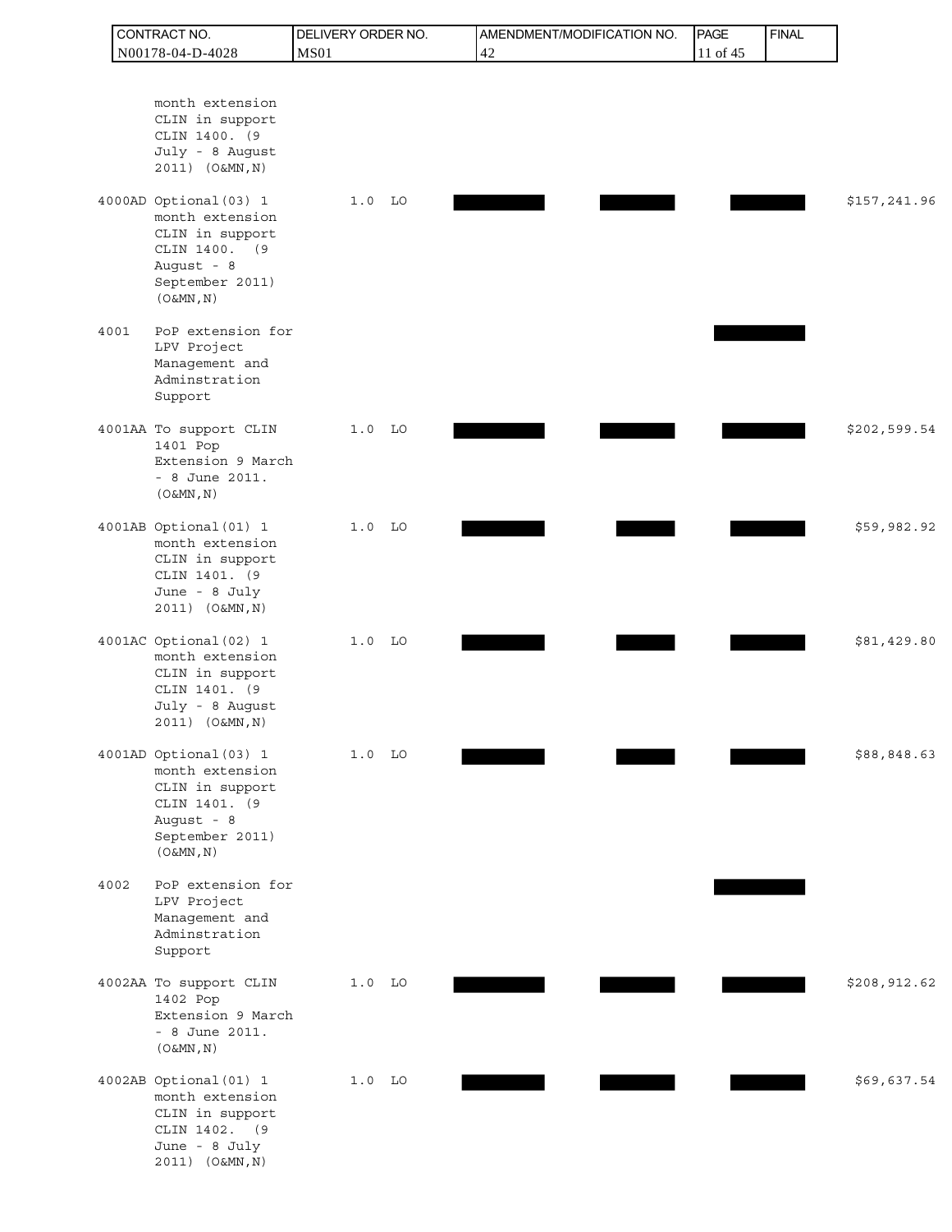|      | CONTRACT NO.                                                                                                                                                                                                                | DELIVERY ORDER NO. | AMENDMENT/MODIFICATION NO. | <b>PAGE</b> | <b>FINAL</b> |              |
|------|-----------------------------------------------------------------------------------------------------------------------------------------------------------------------------------------------------------------------------|--------------------|----------------------------|-------------|--------------|--------------|
|      | N00178-04-D-4028                                                                                                                                                                                                            | <b>MS01</b>        | 42                         | 11 of 45    |              |              |
|      | month extension<br>CLIN in support<br>CLIN 1400. (9<br>July - 8 August<br>2011) (O&MN, N)<br>4000AD Optional (03) 1<br>month extension<br>CLIN in support<br>CLIN 1400. (9<br>August - 8<br>September 2011)<br>$(0\&MN, N)$ | $1.0$ LO           |                            |             |              | \$157,241.96 |
| 4001 | PoP extension for<br>LPV Project<br>Management and<br>Adminstration<br>Support                                                                                                                                              |                    |                            |             |              |              |
|      | 4001AA To support CLIN<br>1401 Pop<br>Extension 9 March<br>$-8$ June 2011.<br>(O&MN, N)                                                                                                                                     | $1.0$ LO           |                            |             |              | \$202,599.54 |
|      | 4001AB Optional (01) 1<br>month extension<br>CLIN in support<br>CLIN 1401. (9<br>June - 8 July<br>2011) (O&MN, N)                                                                                                           | $1.0$ LO           |                            |             |              | \$59,982.92  |
|      | 4001AC Optional (02) 1<br>month extension<br>CLIN in support<br>CLIN 1401. (9<br>July - 8 August<br>2011) (O&MN, N)                                                                                                         | $1.0$ LO           |                            |             |              | \$81,429.80  |
|      | 4001AD Optional (03) 1<br>month extension<br>CLIN in support<br>CLIN 1401. (9<br>August - 8<br>September 2011)<br>$(0\&MN, N)$                                                                                              | $1.0$ LO           |                            |             |              | \$88,848.63  |
| 4002 | PoP extension for<br>LPV Project<br>Management and<br>Adminstration<br>Support                                                                                                                                              |                    |                            |             |              |              |
|      | 4002AA To support CLIN<br>1402 Pop<br>Extension 9 March<br>$-8$ June 2011.<br>$(0\&MN, N)$                                                                                                                                  | $1.0$ LO           |                            |             |              | \$208,912.62 |
|      | 4002AB Optional (01) 1<br>month extension<br>CLIN in support<br>CLIN 1402. (9<br>June - 8 July<br>2011) (O&MN, N)                                                                                                           | $1.0$ LO           |                            |             |              | \$69,637.54  |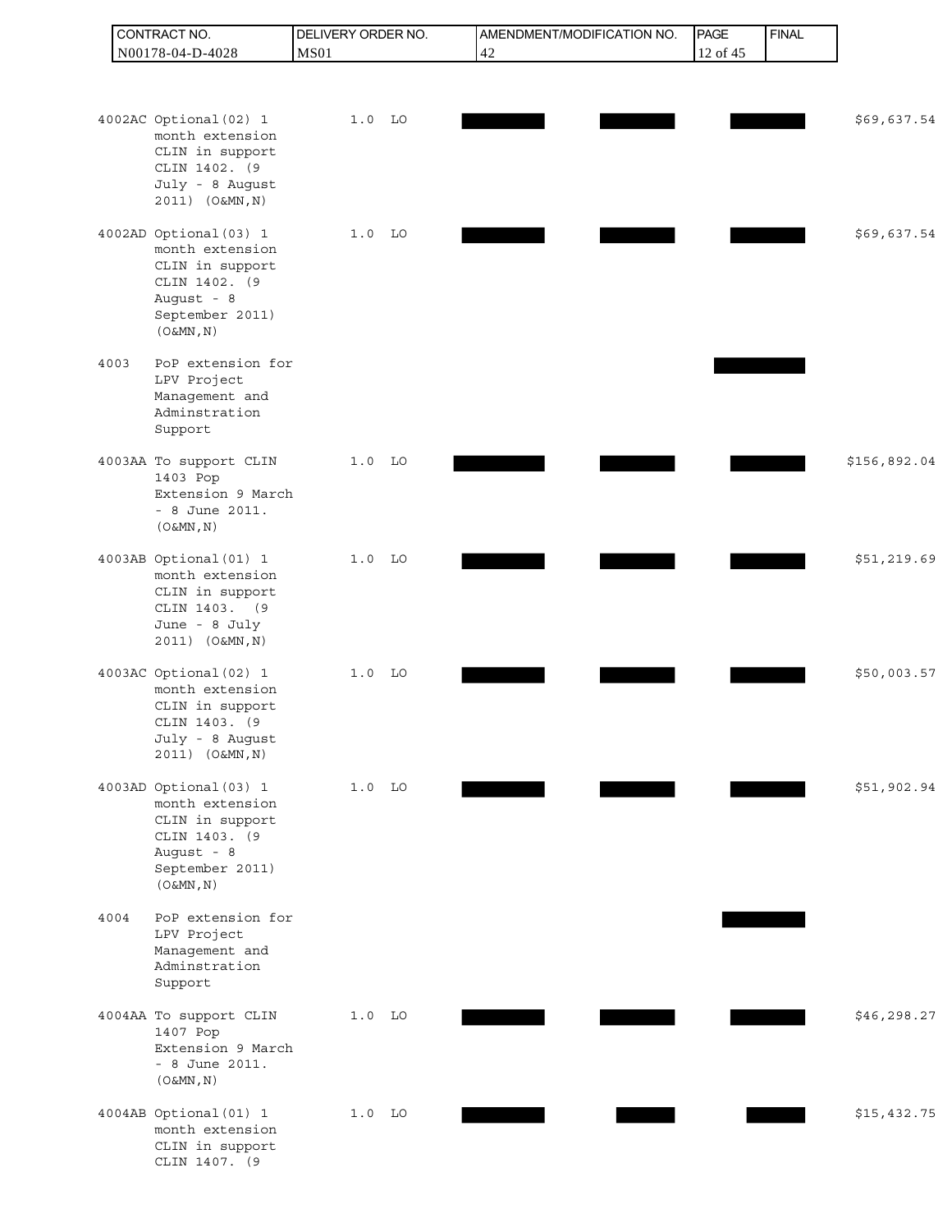|      | CONTRACT NO.                                                                                                                                      | DELIVERY ORDER NO. |    | AMENDMENT/MODIFICATION NO. | PAGE     | <b>FINAL</b> |              |
|------|---------------------------------------------------------------------------------------------------------------------------------------------------|--------------------|----|----------------------------|----------|--------------|--------------|
|      | N00178-04-D-4028                                                                                                                                  | <b>MS01</b>        | 42 |                            | 12 of 45 |              |              |
|      |                                                                                                                                                   |                    |    |                            |          |              |              |
|      | 4002AC Optional (02) 1<br>month extension<br>CLIN in support<br>CLIN 1402. (9<br>July - 8 August                                                  | $1.0$ LO           |    |                            |          |              | \$69,637.54  |
|      | 2011) (O&MN, N)<br>4002AD Optional (03) 1<br>month extension<br>CLIN in support<br>CLIN 1402. (9<br>August - 8<br>September 2011)<br>$(0\&MN, N)$ | $1.0$ LO           |    |                            |          |              | \$69,637.54  |
| 4003 | PoP extension for<br>LPV Project<br>Management and<br>Adminstration<br>Support                                                                    |                    |    |                            |          |              |              |
|      | 4003AA To support CLIN<br>1403 Pop<br>Extension 9 March<br>$-8$ June 2011.<br>(O&MN, N)                                                           | $1.0$ LO           |    |                            |          |              | \$156,892.04 |
|      | 4003AB Optional (01) 1<br>month extension<br>CLIN in support<br>CLIN 1403. (9<br>June - 8 July<br>2011) (O&MN, N)                                 | $1.0$ LO           |    |                            |          |              | \$51,219.69  |
|      | 4003AC Optional (02) 1<br>month extension<br>CLIN in support<br>CLIN 1403. (9<br>July - 8 August<br>2011) (O&MN, N)                               | $1.0$ LO           |    |                            |          |              | \$50,003.57  |
|      | 4003AD Optional (03) 1<br>month extension<br>CLIN in support<br>CLIN 1403. (9<br>August - 8<br>September 2011)<br>(O&MN, N)                       | $1.0$ LO           |    |                            |          |              | \$51,902.94  |
| 4004 | PoP extension for<br>LPV Project<br>Management and<br>Adminstration<br>Support                                                                    |                    |    |                            |          |              |              |
|      | 4004AA To support CLIN<br>1407 Pop<br>Extension 9 March<br>$-8$ June 2011.<br>(O&MN, N)                                                           | $1.0$ LO           |    |                            |          |              | \$46,298.27  |
|      | 4004AB Optional (01) 1<br>month extension<br>CLIN in support<br>CLIN 1407. (9                                                                     | $1.0$ LO           |    |                            |          |              | \$15,432.75  |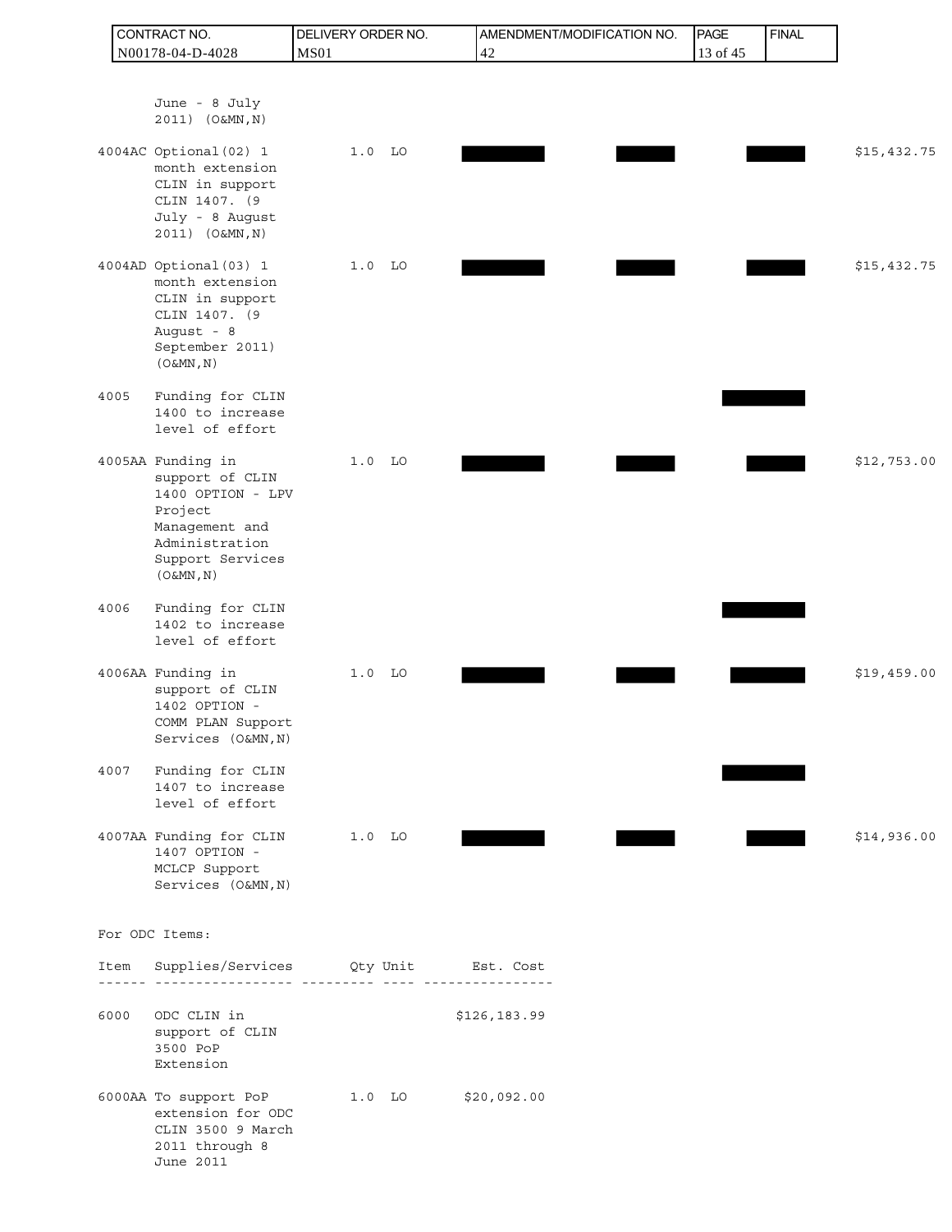|      | CONTRACT NO.                                                                                                                              | DELIVERY ORDER NO. |          |                     | AMENDMENT/MODIFICATION NO. | PAGE     | <b>FINAL</b> |             |
|------|-------------------------------------------------------------------------------------------------------------------------------------------|--------------------|----------|---------------------|----------------------------|----------|--------------|-------------|
|      | N00178-04-D-4028                                                                                                                          | <b>MS01</b>        |          | 42                  |                            | 13 of 45 |              |             |
|      | June - 8 July<br>2011) (O&MN, N)                                                                                                          |                    |          |                     |                            |          |              |             |
|      | 4004AC Optional (02) 1<br>month extension<br>CLIN in support<br>CLIN 1407. (9<br>July - 8 August<br>2011) (O&MN, N)                       |                    | $1.0$ LO |                     |                            |          |              | \$15,432.75 |
|      | 4004AD Optional (03) 1<br>month extension<br>CLIN in support<br>CLIN 1407. (9<br>August - 8<br>September 2011)<br>$(0\&MN, N)$            |                    | $1.0$ LO |                     |                            |          |              | \$15,432.75 |
| 4005 | Funding for CLIN<br>1400 to increase<br>level of effort                                                                                   |                    |          |                     |                            |          |              |             |
|      | 4005AA Funding in<br>support of CLIN<br>1400 OPTION - LPV<br>Project<br>Management and<br>Administration<br>Support Services<br>(O&MN, N) |                    | $1.0$ LO |                     |                            |          |              | \$12,753.00 |
| 4006 | Funding for CLIN<br>1402 to increase<br>level of effort                                                                                   |                    |          |                     |                            |          |              |             |
|      | 4006AA Funding in<br>support of CLIN<br>1402 OPTION -<br>COMM PLAN Support<br>Services (O&MN, N)                                          |                    | $1.0$ LO |                     |                            |          |              | \$19,459.00 |
| 4007 | Funding for CLIN<br>1407 to increase<br>level of effort                                                                                   |                    |          |                     |                            |          |              |             |
|      | 4007AA Funding for CLIN 1.0 LO<br>1407 OPTION -<br>MCLCP Support<br>Services (O&MN, N)                                                    |                    |          |                     |                            |          |              | \$14,936.00 |
|      | For ODC Items:                                                                                                                            |                    |          |                     |                            |          |              |             |
| Item | Supplies/Services Qty Unit Est. Cost                                                                                                      |                    |          |                     |                            |          |              |             |
| 6000 | ODC CLIN in<br>support of CLIN<br>3500 PoP<br>Extension                                                                                   |                    |          | \$126,183.99        |                            |          |              |             |
|      | 6000AA To support PoP<br>extension for ODC<br>CLIN 3500 9 March<br>2011 through 8<br>June 2011                                            |                    |          | 1.0 LO $$20,092.00$ |                            |          |              |             |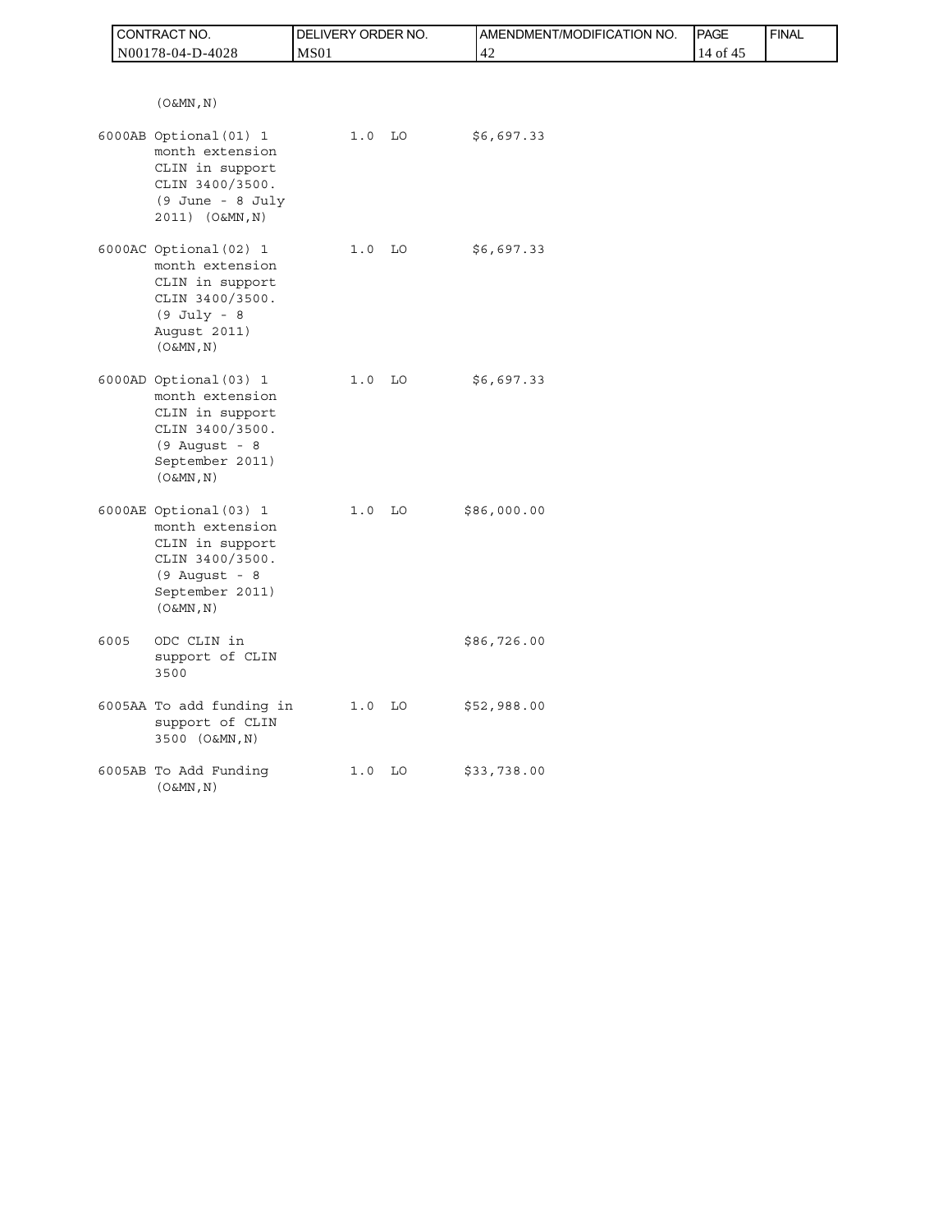|      | CONTRACT NO.                                                                                                                            | DELIVERY ORDER NO. | AMENDMENT/MODIFICATION NO. | PAGE     | <b>FINAL</b> |
|------|-----------------------------------------------------------------------------------------------------------------------------------------|--------------------|----------------------------|----------|--------------|
|      | N00178-04-D-4028                                                                                                                        | MS <sub>01</sub>   | 42                         | 14 of 45 |              |
|      |                                                                                                                                         |                    |                            |          |              |
|      | $(0 \& MN, N)$<br>6000AB Optional (01) 1<br>month extension                                                                             | $1.0$ LO           | \$6,697.33                 |          |              |
|      | CLIN in support<br>CLIN 3400/3500.<br>(9 June - 8 July<br>2011) (O&MN, N)                                                               |                    |                            |          |              |
|      | 6000AC Optional (02) 1<br>month extension<br>CLIN in support<br>CLIN 3400/3500.<br>$(9$ July - $8$<br>August 2011)<br>$(0\&MN, N)$      | 1.0 <sub>LO</sub>  | \$6,697.33                 |          |              |
|      | 6000AD Optional (03) 1<br>month extension<br>CLIN in support<br>CLIN 3400/3500.<br>$(9$ August - 8<br>September 2011)<br>$(0 \& MN, N)$ | $1.0$ LO           | \$6,697.33                 |          |              |
|      | 6000AE Optional (03) 1<br>month extension<br>CLIN in support<br>CLIN 3400/3500.<br>$(9$ August - 8<br>September 2011)<br>$(0\&MN, N)$   | $1.0$ LO           | \$86,000.00                |          |              |
| 6005 | ODC CLIN in<br>support of CLIN<br>3500                                                                                                  |                    | \$86,726.00                |          |              |
|      | 6005AA To add funding in<br>support of CLIN<br>3500 (O&MN, N)                                                                           | $1.0$ LO           | \$52,988.00                |          |              |
|      | 6005AB To Add Funding<br>$(0\&MN, N)$                                                                                                   | $1.0$ LO           | \$33,738.00                |          |              |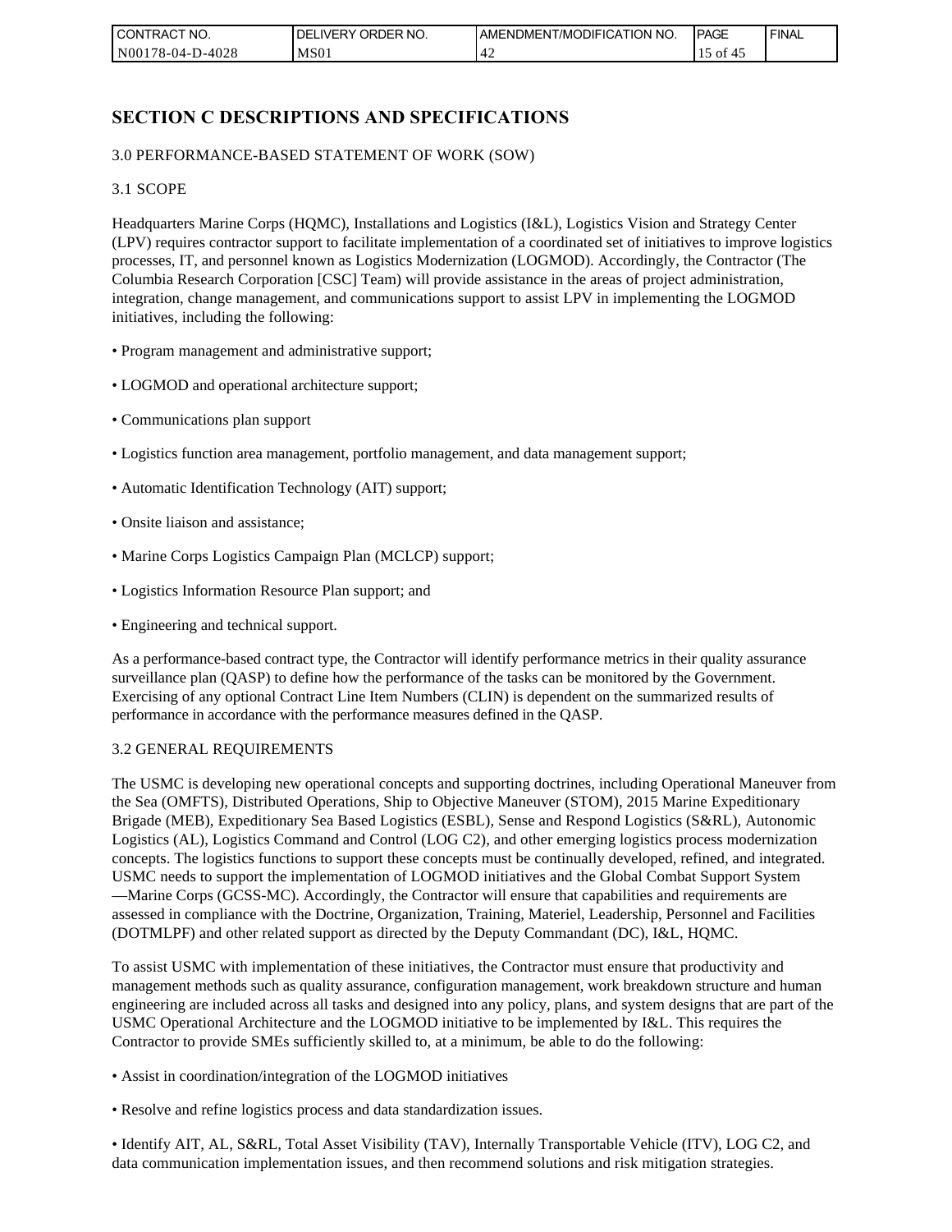| <b>CONTRACT NO.</b> | NO.<br>' ORDER<br><b>DELIVERY</b> | AMENDMENT/MODIFICATION NO. | <b>IPAGE</b> | <b>FINAL</b> |
|---------------------|-----------------------------------|----------------------------|--------------|--------------|
| N00178-04-D-4028    | MS01                              | т 4                        | ΟĪ           |              |

## **SECTION C DESCRIPTIONS AND SPECIFICATIONS**

### 3.0 PERFORMANCE-BASED STATEMENT OF WORK (SOW)

#### 3.1 SCOPE

Headquarters Marine Corps (HQMC), Installations and Logistics (I&L), Logistics Vision and Strategy Center (LPV) requires contractor support to facilitate implementation of a coordinated set of initiatives to improve logistics processes, IT, and personnel known as Logistics Modernization (LOGMOD). Accordingly, the Contractor (The Columbia Research Corporation [CSC] Team) will provide assistance in the areas of project administration, integration, change management, and communications support to assist LPV in implementing the LOGMOD initiatives, including the following:

- Program management and administrative support;
- LOGMOD and operational architecture support;
- Communications plan support
- Logistics function area management, portfolio management, and data management support;
- Automatic Identification Technology (AIT) support;
- Onsite liaison and assistance;
- Marine Corps Logistics Campaign Plan (MCLCP) support;
- Logistics Information Resource Plan support; and
- Engineering and technical support.

As a performance-based contract type, the Contractor will identify performance metrics in their quality assurance surveillance plan (QASP) to define how the performance of the tasks can be monitored by the Government. Exercising of any optional Contract Line Item Numbers (CLIN) is dependent on the summarized results of performance in accordance with the performance measures defined in the QASP.

#### 3.2 GENERAL REQUIREMENTS

The USMC is developing new operational concepts and supporting doctrines, including Operational Maneuver from the Sea (OMFTS), Distributed Operations, Ship to Objective Maneuver (STOM), 2015 Marine Expeditionary Brigade (MEB), Expeditionary Sea Based Logistics (ESBL), Sense and Respond Logistics (S&RL), Autonomic Logistics (AL), Logistics Command and Control (LOG C2), and other emerging logistics process modernization concepts. The logistics functions to support these concepts must be continually developed, refined, and integrated. USMC needs to support the implementation of LOGMOD initiatives and the Global Combat Support System —Marine Corps (GCSS-MC). Accordingly, the Contractor will ensure that capabilities and requirements are assessed in compliance with the Doctrine, Organization, Training, Materiel, Leadership, Personnel and Facilities (DOTMLPF) and other related support as directed by the Deputy Commandant (DC), I&L, HQMC.

To assist USMC with implementation of these initiatives, the Contractor must ensure that productivity and management methods such as quality assurance, configuration management, work breakdown structure and human engineering are included across all tasks and designed into any policy, plans, and system designs that are part of the USMC Operational Architecture and the LOGMOD initiative to be implemented by I&L. This requires the Contractor to provide SMEs sufficiently skilled to, at a minimum, be able to do the following:

- Assist in coordination/integration of the LOGMOD initiatives
- Resolve and refine logistics process and data standardization issues.

• Identify AIT, AL, S&RL, Total Asset Visibility (TAV), Internally Transportable Vehicle (ITV), LOG C2, and data communication implementation issues, and then recommend solutions and risk mitigation strategies.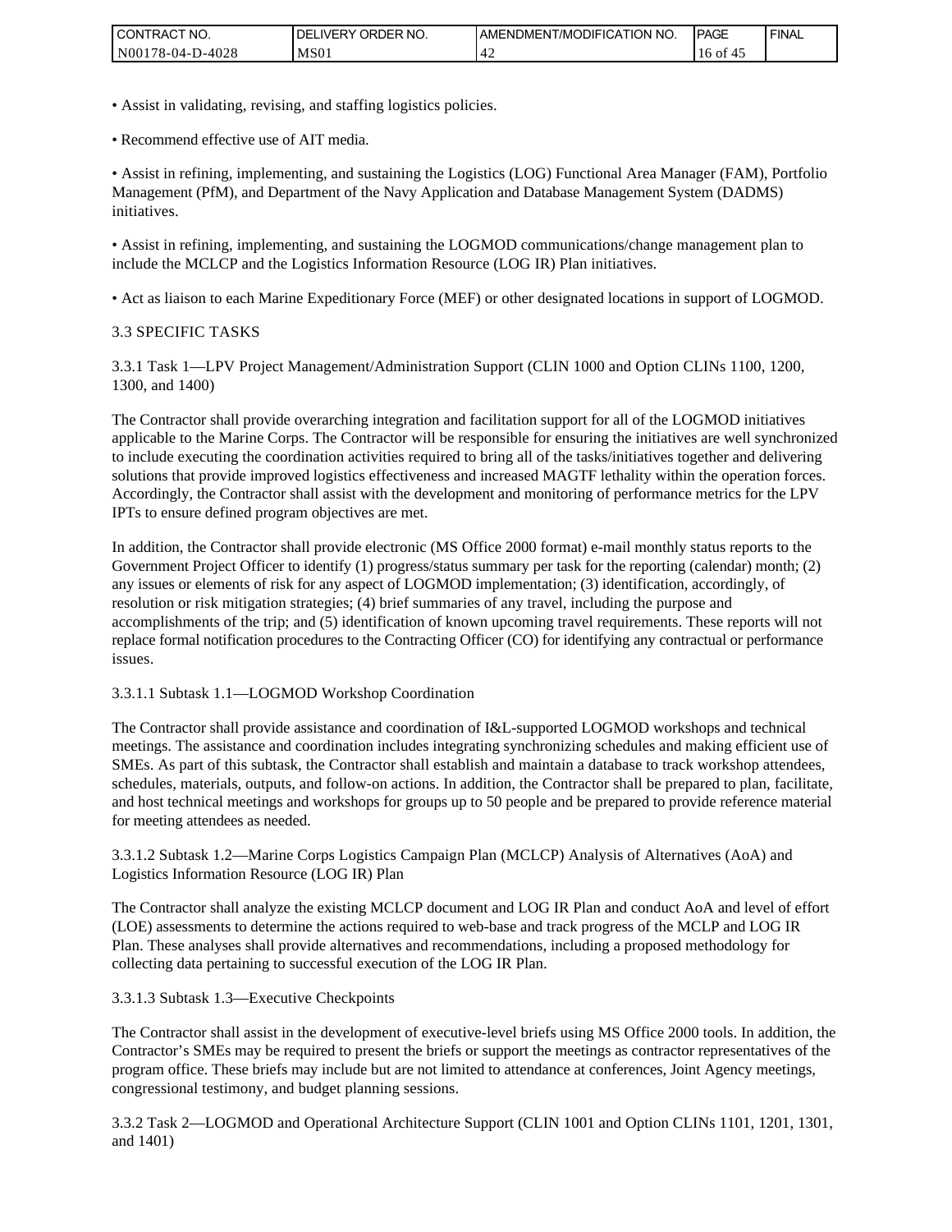| l CON<br>'TRACT NO. | 'NO.<br><b>ORDER</b><br>DELI'<br>IVERY | AMENDMENT/MODIFICATION NO. | <b>IPAGE</b> | <b>FINAL</b> |
|---------------------|----------------------------------------|----------------------------|--------------|--------------|
| N00178-04-D-4028    | MS <sub>01</sub>                       | ГД                         | 16 of        |              |

- Assist in validating, revising, and staffing logistics policies.
- Recommend effective use of AIT media.

• Assist in refining, implementing, and sustaining the Logistics (LOG) Functional Area Manager (FAM), Portfolio Management (PfM), and Department of the Navy Application and Database Management System (DADMS) initiatives.

• Assist in refining, implementing, and sustaining the LOGMOD communications/change management plan to include the MCLCP and the Logistics Information Resource (LOG IR) Plan initiatives.

• Act as liaison to each Marine Expeditionary Force (MEF) or other designated locations in support of LOGMOD.

#### 3.3 SPECIFIC TASKS

3.3.1 Task 1—LPV Project Management/Administration Support (CLIN 1000 and Option CLINs 1100, 1200, 1300, and 1400)

The Contractor shall provide overarching integration and facilitation support for all of the LOGMOD initiatives applicable to the Marine Corps. The Contractor will be responsible for ensuring the initiatives are well synchronized to include executing the coordination activities required to bring all of the tasks/initiatives together and delivering solutions that provide improved logistics effectiveness and increased MAGTF lethality within the operation forces. Accordingly, the Contractor shall assist with the development and monitoring of performance metrics for the LPV IPTs to ensure defined program objectives are met.

In addition, the Contractor shall provide electronic (MS Office 2000 format) e-mail monthly status reports to the Government Project Officer to identify (1) progress/status summary per task for the reporting (calendar) month; (2) any issues or elements of risk for any aspect of LOGMOD implementation; (3) identification, accordingly, of resolution or risk mitigation strategies; (4) brief summaries of any travel, including the purpose and accomplishments of the trip; and (5) identification of known upcoming travel requirements. These reports will not replace formal notification procedures to the Contracting Officer (CO) for identifying any contractual or performance issues. CONTRACT NO.<br>
N00178-04-D-4<br>
Assist in valid<br>
• Recommend et<br>
• Assist in refini<br>
Management (P<br>
initiatives.<br>
• Assist in refini<br>
include the MCI<br>
• Act as liaison<br>
3.3 SPECIFIC<br>
<sup>7</sup><br>
3.3.1 Task 1—I<br>
1300, and 1400<br>
The C

### 3.3.1.1 Subtask 1.1—LOGMOD Workshop Coordination

The Contractor shall provide assistance and coordination of I&L-supported LOGMOD workshops and technical meetings. The assistance and coordination includes integrating synchronizing schedules and making efficient use of SMEs. As part of this subtask, the Contractor shall establish and maintain a database to track workshop attendees, schedules, materials, outputs, and follow-on actions. In addition, the Contractor shall be prepared to plan, facilitate, and host technical meetings and workshops for groups up to 50 people and be prepared to provide reference material for meeting attendees as needed.

3.3.1.2 Subtask 1.2—Marine Corps Logistics Campaign Plan (MCLCP) Analysis of Alternatives (AoA) and Logistics Information Resource (LOG IR) Plan

The Contractor shall analyze the existing MCLCP document and LOG IR Plan and conduct AoA and level of effort (LOE) assessments to determine the actions required to web-base and track progress of the MCLP and LOG IR Plan. These analyses shall provide alternatives and recommendations, including a proposed methodology for collecting data pertaining to successful execution of the LOG IR Plan.

3.3.1.3 Subtask 1.3—Executive Checkpoints

The Contractor shall assist in the development of executive-level briefs using MS Office 2000 tools. In addition, the Contractor's SMEs may be required to present the briefs or support the meetings as contractor representatives of the program office. These briefs may include but are not limited to attendance at conferences, Joint Agency meetings, congressional testimony, and budget planning sessions.

3.3.2 Task 2—LOGMOD and Operational Architecture Support (CLIN 1001 and Option CLINs 1101, 1201, 1301, and 1401)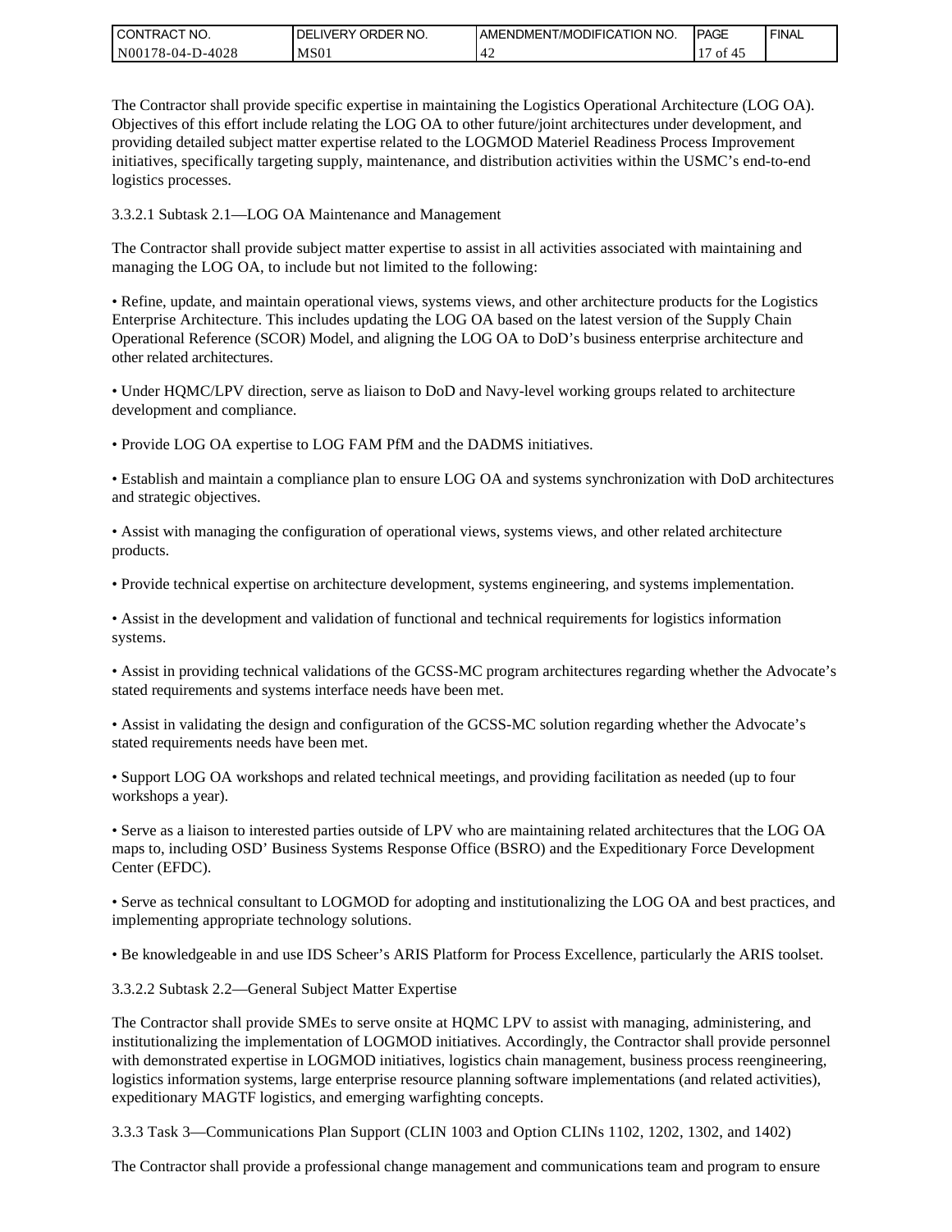| I CONTRACT NO.        | ORDER<br>`NO.<br><b>DELIVERY</b> | I AMENDMENT/MODIFICATION NO. | <b>IPAGE</b> | <b>FINAL</b> |
|-----------------------|----------------------------------|------------------------------|--------------|--------------|
| N001<br>178-04-D-4028 | MS <sub>01</sub>                 | т∠                           | ΟĪ           |              |

The Contractor shall provide specific expertise in maintaining the Logistics Operational Architecture (LOG OA). Objectives of this effort include relating the LOG OA to other future/joint architectures under development, and providing detailed subject matter expertise related to the LOGMOD Materiel Readiness Process Improvement initiatives, specifically targeting supply, maintenance, and distribution activities within the USMC's end-to-end logistics processes.

3.3.2.1 Subtask 2.1—LOG OA Maintenance and Management

The Contractor shall provide subject matter expertise to assist in all activities associated with maintaining and managing the LOG OA, to include but not limited to the following:

• Refine, update, and maintain operational views, systems views, and other architecture products for the Logistics Enterprise Architecture. This includes updating the LOG OA based on the latest version of the Supply Chain Operational Reference (SCOR) Model, and aligning the LOG OA to DoD's business enterprise architecture and other related architectures.

• Under HQMC/LPV direction, serve as liaison to DoD and Navy-level working groups related to architecture development and compliance.

• Provide LOG OA expertise to LOG FAM PfM and the DADMS initiatives.

• Establish and maintain a compliance plan to ensure LOG OA and systems synchronization with DoD architectures and strategic objectives.

• Assist with managing the configuration of operational views, systems views, and other related architecture products.

• Provide technical expertise on architecture development, systems engineering, and systems implementation.

• Assist in the development and validation of functional and technical requirements for logistics information systems.

• Assist in providing technical validations of the GCSS-MC program architectures regarding whether the Advocate's stated requirements and systems interface needs have been met.

• Assist in validating the design and configuration of the GCSS-MC solution regarding whether the Advocate's stated requirements needs have been met.

• Support LOG OA workshops and related technical meetings, and providing facilitation as needed (up to four workshops a year).

• Serve as a liaison to interested parties outside of LPV who are maintaining related architectures that the LOG OA maps to, including OSD' Business Systems Response Office (BSRO) and the Expeditionary Force Development Center (EFDC).

• Serve as technical consultant to LOGMOD for adopting and institutionalizing the LOG OA and best practices, and implementing appropriate technology solutions.

• Be knowledgeable in and use IDS Scheer's ARIS Platform for Process Excellence, particularly the ARIS toolset.

3.3.2.2 Subtask 2.2—General Subject Matter Expertise

The Contractor shall provide SMEs to serve onsite at HQMC LPV to assist with managing, administering, and institutionalizing the implementation of LOGMOD initiatives. Accordingly, the Contractor shall provide personnel with demonstrated expertise in LOGMOD initiatives, logistics chain management, business process reengineering, logistics information systems, large enterprise resource planning software implementations (and related activities), expeditionary MAGTF logistics, and emerging warfighting concepts.

3.3.3 Task 3—Communications Plan Support (CLIN 1003 and Option CLINs 1102, 1202, 1302, and 1402)

The Contractor shall provide a professional change management and communications team and program to ensure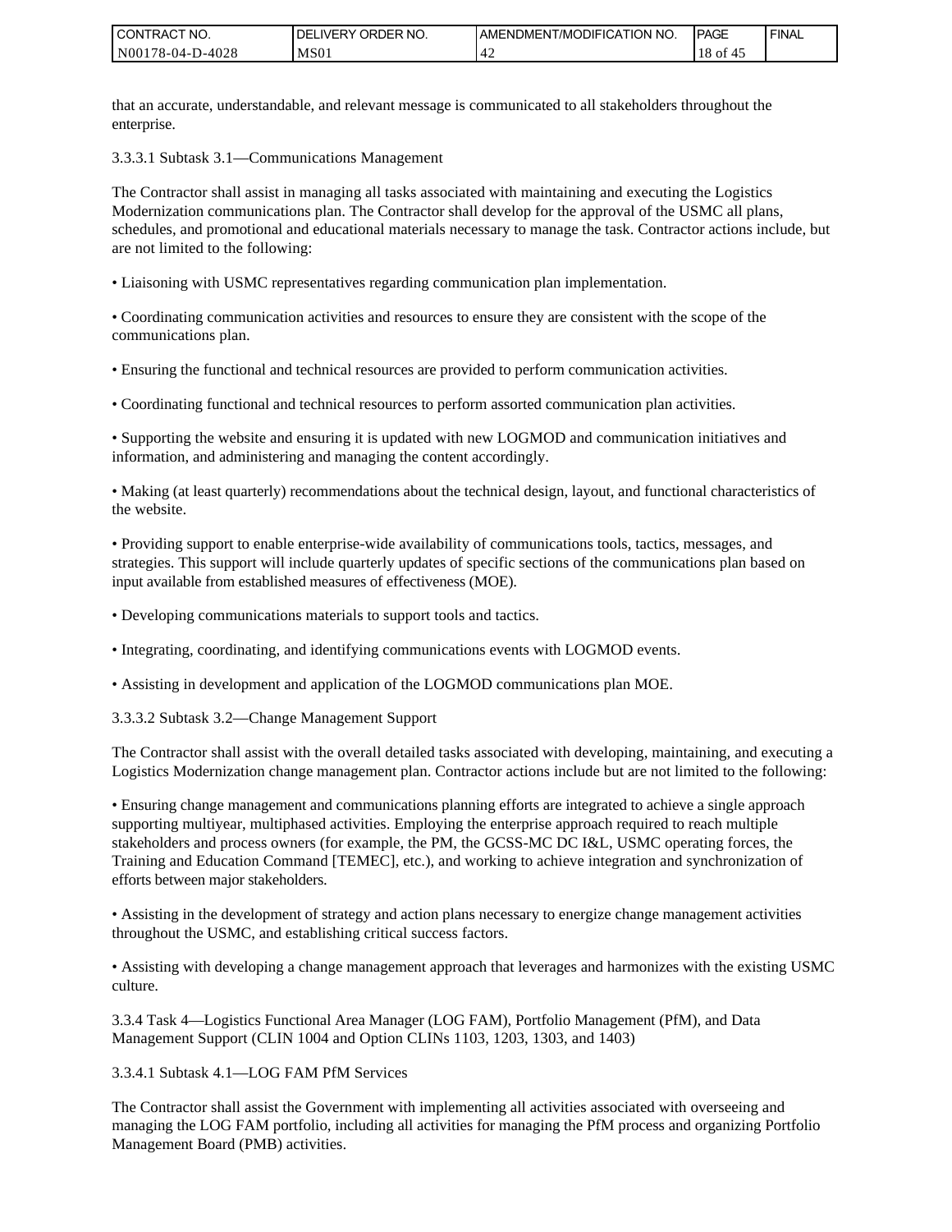| <b>CONTRACT NO.</b> | <b>IDELIVERY ORDER NO.</b> | <b>JAMENDMENT/MODIFICATION NO.</b> | <b>PAGE</b> | <b>FINAL</b> |
|---------------------|----------------------------|------------------------------------|-------------|--------------|
| N00178-04-D-4028    | MS01                       | ∸<br>т 4                           | οt<br>-43   |              |

that an accurate, understandable, and relevant message is communicated to all stakeholders throughout the enterprise.

3.3.3.1 Subtask 3.1—Communications Management

The Contractor shall assist in managing all tasks associated with maintaining and executing the Logistics Modernization communications plan. The Contractor shall develop for the approval of the USMC all plans, schedules, and promotional and educational materials necessary to manage the task. Contractor actions include, but are not limited to the following:

• Liaisoning with USMC representatives regarding communication plan implementation.

• Coordinating communication activities and resources to ensure they are consistent with the scope of the communications plan.

• Ensuring the functional and technical resources are provided to perform communication activities.

• Coordinating functional and technical resources to perform assorted communication plan activities.

• Supporting the website and ensuring it is updated with new LOGMOD and communication initiatives and information, and administering and managing the content accordingly.

• Making (at least quarterly) recommendations about the technical design, layout, and functional characteristics of the website.

• Providing support to enable enterprise-wide availability of communications tools, tactics, messages, and strategies. This support will include quarterly updates of specific sections of the communications plan based on input available from established measures of effectiveness (MOE).

• Developing communications materials to support tools and tactics.

• Integrating, coordinating, and identifying communications events with LOGMOD events.

• Assisting in development and application of the LOGMOD communications plan MOE.

3.3.3.2 Subtask 3.2—Change Management Support

The Contractor shall assist with the overall detailed tasks associated with developing, maintaining, and executing a Logistics Modernization change management plan. Contractor actions include but are not limited to the following:

• Ensuring change management and communications planning efforts are integrated to achieve a single approach supporting multiyear, multiphased activities. Employing the enterprise approach required to reach multiple stakeholders and process owners (for example, the PM, the GCSS-MC DC I&L, USMC operating forces, the Training and Education Command [TEMEC], etc.), and working to achieve integration and synchronization of efforts between major stakeholders. CONTRACT NO.<br>
NO0178-04-D-4028<br>
MS01<br>
Internation accurate, understandable, and interprise.<br>
4.1.3.3.1 Subtask 3.1—Communication<br>
The Contractor shall assist in managiement<br>
Modernization communications plan.<br>
are not limi

• Assisting in the development of strategy and action plans necessary to energize change management activities throughout the USMC, and establishing critical success factors.

• Assisting with developing a change management approach that leverages and harmonizes with the existing USMC culture.

3.3.4 Task 4—Logistics Functional Area Manager (LOG FAM), Portfolio Management (PfM), and Data Management Support (CLIN 1004 and Option CLINs 1103, 1203, 1303, and 1403)

3.3.4.1 Subtask 4.1—LOG FAM PfM Services

The Contractor shall assist the Government with implementing all activities associated with overseeing and managing the LOG FAM portfolio, including all activities for managing the PfM process and organizing Portfolio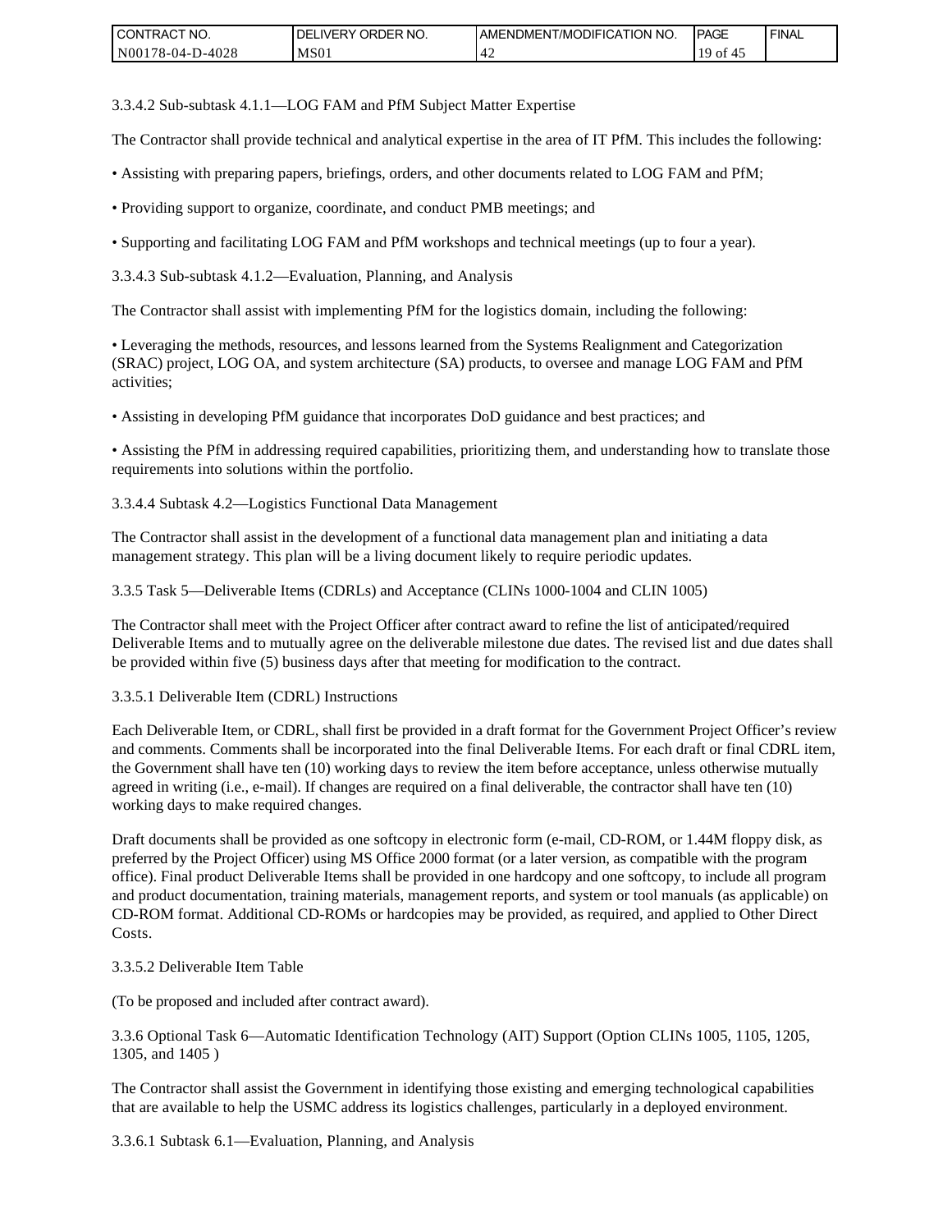| <b>CONTRACT NO.</b> | NO.<br><b>DELIVERY ORDER</b> | AMENDMENT/MODIFICATION NO. | <b>IPAGE</b> | <b>I FINAL</b> |
|---------------------|------------------------------|----------------------------|--------------|----------------|
| N00178-04-D-4028    | MS <sub>01</sub>             |                            | 1 Q<br>0Ī    |                |

3.3.4.2 Sub-subtask 4.1.1—LOG FAM and PfM Subject Matter Expertise

The Contractor shall provide technical and analytical expertise in the area of IT PfM. This includes the following:

- Assisting with preparing papers, briefings, orders, and other documents related to LOG FAM and PfM;
- Providing support to organize, coordinate, and conduct PMB meetings; and
- Supporting and facilitating LOG FAM and PfM workshops and technical meetings (up to four a year).
- 3.3.4.3 Sub-subtask 4.1.2—Evaluation, Planning, and Analysis

The Contractor shall assist with implementing PfM for the logistics domain, including the following:

• Leveraging the methods, resources, and lessons learned from the Systems Realignment and Categorization (SRAC) project, LOG OA, and system architecture (SA) products, to oversee and manage LOG FAM and PfM activities;

• Assisting in developing PfM guidance that incorporates DoD guidance and best practices; and

• Assisting the PfM in addressing required capabilities, prioritizing them, and understanding how to translate those requirements into solutions within the portfolio.

3.3.4.4 Subtask 4.2—Logistics Functional Data Management

The Contractor shall assist in the development of a functional data management plan and initiating a data management strategy. This plan will be a living document likely to require periodic updates.

3.3.5 Task 5—Deliverable Items (CDRLs) and Acceptance (CLINs 1000-1004 and CLIN 1005)

The Contractor shall meet with the Project Officer after contract award to refine the list of anticipated/required Deliverable Items and to mutually agree on the deliverable milestone due dates. The revised list and due dates shall be provided within five (5) business days after that meeting for modification to the contract.

3.3.5.1 Deliverable Item (CDRL) Instructions

Each Deliverable Item, or CDRL, shall first be provided in a draft format for the Government Project Officer's review and comments. Comments shall be incorporated into the final Deliverable Items. For each draft or final CDRL item, the Government shall have ten (10) working days to review the item before acceptance, unless otherwise mutually agreed in writing (i.e., e-mail). If changes are required on a final deliverable, the contractor shall have ten (10) working days to make required changes.

Draft documents shall be provided as one softcopy in electronic form (e-mail, CD-ROM, or 1.44M floppy disk, as preferred by the Project Officer) using MS Office 2000 format (or a later version, as compatible with the program office). Final product Deliverable Items shall be provided in one hardcopy and one softcopy, to include all program and product documentation, training materials, management reports, and system or tool manuals (as applicable) on CD-ROM format. Additional CD-ROMs or hardcopies may be provided, as required, and applied to Other Direct Costs. CONTRACT NO.<br>
NORTRACT NO.<br>
NORTRACT NO.<br>
NORTRACT NO.<br>
NORTRACT NORTRACT AND HISOL 213.3.4.2 Sub-subtask 4.1.1—1.OG FAM and PIM Subject I<br>The Contractor shall provide technical and analytical experiments.<br>
The Contractor

### 3.3.5.2 Deliverable Item Table

(To be proposed and included after contract award).

```
3.3.6 Optional Task 6—Automatic Identification Technology (AIT) Support (Option CLINs 1005, 1105, 1205,
1305, and 1405 )
```
The Contractor shall assist the Government in identifying those existing and emerging technological capabilities that are available to help the USMC address its logistics challenges, particularly in a deployed environment.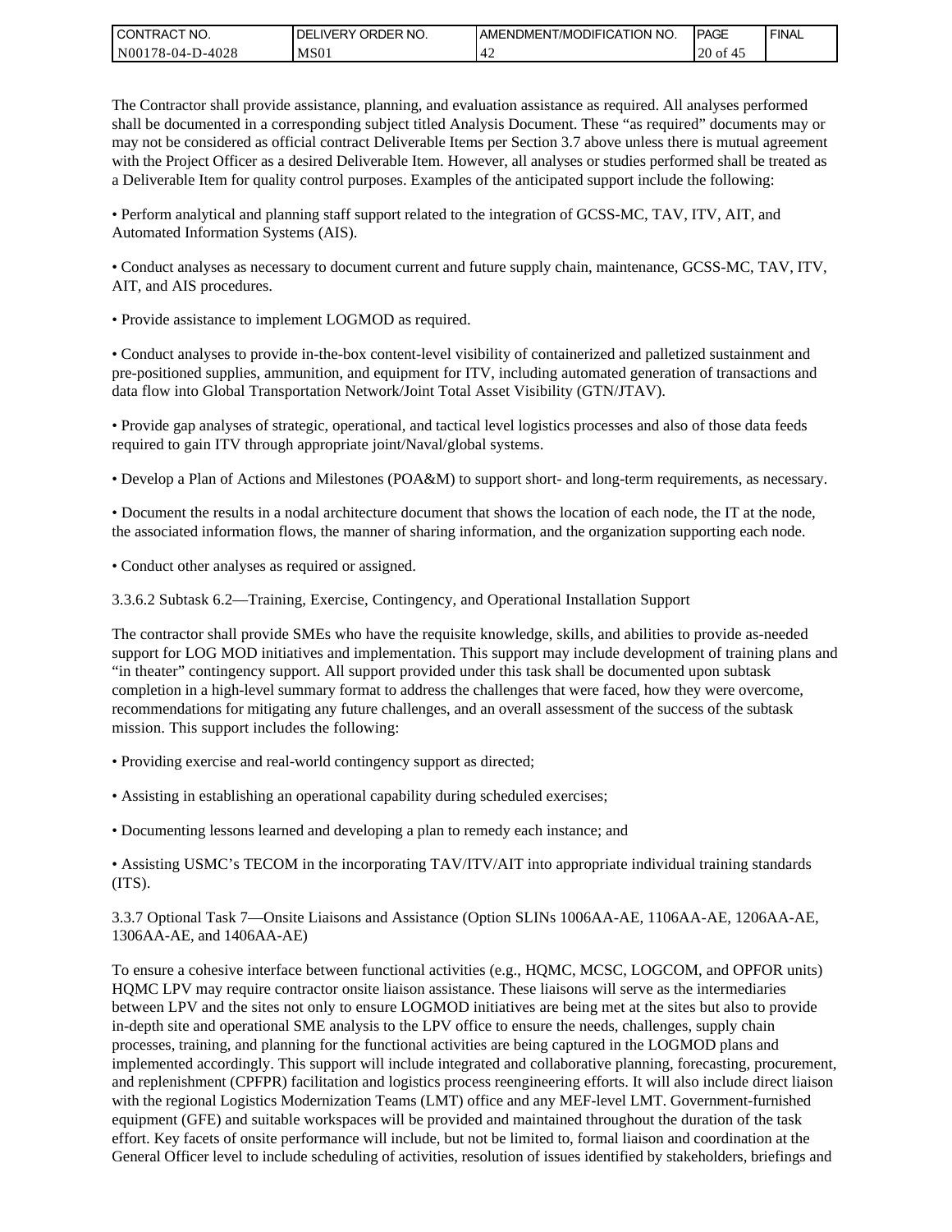| <b>CONTRACT NO.</b> | NO.<br>' ORDER<br><b>DELIVERY</b> | AMENDMENT/MODIFICATION NO. | <b>IPAGE</b> | <b>FINAL</b> |
|---------------------|-----------------------------------|----------------------------|--------------|--------------|
| N00178-04-D-4028    | MS01                              | г.                         | $20$ of      |              |

The Contractor shall provide assistance, planning, and evaluation assistance as required. All analyses performed shall be documented in a corresponding subject titled Analysis Document. These "as required" documents may or may not be considered as official contract Deliverable Items per Section 3.7 above unless there is mutual agreement with the Project Officer as a desired Deliverable Item. However, all analyses or studies performed shall be treated as a Deliverable Item for quality control purposes. Examples of the anticipated support include the following:

• Perform analytical and planning staff support related to the integration of GCSS-MC, TAV, ITV, AIT, and Automated Information Systems (AIS).

• Conduct analyses as necessary to document current and future supply chain, maintenance, GCSS-MC, TAV, ITV, AIT, and AIS procedures.

• Provide assistance to implement LOGMOD as required.

• Conduct analyses to provide in-the-box content-level visibility of containerized and palletized sustainment and pre-positioned supplies, ammunition, and equipment for ITV, including automated generation of transactions and data flow into Global Transportation Network/Joint Total Asset Visibility (GTN/JTAV).

• Provide gap analyses of strategic, operational, and tactical level logistics processes and also of those data feeds required to gain ITV through appropriate joint/Naval/global systems.

• Develop a Plan of Actions and Milestones (POA&M) to support short- and long-term requirements, as necessary.

• Document the results in a nodal architecture document that shows the location of each node, the IT at the node, the associated information flows, the manner of sharing information, and the organization supporting each node.

• Conduct other analyses as required or assigned.

3.3.6.2 Subtask 6.2—Training, Exercise, Contingency, and Operational Installation Support

The contractor shall provide SMEs who have the requisite knowledge, skills, and abilities to provide as-needed support for LOG MOD initiatives and implementation. This support may include development of training plans and "in theater" contingency support. All support provided under this task shall be documented upon subtask completion in a high-level summary format to address the challenges that were faced, how they were overcome, recommendations for mitigating any future challenges, and an overall assessment of the success of the subtask mission. This support includes the following:

- Providing exercise and real-world contingency support as directed;
- Assisting in establishing an operational capability during scheduled exercises;
- Documenting lessons learned and developing a plan to remedy each instance; and

• Assisting USMC's TECOM in the incorporating TAV/ITV/AIT into appropriate individual training standards (ITS).

3.3.7 Optional Task 7—Onsite Liaisons and Assistance (Option SLINs 1006AA-AE, 1106AA-AE, 1206AA-AE, 1306AA-AE, and 1406AA-AE)

To ensure a cohesive interface between functional activities (e.g., HQMC, MCSC, LOGCOM, and OPFOR units) HQMC LPV may require contractor onsite liaison assistance. These liaisons will serve as the intermediaries between LPV and the sites not only to ensure LOGMOD initiatives are being met at the sites but also to provide in-depth site and operational SME analysis to the LPV office to ensure the needs, challenges, supply chain processes, training, and planning for the functional activities are being captured in the LOGMOD plans and implemented accordingly. This support will include integrated and collaborative planning, forecasting, procurement, and replenishment (CPFPR) facilitation and logistics process reengineering efforts. It will also include direct liaison with the regional Logistics Modernization Teams (LMT) office and any MEF-level LMT. Government-furnished equipment (GFE) and suitable workspaces will be provided and maintained throughout the duration of the task effort. Key facets of onsite performance will include, but not be limited to, formal liaison and coordination at the General Officer level to include scheduling of activities, resolution of issues identified by stakeholders, briefings and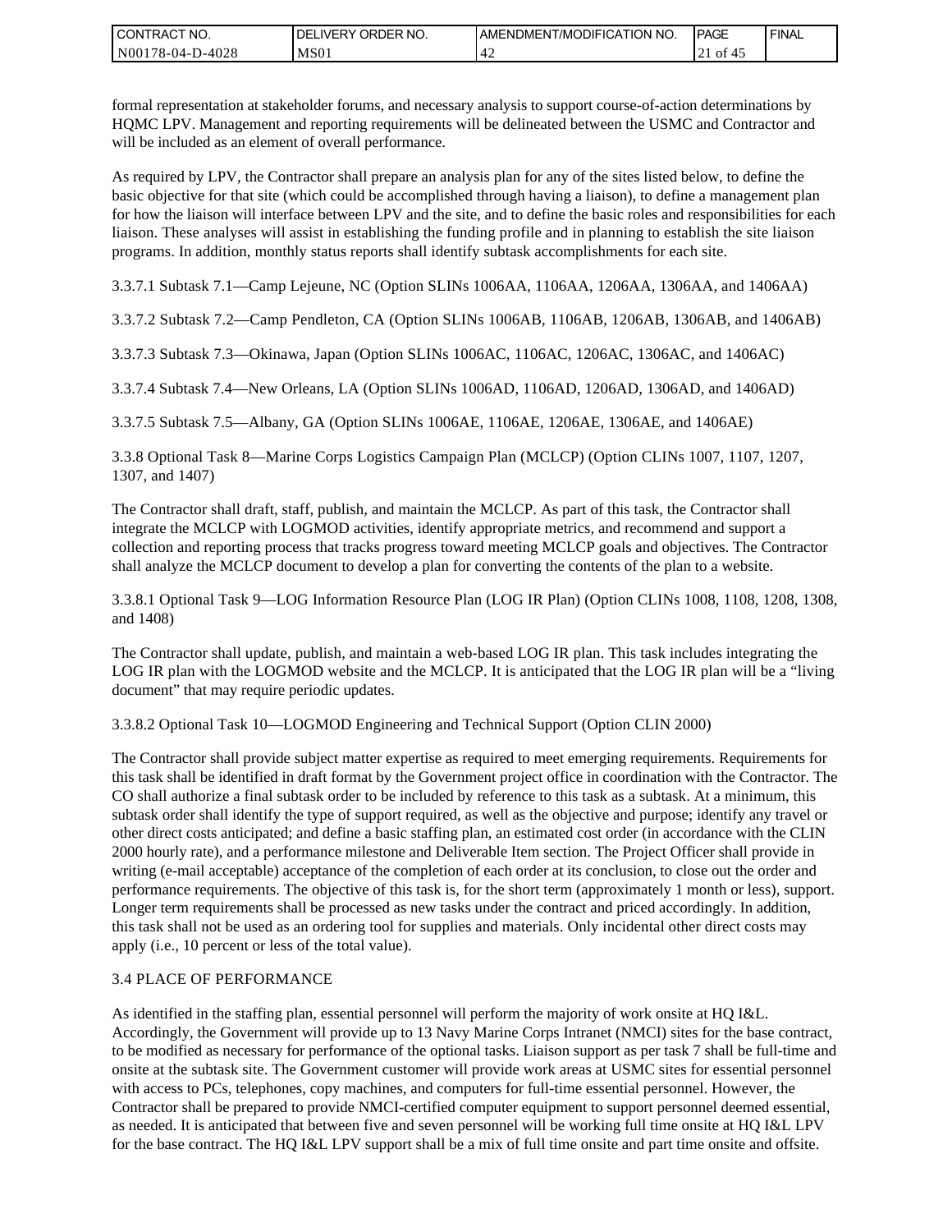| <b>CONTRACT NO.</b> | ' ORDER NO.<br><b>DELIVERY</b> | <b>I AMENDMENT/MODIFICATION NO.</b> | <b>PAGE</b>      | <b>FINAL</b> |
|---------------------|--------------------------------|-------------------------------------|------------------|--------------|
| N00178-04-D-4028    | MS01                           | ⊶<br>т 4                            | 0Ì<br>$\angle$ 1 |              |

formal representation at stakeholder forums, and necessary analysis to support course-of-action determinations by HQMC LPV. Management and reporting requirements will be delineated between the USMC and Contractor and will be included as an element of overall performance.

As required by LPV, the Contractor shall prepare an analysis plan for any of the sites listed below, to define the basic objective for that site (which could be accomplished through having a liaison), to define a management plan for how the liaison will interface between LPV and the site, and to define the basic roles and responsibilities for each liaison. These analyses will assist in establishing the funding profile and in planning to establish the site liaison programs. In addition, monthly status reports shall identify subtask accomplishments for each site.

3.3.7.1 Subtask 7.1—Camp Lejeune, NC (Option SLINs 1006AA, 1106AA, 1206AA, 1306AA, and 1406AA)

3.3.7.2 Subtask 7.2—Camp Pendleton, CA (Option SLINs 1006AB, 1106AB, 1206AB, 1306AB, and 1406AB)

3.3.7.3 Subtask 7.3—Okinawa, Japan (Option SLINs 1006AC, 1106AC, 1206AC, 1306AC, and 1406AC)

3.3.7.4 Subtask 7.4—New Orleans, LA (Option SLINs 1006AD, 1106AD, 1206AD, 1306AD, and 1406AD)

3.3.7.5 Subtask 7.5—Albany, GA (Option SLINs 1006AE, 1106AE, 1206AE, 1306AE, and 1406AE)

3.3.8 Optional Task 8—Marine Corps Logistics Campaign Plan (MCLCP) (Option CLINs 1007, 1107, 1207, 1307, and 1407)

The Contractor shall draft, staff, publish, and maintain the MCLCP. As part of this task, the Contractor shall integrate the MCLCP with LOGMOD activities, identify appropriate metrics, and recommend and support a collection and reporting process that tracks progress toward meeting MCLCP goals and objectives. The Contractor shall analyze the MCLCP document to develop a plan for converting the contents of the plan to a website.

3.3.8.1 Optional Task 9—LOG Information Resource Plan (LOG IR Plan) (Option CLINs 1008, 1108, 1208, 1308, and 1408)

The Contractor shall update, publish, and maintain a web-based LOG IR plan. This task includes integrating the LOG IR plan with the LOGMOD website and the MCLCP. It is anticipated that the LOG IR plan will be a "living document" that may require periodic updates.

3.3.8.2 Optional Task 10—LOGMOD Engineering and Technical Support (Option CLIN 2000)

The Contractor shall provide subject matter expertise as required to meet emerging requirements. Requirements for this task shall be identified in draft format by the Government project office in coordination with the Contractor. The CO shall authorize a final subtask order to be included by reference to this task as a subtask. At a minimum, this subtask order shall identify the type of support required, as well as the objective and purpose; identify any travel or other direct costs anticipated; and define a basic staffing plan, an estimated cost order (in accordance with the CLIN 2000 hourly rate), and a performance milestone and Deliverable Item section. The Project Officer shall provide in writing (e-mail acceptable) acceptance of the completion of each order at its conclusion, to close out the order and performance requirements. The objective of this task is, for the short term (approximately 1 month or less), support. Longer term requirements shall be processed as new tasks under the contract and priced accordingly. In addition, this task shall not be used as an ordering tool for supplies and materials. Only incidental other direct costs may apply (i.e., 10 percent or less of the total value). For the base contract in the base contract in the base contract of the base contract of the base contract of the base contract of the full time one of the full time one of the full time one of the full time of the full ti

### 3.4 PLACE OF PERFORMANCE

As identified in the staffing plan, essential personnel will perform the majority of work onsite at HQ I&L. Accordingly, the Government will provide up to 13 Navy Marine Corps Intranet (NMCI) sites for the base contract, to be modified as necessary for performance of the optional tasks. Liaison support as per task 7 shall be full-time and onsite at the subtask site. The Government customer will provide work areas at USMC sites for essential personnel with access to PCs, telephones, copy machines, and computers for full-time essential personnel. However, the Contractor shall be prepared to provide NMCI-certified computer equipment to support personnel deemed essential, as needed. It is anticipated that between five and seven personnel will be working full time onsite at HQ I&L LPV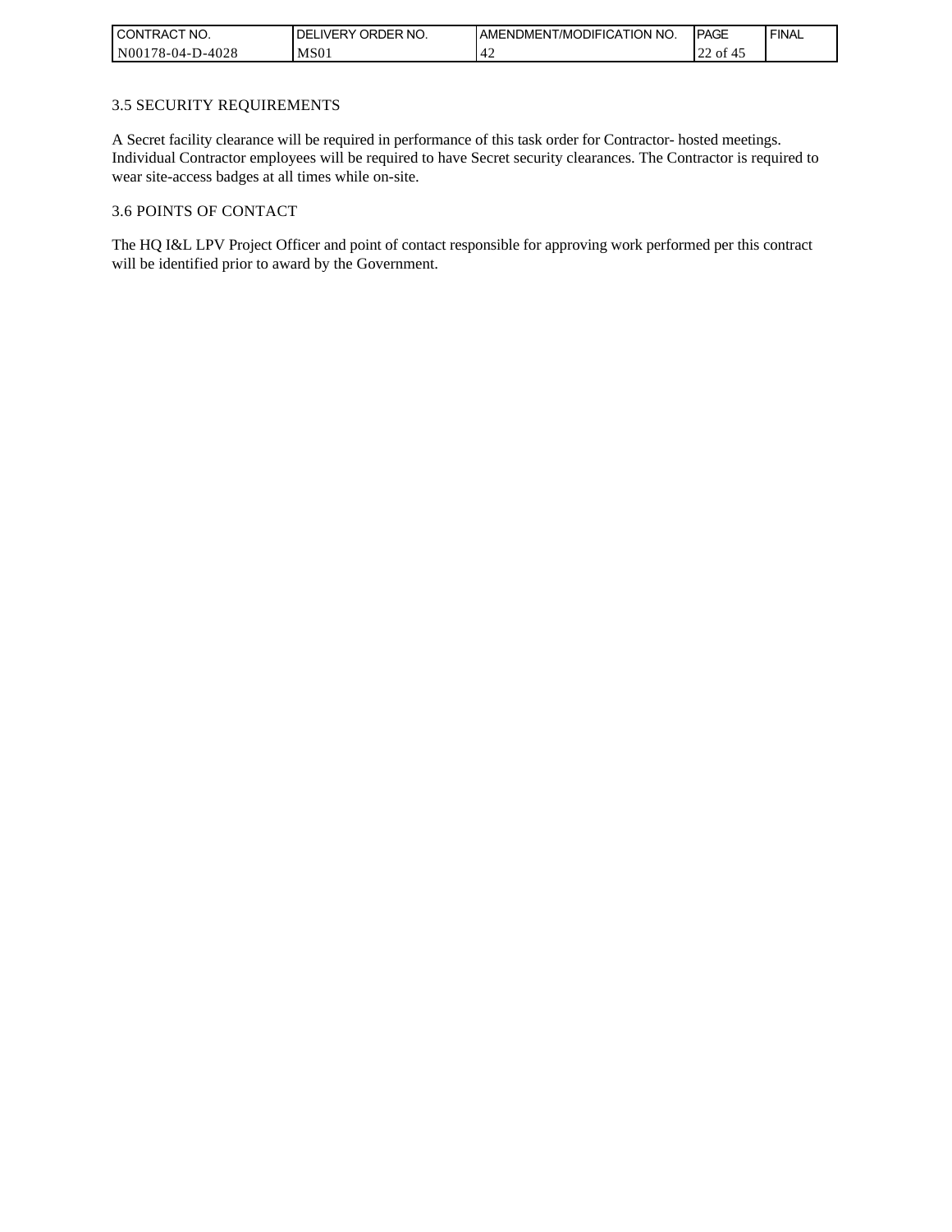| <b>CONTRACT NO.</b> | <b>IDELIVERY ORDER NO.</b> | <b>JAMENDMENT/MODIFICATION NO.</b> | PAGE       | <b>FINAL</b> |
|---------------------|----------------------------|------------------------------------|------------|--------------|
| N00178-04-D-4028    | MS <sub>01</sub>           | ⊶<br>r 2                           | of 45<br>∼ |              |

## 3.5 SECURITY REQUIREMENTS

A Secret facility clearance will be required in performance of this task order for Contractor- hosted meetings. Individual Contractor employees will be required to have Secret security clearances. The Contractor is required to wear site-access badges at all times while on-site.

#### 3.6 POINTS OF CONTACT

The HQ I&L LPV Project Officer and point of contact responsible for approving work performed per this contract will be identified prior to award by the Government.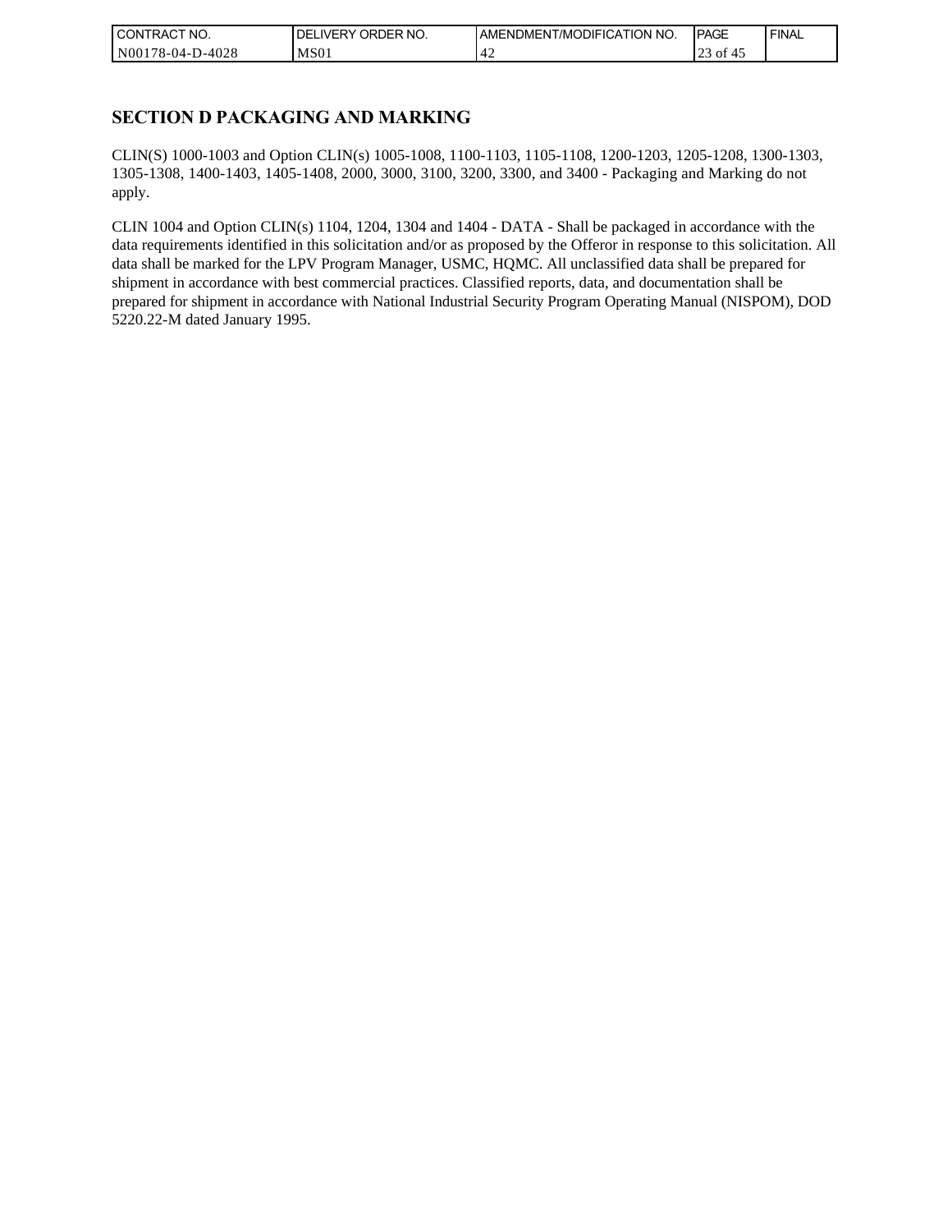| CONTRACT NO.     | NO.<br>ORDER <sup>'</sup><br><b>DELIVERY</b> | AMENDMENT/MODIFICATION NO. | <b>IPAGE</b> | <b>FINAL</b> |
|------------------|----------------------------------------------|----------------------------|--------------|--------------|
| N00178-04-D-4028 | MS <sub>01</sub>                             |                            | ΟĪ<br>رے     |              |

## **SECTION D PACKAGING AND MARKING**

CLIN(S) 1000-1003 and Option CLIN(s) 1005-1008, 1100-1103, 1105-1108, 1200-1203, 1205-1208, 1300-1303, 1305-1308, 1400-1403, 1405-1408, 2000, 3000, 3100, 3200, 3300, and 3400 - Packaging and Marking do not apply.

CLIN 1004 and Option CLIN(s) 1104, 1204, 1304 and 1404 - DATA - Shall be packaged in accordance with the data requirements identified in this solicitation and/or as proposed by the Offeror in response to this solicitation. All data shall be marked for the LPV Program Manager, USMC, HQMC. All unclassified data shall be prepared for shipment in accordance with best commercial practices. Classified reports, data, and documentation shall be prepared for shipment in accordance with National Industrial Security Program Operating Manual (NISPOM), DOD 5220.22-M dated January 1995.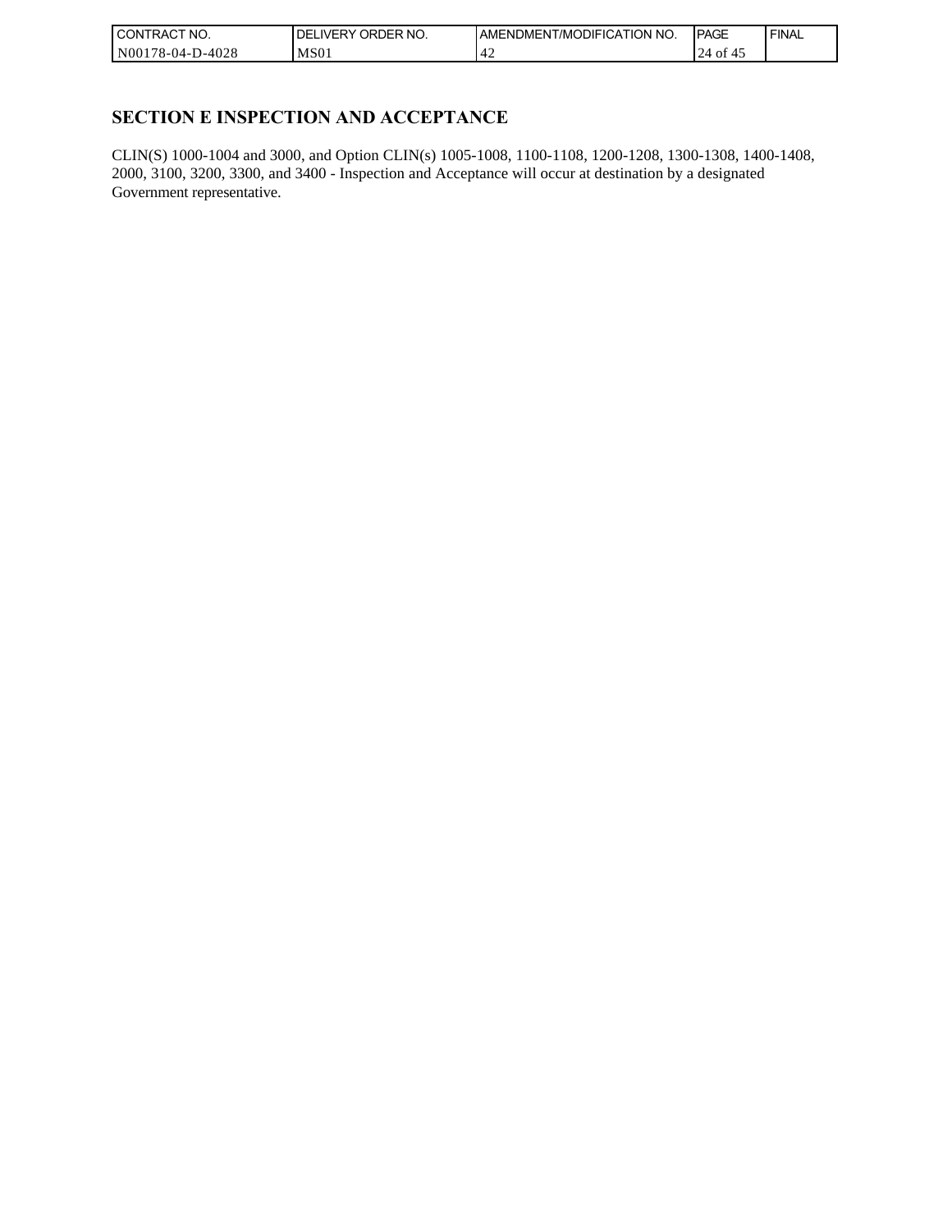| CONTRACT NO.     | ORDER NO.<br><b>IDELIVERY</b> | I AMENDMENT/MODIFICATION NO. | <b>PAGE</b>     | <b>FINAL</b> |
|------------------|-------------------------------|------------------------------|-----------------|--------------|
| N00178-04-D-4028 | MS <sub>01</sub>              | ┱∠                           | 24<br>ΟĪ<br>-41 |              |

## **SECTION E INSPECTION AND ACCEPTANCE**

CLIN(S) 1000-1004 and 3000, and Option CLIN(s) 1005-1008, 1100-1108, 1200-1208, 1300-1308, 1400-1408, 2000, 3100, 3200, 3300, and 3400 - Inspection and Acceptance will occur at destination by a designated Government representative.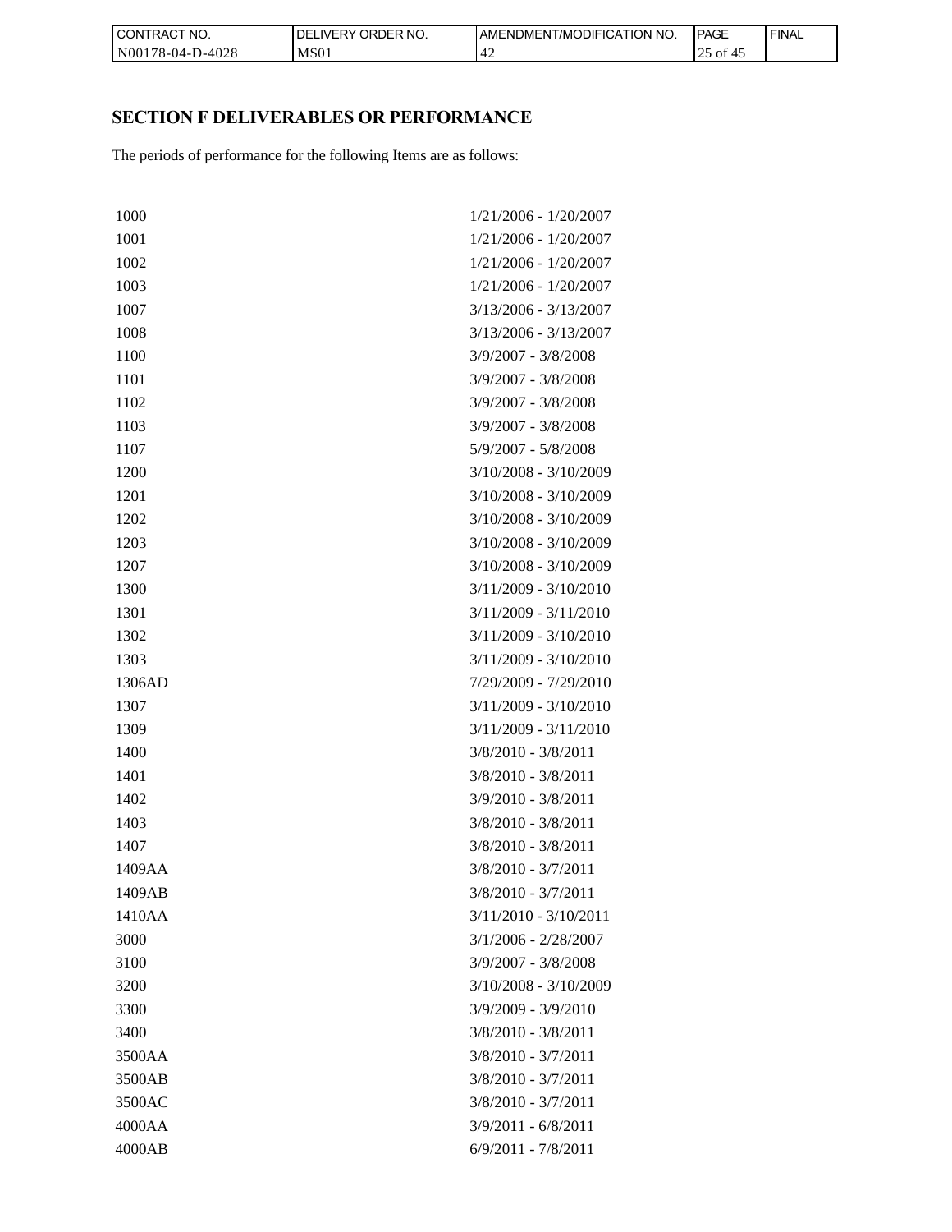| l CON <sup>-</sup><br><b>'TRACT NO.</b> | `NO.<br><b>DELIVERY ORDER</b> | <b>IAMENDMENT/MODIFICATION NO.</b> | <b>PAGE</b> | ' FINAL |
|-----------------------------------------|-------------------------------|------------------------------------|-------------|---------|
| N00178-04-D-4028                        | MS <sub>01</sub>              |                                    | ΟĪ<br>ر_    |         |

# **SECTION F DELIVERABLES OR PERFORMANCE**

| CONTRACT NO.     | DELIVERY ORDER NO.                                                 | AMENDMENT/MODIFICAT     |
|------------------|--------------------------------------------------------------------|-------------------------|
| N00178-04-D-4028 | <b>MS01</b>                                                        | 42                      |
|                  |                                                                    |                         |
|                  |                                                                    |                         |
|                  | SECTION F DELIVERABLES OR PERFORMANCE                              |                         |
|                  | The periods of performance for the following Items are as follows: |                         |
|                  |                                                                    |                         |
|                  |                                                                    |                         |
| 1000             |                                                                    | 1/21/2006 - 1/20/2007   |
| 1001             |                                                                    | 1/21/2006 - 1/20/2007   |
| 1002             |                                                                    | 1/21/2006 - 1/20/2007   |
| 1003             |                                                                    | 1/21/2006 - 1/20/2007   |
| 1007             |                                                                    | $3/13/2006 - 3/13/2007$ |
| 1008             |                                                                    | $3/13/2006 - 3/13/2007$ |
| 1100             |                                                                    | $3/9/2007 - 3/8/2008$   |
| 1101             |                                                                    | $3/9/2007 - 3/8/2008$   |
| 1102             |                                                                    | $3/9/2007 - 3/8/2008$   |
| 1103             |                                                                    | $3/9/2007 - 3/8/2008$   |
| 1107             |                                                                    | $5/9/2007 - 5/8/2008$   |
| 1200             |                                                                    | $3/10/2008 - 3/10/2009$ |
| 1201             |                                                                    | $3/10/2008 - 3/10/2009$ |
| 1202             |                                                                    | $3/10/2008 - 3/10/2009$ |
| 1203             |                                                                    | $3/10/2008 - 3/10/2009$ |
| 1207             |                                                                    | $3/10/2008 - 3/10/2009$ |
| 1300             |                                                                    | $3/11/2009 - 3/10/2010$ |
| 1301             |                                                                    | $3/11/2009 - 3/11/2010$ |
| 1302             |                                                                    | $3/11/2009 - 3/10/2010$ |
| 1303             |                                                                    | $3/11/2009 - 3/10/2010$ |
| 1306AD           |                                                                    | 7/29/2009 - 7/29/2010   |
| 1307             |                                                                    | $3/11/2009 - 3/10/2010$ |
| 1309             |                                                                    | 3/11/2009 - 3/11/2010   |
| 1400             |                                                                    | 3/8/2010 - 3/8/2011     |
| 1401             |                                                                    | $3/8/2010 - 3/8/2011$   |
| 1402             |                                                                    | $3/9/2010 - 3/8/2011$   |
| 1403             |                                                                    | $3/8/2010 - 3/8/2011$   |
| 1407             |                                                                    | $3/8/2010 - 3/8/2011$   |
| 1409AA           |                                                                    | $3/8/2010 - 3/7/2011$   |
| 1409AB           |                                                                    | $3/8/2010 - 3/7/2011$   |
| 1410AA           |                                                                    | $3/11/2010 - 3/10/2011$ |
| 3000             |                                                                    | $3/1/2006 - 2/28/2007$  |
| 3100             |                                                                    | $3/9/2007 - 3/8/2008$   |
| 3200             |                                                                    | $3/10/2008 - 3/10/2009$ |
| 3300             |                                                                    | $3/9/2009 - 3/9/2010$   |
| 3400             |                                                                    | $3/8/2010 - 3/8/2011$   |
| 3500AA           |                                                                    | $3/8/2010 - 3/7/2011$   |
| 3500AB           |                                                                    | $3/8/2010 - 3/7/2011$   |
| 3500AC           |                                                                    | $3/8/2010 - 3/7/2011$   |
| 4000AA           |                                                                    | $3/9/2011 - 6/8/2011$   |
| 4000AB           |                                                                    | $6/9/2011 - 7/8/2011$   |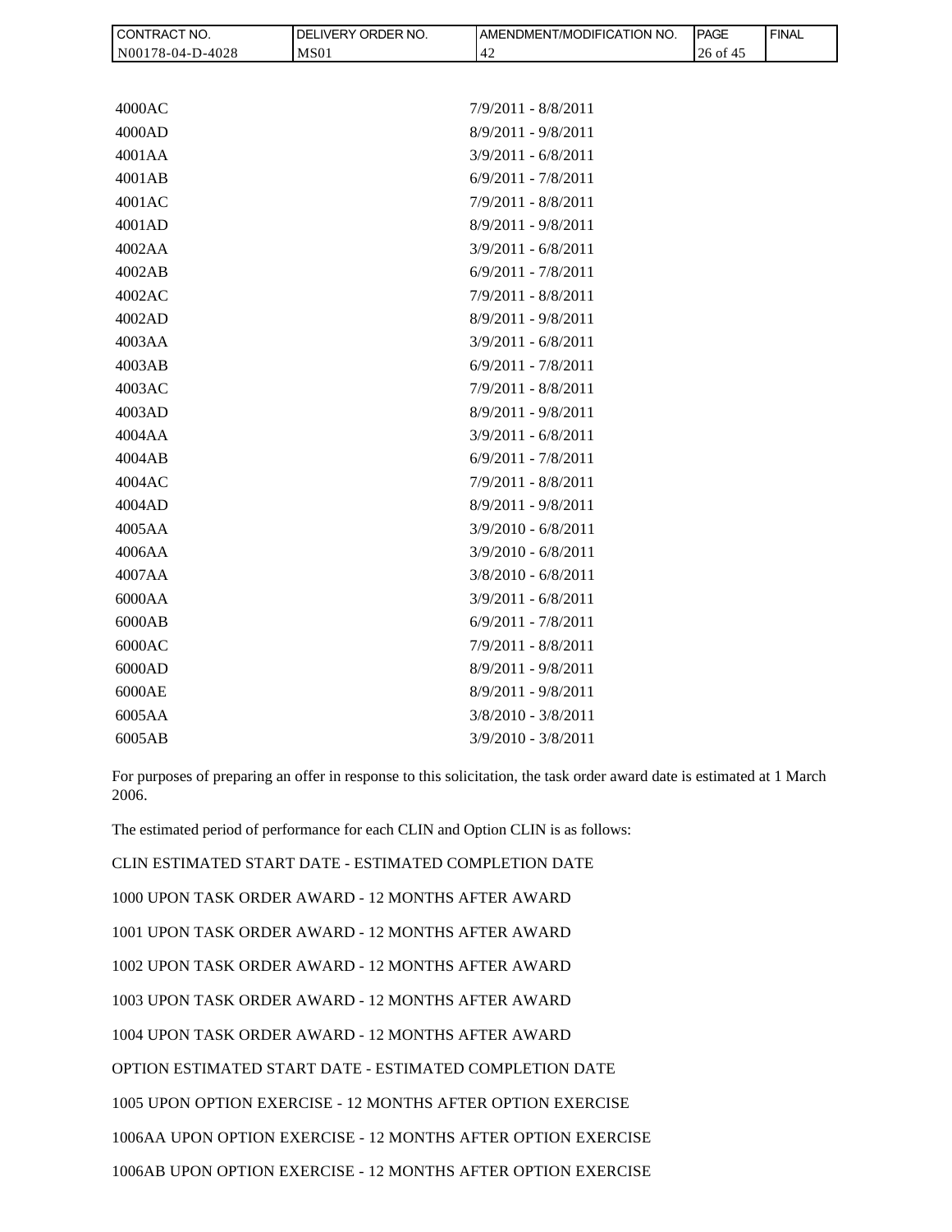| CONTRACT NO.     | DELIVERY ORDER NO. | AMENDMENT/MODIFICATION NO. | <b>PAGE</b> | <b>FINAL</b> |
|------------------|--------------------|----------------------------|-------------|--------------|
| N00178-04-D-4028 | <b>MS01</b>        | 42                         | 26 of 45    |              |
|                  |                    |                            |             |              |
| 4000AC           |                    | $7/9/2011 - 8/8/2011$      |             |              |
| 4000AD           |                    | $8/9/2011 - 9/8/2011$      |             |              |
| 4001AA           |                    | $3/9/2011 - 6/8/2011$      |             |              |
| 4001AB           |                    | $6/9/2011 - 7/8/2011$      |             |              |
| 4001AC           |                    | $7/9/2011 - 8/8/2011$      |             |              |
| 4001AD           |                    | $8/9/2011 - 9/8/2011$      |             |              |
| 4002AA           |                    | $3/9/2011 - 6/8/2011$      |             |              |
| 4002AB           |                    | $6/9/2011 - 7/8/2011$      |             |              |
| 4002AC           |                    | $7/9/2011 - 8/8/2011$      |             |              |
| 4002AD           |                    | $8/9/2011 - 9/8/2011$      |             |              |
| 4003AA           |                    | $3/9/2011 - 6/8/2011$      |             |              |
| 4003AB           |                    | $6/9/2011 - 7/8/2011$      |             |              |
| 4003AC           |                    | $7/9/2011 - 8/8/2011$      |             |              |
| 4003AD           |                    | $8/9/2011 - 9/8/2011$      |             |              |
| 4004AA           |                    | $3/9/2011 - 6/8/2011$      |             |              |
| 4004AB           |                    | $6/9/2011 - 7/8/2011$      |             |              |
| 4004AC           |                    | $7/9/2011 - 8/8/2011$      |             |              |
| 4004AD           |                    | $8/9/2011 - 9/8/2011$      |             |              |
| 4005AA           |                    | $3/9/2010 - 6/8/2011$      |             |              |
| 4006AA           |                    | $3/9/2010 - 6/8/2011$      |             |              |
| 4007AA           |                    | $3/8/2010 - 6/8/2011$      |             |              |
| 6000AA           |                    | $3/9/2011 - 6/8/2011$      |             |              |
| 6000AB           |                    | $6/9/2011 - 7/8/2011$      |             |              |
| 6000AC           |                    | $7/9/2011 - 8/8/2011$      |             |              |
| 6000AD           |                    | $8/9/2011 - 9/8/2011$      |             |              |
| 6000AE           |                    | $8/9/2011 - 9/8/2011$      |             |              |
| 6005AA           |                    | $3/8/2010 - 3/8/2011$      |             |              |

For purposes of preparing an offer in response to this solicitation, the task order award date is estimated at 1 March 2006.

The estimated period of performance for each CLIN and Option CLIN is as follows:

6005AB 3/9/2010 - 3/8/2011

CLIN ESTIMATED START DATE - ESTIMATED COMPLETION DATE 1000 UPON TASK ORDER AWARD - 12 MONTHS AFTER AWARD 1001 UPON TASK ORDER AWARD - 12 MONTHS AFTER AWARD 1002 UPON TASK ORDER AWARD - 12 MONTHS AFTER AWARD 1003 UPON TASK ORDER AWARD - 12 MONTHS AFTER AWARD 1004 UPON TASK ORDER AWARD - 12 MONTHS AFTER AWARD OPTION ESTIMATED START DATE - ESTIMATED COMPLETION DATE 1005 UPON OPTION EXERCISE - 12 MONTHS AFTER OPTION EXERCISE 1006AA UPON OPTION EXERCISE - 12 MONTHS AFTER OPTION EXERCISE 1006AB UPON OPTION EXERCISE - 12 MONTHS AFTER OPTION EXERCISE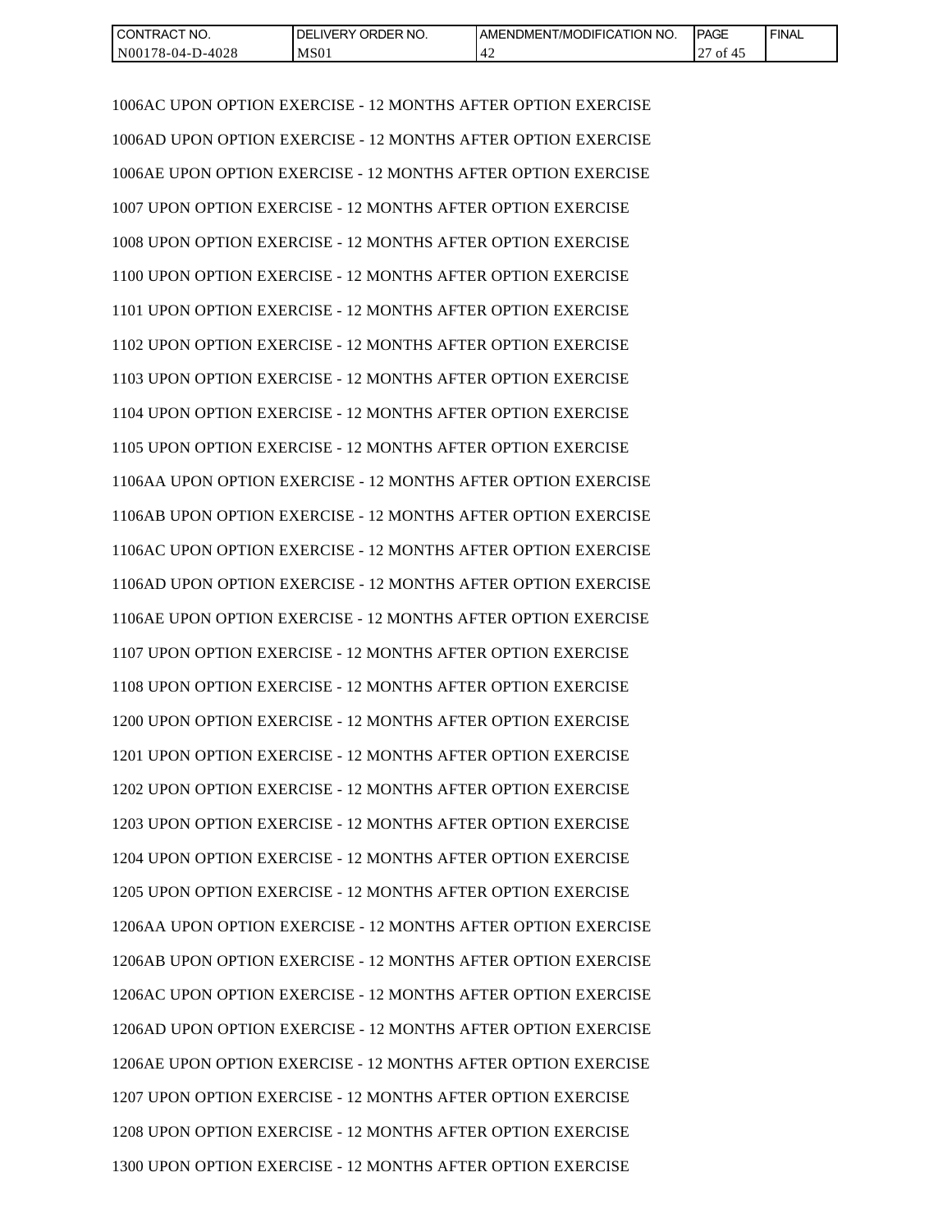| CONTRACT NO.     | NO.<br>' ORDER<br>IDEL.<br>IVERY | <b>IAMENDMENT/MODIFICATION NO.</b> | <b>PAGE</b>  | <b>FINAL</b> |
|------------------|----------------------------------|------------------------------------|--------------|--------------|
| N00178-04-D-4028 | MS <sub>01</sub>                 |                                    | ΟĪ<br>≖<br>∼ |              |

1006AC UPON OPTION EXERCISE - 12 MONTHS AFTER OPTION EXERCISE 1006AD UPON OPTION EXERCISE - 12 MONTHS AFTER OPTION EXERCISE 1006AE UPON OPTION EXERCISE - 12 MONTHS AFTER OPTION EXERCISE 1007 UPON OPTION EXERCISE - 12 MONTHS AFTER OPTION EXERCISE 1008 UPON OPTION EXERCISE - 12 MONTHS AFTER OPTION EXERCISE 1100 UPON OPTION EXERCISE - 12 MONTHS AFTER OPTION EXERCISE 1101 UPON OPTION EXERCISE - 12 MONTHS AFTER OPTION EXERCISE 1102 UPON OPTION EXERCISE - 12 MONTHS AFTER OPTION EXERCISE 1103 UPON OPTION EXERCISE - 12 MONTHS AFTER OPTION EXERCISE 1104 UPON OPTION EXERCISE - 12 MONTHS AFTER OPTION EXERCISE 1105 UPON OPTION EXERCISE - 12 MONTHS AFTER OPTION EXERCISE 1106AA UPON OPTION EXERCISE - 12 MONTHS AFTER OPTION EXERCISE 1106AB UPON OPTION EXERCISE - 12 MONTHS AFTER OPTION EXERCISE 1106AC UPON OPTION EXERCISE - 12 MONTHS AFTER OPTION EXERCISE 1106AD UPON OPTION EXERCISE - 12 MONTHS AFTER OPTION EXERCISE 1106AE UPON OPTION EXERCISE - 12 MONTHS AFTER OPTION EXERCISE 1107 UPON OPTION EXERCISE - 12 MONTHS AFTER OPTION EXERCISE 1108 UPON OPTION EXERCISE - 12 MONTHS AFTER OPTION EXERCISE 1200 UPON OPTION EXERCISE - 12 MONTHS AFTER OPTION EXERCISE 1201 UPON OPTION EXERCISE - 12 MONTHS AFTER OPTION EXERCISE 1202 UPON OPTION EXERCISE - 12 MONTHS AFTER OPTION EXERCISE 1203 UPON OPTION EXERCISE - 12 MONTHS AFTER OPTION EXERCISE 1204 UPON OPTION EXERCISE - 12 MONTHS AFTER OPTION EXERCISE 1205 UPON OPTION EXERCISE - 12 MONTHS AFTER OPTION EXERCISE 1206AA UPON OPTION EXERCISE - 12 MONTHS AFTER OPTION EXERCISE 1206AB UPON OPTION EXERCISE - 12 MONTHS AFTER OPTION EXERCISE 1206AC UPON OPTION EXERCISE - 12 MONTHS AFTER OPTION EXERCISE 1206AD UPON OPTION EXERCISE - 12 MONTHS AFTER OPTION EXERCISE 1206AE UPON OPTION EXERCISE - 12 MONTHS AFTER OPTION EXERCISE 1207 UPON OPTION EXERCISE - 12 MONTHS AFTER OPTION EXERCISE 1208 UPON OPTION EXERCISE - 12 MONTHS AFTER OPTION EXERCISE 1300 UPON OPTION EXERCISE - 12 MONTHS AFTER OPTION EXERCISE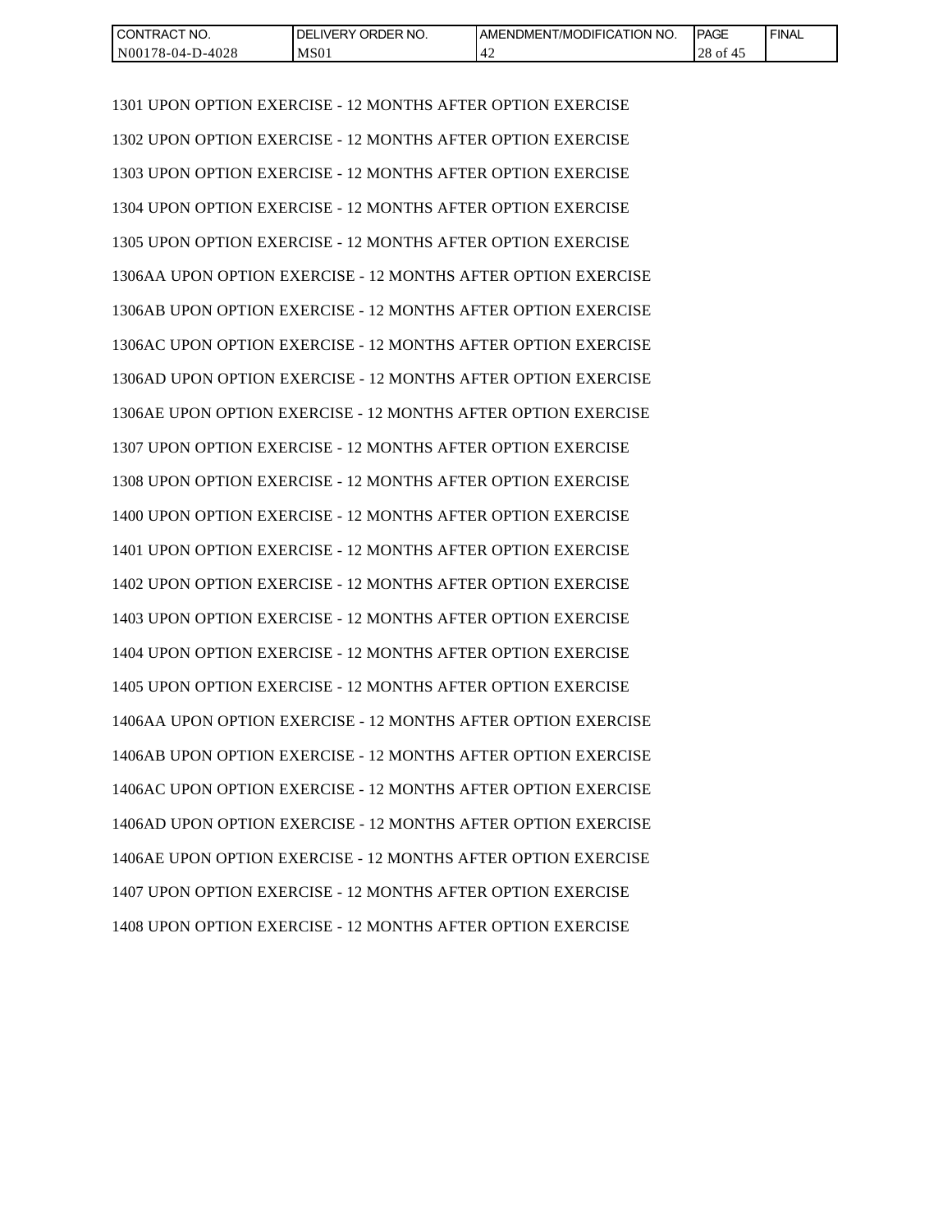| CONTRACT NO.     | NO.<br>' ORDER<br><b>IVERY</b><br>DELI | T/MODIFICATION<br>'NO.<br>I AMENDMENT | <b>PAGE</b>     | <b>FINAL</b> |
|------------------|----------------------------------------|---------------------------------------|-----------------|--------------|
| N00178-04-D-4028 | MS01                                   | $\Lambda$<br>. 4∠                     | $28$ of<br>ົ 4ພ |              |

1301 UPON OPTION EXERCISE - 12 MONTHS AFTER OPTION EXERCISE 1302 UPON OPTION EXERCISE - 12 MONTHS AFTER OPTION EXERCISE 1303 UPON OPTION EXERCISE - 12 MONTHS AFTER OPTION EXERCISE 1304 UPON OPTION EXERCISE - 12 MONTHS AFTER OPTION EXERCISE 1305 UPON OPTION EXERCISE - 12 MONTHS AFTER OPTION EXERCISE 1306AA UPON OPTION EXERCISE - 12 MONTHS AFTER OPTION EXERCISE 1306AB UPON OPTION EXERCISE - 12 MONTHS AFTER OPTION EXERCISE 1306AC UPON OPTION EXERCISE - 12 MONTHS AFTER OPTION EXERCISE 1306AD UPON OPTION EXERCISE - 12 MONTHS AFTER OPTION EXERCISE 1306AE UPON OPTION EXERCISE - 12 MONTHS AFTER OPTION EXERCISE 1307 UPON OPTION EXERCISE - 12 MONTHS AFTER OPTION EXERCISE 1308 UPON OPTION EXERCISE - 12 MONTHS AFTER OPTION EXERCISE 1400 UPON OPTION EXERCISE - 12 MONTHS AFTER OPTION EXERCISE 1401 UPON OPTION EXERCISE - 12 MONTHS AFTER OPTION EXERCISE 1402 UPON OPTION EXERCISE - 12 MONTHS AFTER OPTION EXERCISE 1403 UPON OPTION EXERCISE - 12 MONTHS AFTER OPTION EXERCISE 1404 UPON OPTION EXERCISE - 12 MONTHS AFTER OPTION EXERCISE 1405 UPON OPTION EXERCISE - 12 MONTHS AFTER OPTION EXERCISE 1406AA UPON OPTION EXERCISE - 12 MONTHS AFTER OPTION EXERCISE 1406AB UPON OPTION EXERCISE - 12 MONTHS AFTER OPTION EXERCISE 1406AC UPON OPTION EXERCISE - 12 MONTHS AFTER OPTION EXERCISE 1406AD UPON OPTION EXERCISE - 12 MONTHS AFTER OPTION EXERCISE 1406AE UPON OPTION EXERCISE - 12 MONTHS AFTER OPTION EXERCISE 1407 UPON OPTION EXERCISE - 12 MONTHS AFTER OPTION EXERCISE 1408 UPON OPTION EXERCISE - 12 MONTHS AFTER OPTION EXERCISE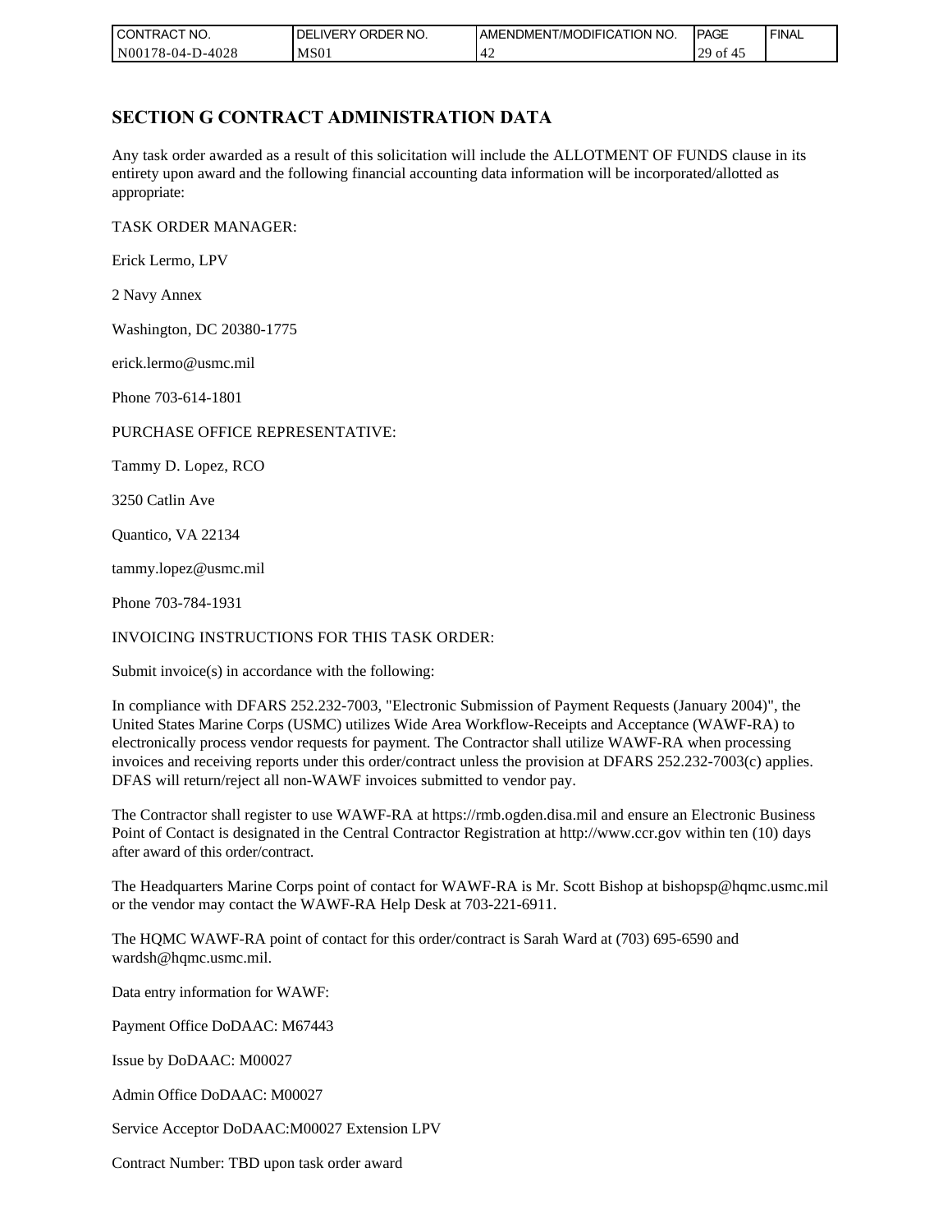| CONTRACT NO.     | ORDER NO.<br><b>IDELIVERY</b> | I AMENDMENT/MODIFICATION NO. | <b>PAGE</b>               | <b>FINAL</b> |
|------------------|-------------------------------|------------------------------|---------------------------|--------------|
| N00178-04-D-4028 | MS <sub>01</sub>              | ┱∠                           | $\sim$ $\sim$<br>29<br>οt |              |

## **SECTION G CONTRACT ADMINISTRATION DATA**

Any task order awarded as a result of this solicitation will include the ALLOTMENT OF FUNDS clause in its entirety upon award and the following financial accounting data information will be incorporated/allotted as appropriate:

TASK ORDER MANAGER:

Erick Lermo, LPV

2 Navy Annex

Washington, DC 20380-1775

erick.lermo@usmc.mil

Phone 703-614-1801

### PURCHASE OFFICE REPRESENTATIVE:

Tammy D. Lopez, RCO

3250 Catlin Ave

Quantico, VA 22134

tammy.lopez@usmc.mil

Phone 703-784-1931

### INVOICING INSTRUCTIONS FOR THIS TASK ORDER:

Submit invoice(s) in accordance with the following:

In compliance with DFARS 252.232-7003, "Electronic Submission of Payment Requests (January 2004)", the United States Marine Corps (USMC) utilizes Wide Area Workflow-Receipts and Acceptance (WAWF-RA) to electronically process vendor requests for payment. The Contractor shall utilize WAWF-RA when processing invoices and receiving reports under this order/contract unless the provision at DFARS 252.232-7003(c) applies. DFAS will return/reject all non-WAWF invoices submitted to vendor pay.

The Contractor shall register to use WAWF-RA at https://rmb.ogden.disa.mil and ensure an Electronic Business Point of Contact is designated in the Central Contractor Registration at http://www.ccr.gov within ten (10) days after award of this order/contract.

The Headquarters Marine Corps point of contact for WAWF-RA is Mr. Scott Bishop at bishopsp@hqmc.usmc.mil or the vendor may contact the WAWF-RA Help Desk at 703-221-6911.

The HQMC WAWF-RA point of contact for this order/contract is Sarah Ward at (703) 695-6590 and wardsh@hqmc.usmc.mil.

Data entry information for WAWF:

Payment Office DoDAAC: M67443

Issue by DoDAAC: M00027

Admin Office DoDAAC: M00027

Service Acceptor DoDAAC:M00027 Extension LPV

Contract Number: TBD upon task order award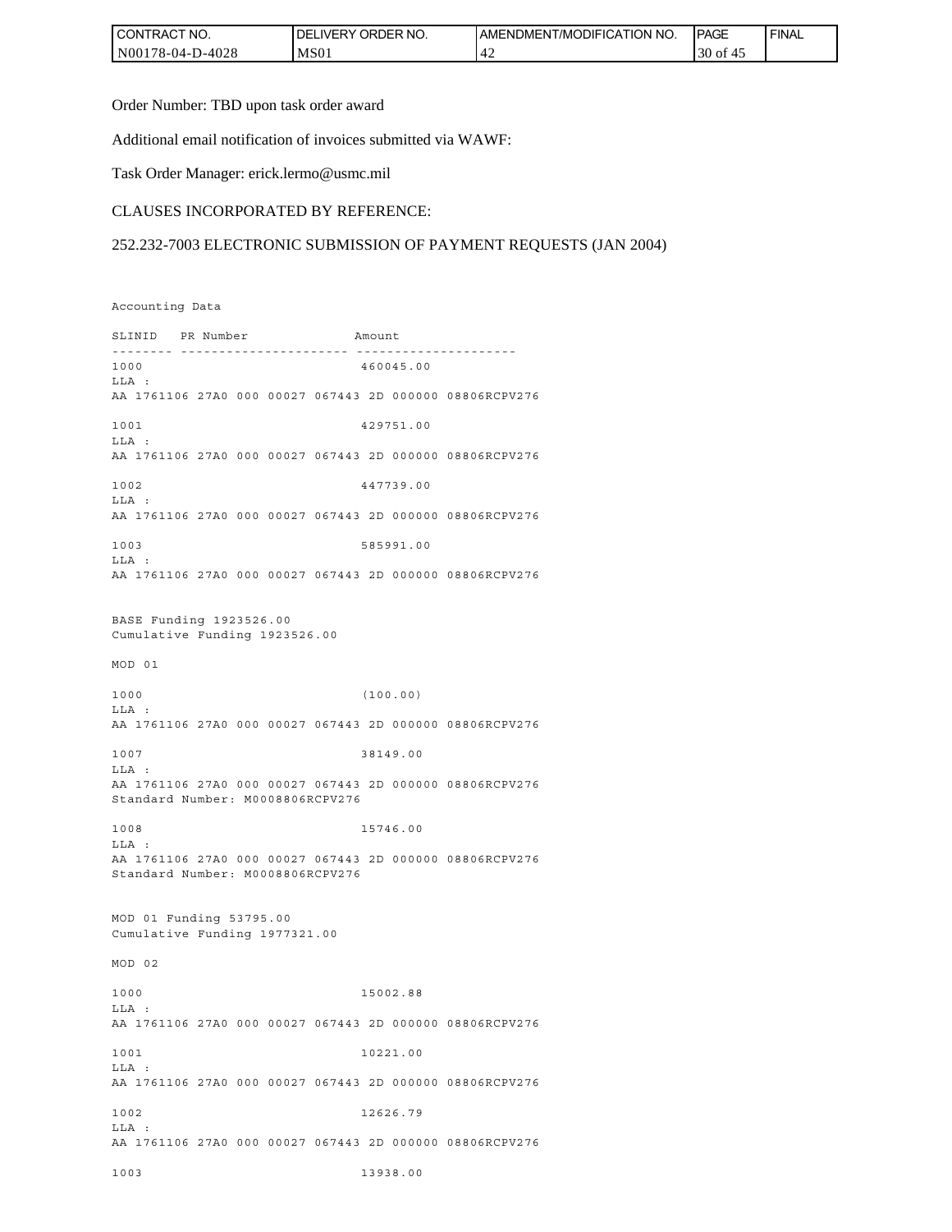| I CONTRACT NO.   | <b>IDELIVERY ORDER NO.</b> | I AMENDMENT/MODIFICATION NO. | <b>IPAGE</b> | <b>FINAL</b> |
|------------------|----------------------------|------------------------------|--------------|--------------|
| N00178-04-D-4028 | MS <sub>01</sub>           |                              | $30$ of<br>⊶ |              |

Order Number: TBD upon task order award

Additional email notification of invoices submitted via WAWF:

Task Order Manager: erick.lermo@usmc.mil

#### CLAUSES INCORPORATED BY REFERENCE:

#### 252.232-7003 ELECTRONIC SUBMISSION OF PAYMENT REQUESTS (JAN 2004)

Accounting Data

SLINID PR Number Amount -------- ---------------------- --------------------- 1000 460045.00 LLA : AA 1761106 27A0 000 00027 067443 2D 000000 08806RCPV276 1001 429751.00 LLA : AA 1761106 27A0 000 00027 067443 2D 000000 08806RCPV276 1002 447739.00 LLA : AA 1761106 27A0 000 00027 067443 2D 000000 08806RCPV276 1003 585991.00 LLA : AA 1761106 27A0 000 00027 067443 2D 000000 08806RCPV276 BASE Funding 1923526.00 Cumulative Funding 1923526.00 MOD 01 1000 (100.00) LLA : AA 1761106 27A0 000 00027 067443 2D 000000 08806RCPV276 1007 38149.00 LLA : AA 1761106 27A0 000 00027 067443 2D 000000 08806RCPV276 Standard Number: M0008806RCPV276 1008 15746.00 LLA : AA 1761106 27A0 000 00027 067443 2D 000000 08806RCPV276 Standard Number: M0008806RCPV276 MOD 01 Funding 53795.00 Cumulative Funding 1977321.00 MOD 02 1000 15002.88  $T.T.A$  : AA 1761106 27A0 000 00027 067443 2D 000000 08806RCPV276 1001 10221.00 LLA : AA 1761106 27A0 000 00027 067443 2D 000000 08806RCPV276 1002 12626.79 LLA : AA 1761106 27A0 000 00027 067443 2D 000000 08806RCPV276 1003 13938.00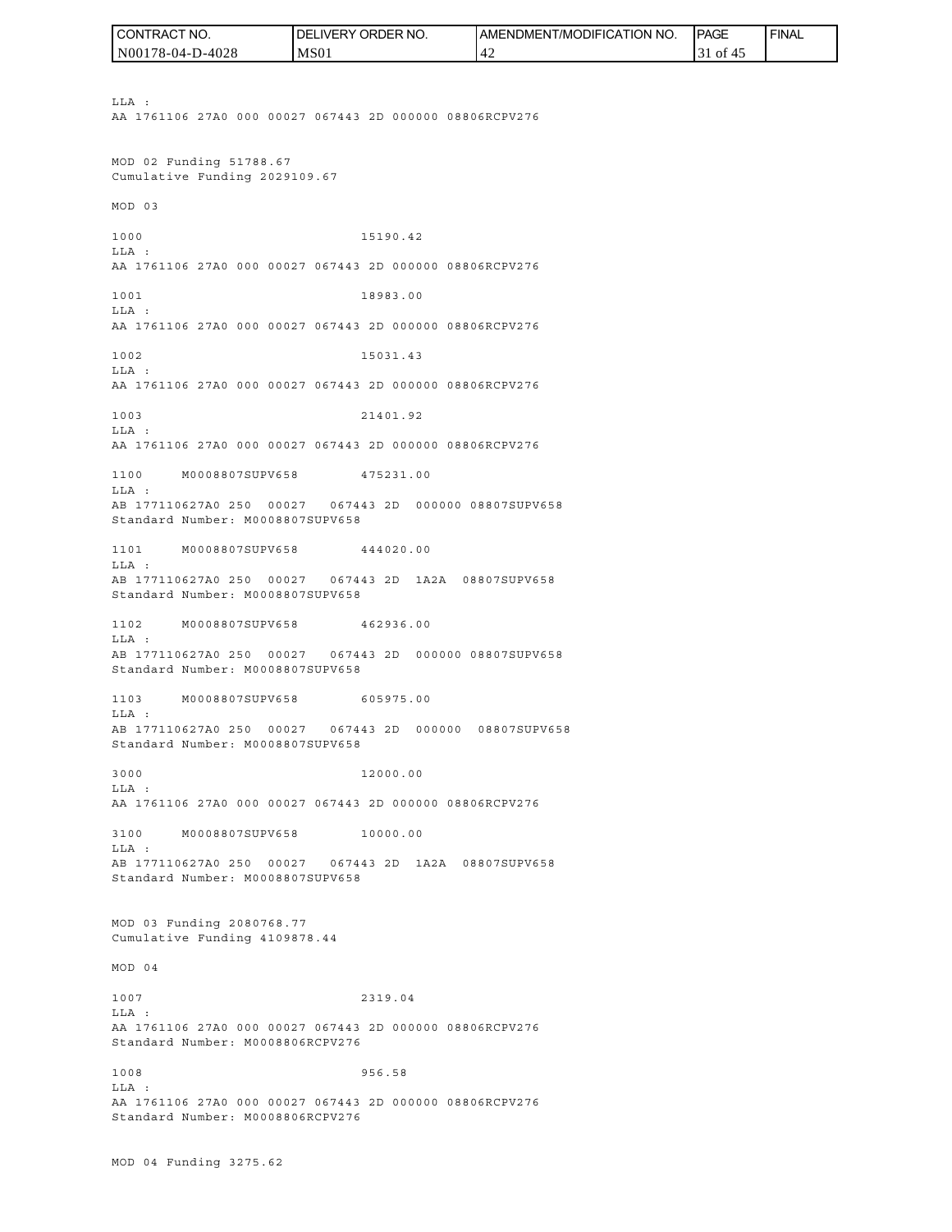LLA : AA 1761106 27A0 000 00027 067443 2D 000000 08806RCPV276 MOD 02 Funding 51788.67 Cumulative Funding 2029109.67 MOD 03 1000 15190.42 LLA : AA 1761106 27A0 000 00027 067443 2D 000000 08806RCPV276 1001 18983.00 LLA : AA 1761106 27A0 000 00027 067443 2D 000000 08806RCPV276 1002 15031.43 LLA : AA 1761106 27A0 000 00027 067443 2D 000000 08806RCPV276 1003 21401.92 LLA : AA 1761106 27A0 000 00027 067443 2D 000000 08806RCPV276 1100 M0008807SUPV658 475231.00 LLA : AB 177110627A0 250 00027 067443 2D 000000 08807SUPV658 Standard Number: M0008807SUPV658 1101 M0008807SUPV658 444020.00  $T.T.A$  : AB 177110627A0 250 00027 067443 2D 1A2A 08807SUPV658 Standard Number: M0008807SUPV658 1102 M0008807SUPV658 462936.00  $T.T.A$  : AB 177110627A0 250 00027 067443 2D 000000 08807SUPV658 Standard Number: M0008807SUPV658 1103 M0008807SUPV658 605975.00 LLA : AB 177110627A0 250 00027 067443 2D 000000 08807SUPV658 Standard Number: M0008807SUPV658 3000 12000.00 LLA : AA 1761106 27A0 000 00027 067443 2D 000000 08806RCPV276 3100 M0008807SUPV658 10000.00 LLA : AB 177110627A0 250 00027 067443 2D 1A2A 08807SUPV658 Standard Number: M0008807SUPV658 MOD 03 Funding 2080768.77 Cumulative Funding 4109878.44 MOD 04 1007 2319.04 LLA : AA 1761106 27A0 000 00027 067443 2D 000000 08806RCPV276 Standard Number: M0008806RCPV276 1008 956.58 LLA : AA 1761106 27A0 000 00027 067443 2D 000000 08806RCPV276 Standard Number: M0008806RCPV276 N00178-04-D-4028 MS01 42 31 of 45

AMENDMENT/MODIFICATION NO.

**IPAGE** 

FINAL

CONTRACT NO.

DELIVERY ORDER NO.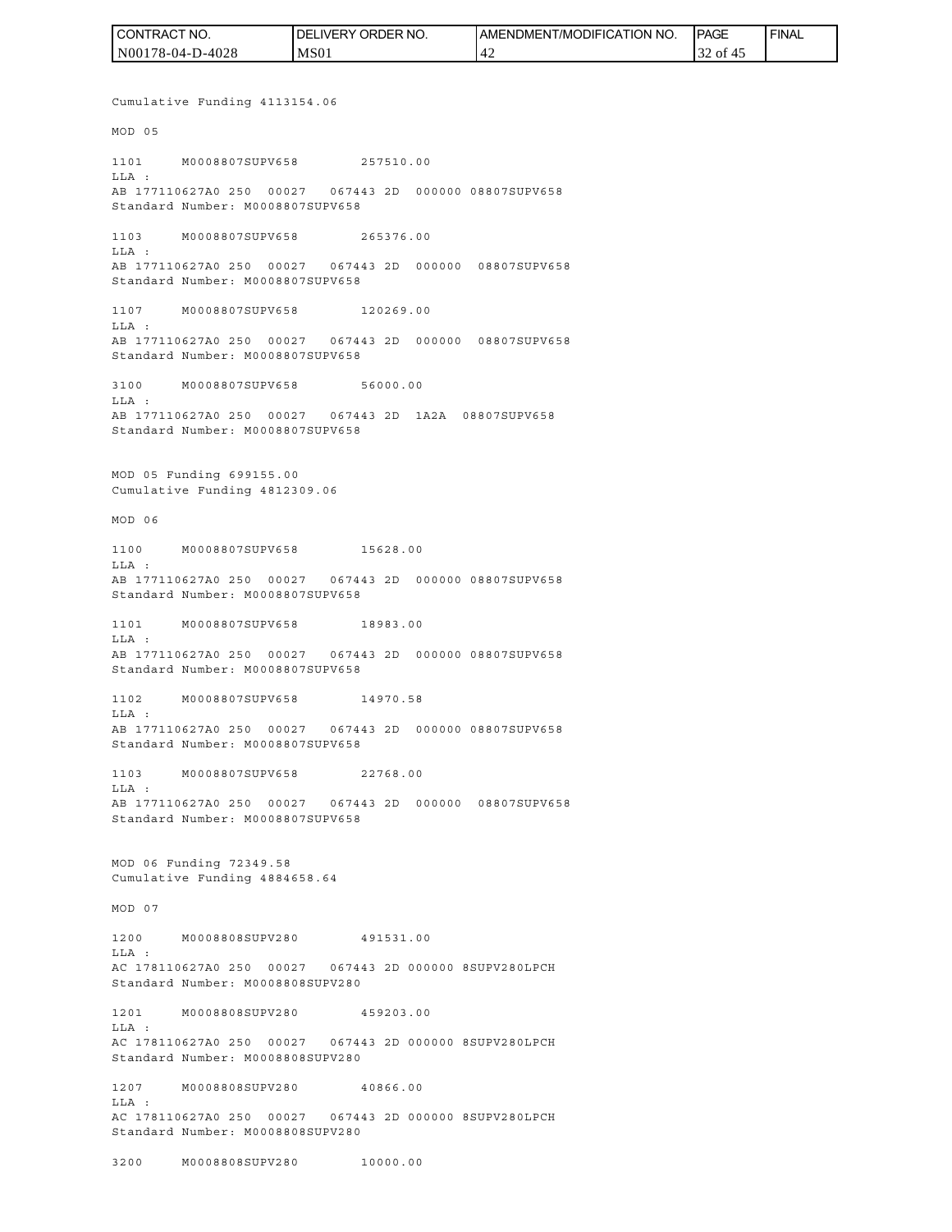| CONTRACT NO.     | <b>IDELIVERY ORDER NO.</b> | AMENDMENT/MODIFICATION NO. | <b>IPAGE</b> | <b>FINAL</b> |
|------------------|----------------------------|----------------------------|--------------|--------------|
| N00178-04-D-4028 | MS <sub>01</sub>           | ' 42                       | 32 of 45     |              |

Cumulative Funding 4113154.06 MOD 05 1101 M0008807SUPV658 257510.00 LLA : AB 177110627A0 250 00027 067443 2D 000000 08807SUPV658 Standard Number: M0008807SUPV658 1103 M0008807SUPV658 265376.00 LLA : AB 177110627A0 250 00027 067443 2D 000000 08807SUPV658 Standard Number: M0008807SUPV658 1107 M0008807SUPV658 120269.00 LLA : AB 177110627A0 250 00027 067443 2D 000000 08807SUPV658 Standard Number: M0008807SUPV658 3100 M0008807SUPV658 56000.00  $T.T.A$  : AB 177110627A0 250 00027 067443 2D 1A2A 08807SUPV658 Standard Number: M0008807SUPV658 MOD 05 Funding 699155.00 Cumulative Funding 4812309.06 MOD 06 1100 M0008807SUPV658 15628.00  $T.T.A$  : AB 177110627A0 250 00027 067443 2D 000000 08807SUPV658 Standard Number: M0008807SUPV658 1101 M0008807SUPV658 18983.00  $T.T.A$  : AB 177110627A0 250 00027 067443 2D 000000 08807SUPV658 Standard Number: M0008807SUPV658 1102 M0008807SUPV658 14970.58 LLA : AB 177110627A0 250 00027 067443 2D 000000 08807SUPV658 Standard Number: M0008807SUPV658 1103 M0008807SUPV658 22768.00 LLA : AB 177110627A0 250 00027 067443 2D 000000 08807SUPV658 Standard Number: M0008807SUPV658 MOD 06 Funding 72349.58 Cumulative Funding 4884658.64 MOD 07 1200 M0008808SUPV280 491531.00 LLA : AC 178110627A0 250 00027 067443 2D 000000 8SUPV280LPCH Standard Number: M0008808SUPV280 1201 M0008808SUPV280 459203.00 LLA : AC 178110627A0 250 00027 067443 2D 000000 8SUPV280LPCH Standard Number: M0008808SUPV280 1207 M0008808SUPV280 40866.00  $T.T.A$  : AC 178110627A0 250 00027 067443 2D 000000 8SUPV280LPCH

Standard Number: M0008808SUPV280

3200 M0008808SUPV280 10000.00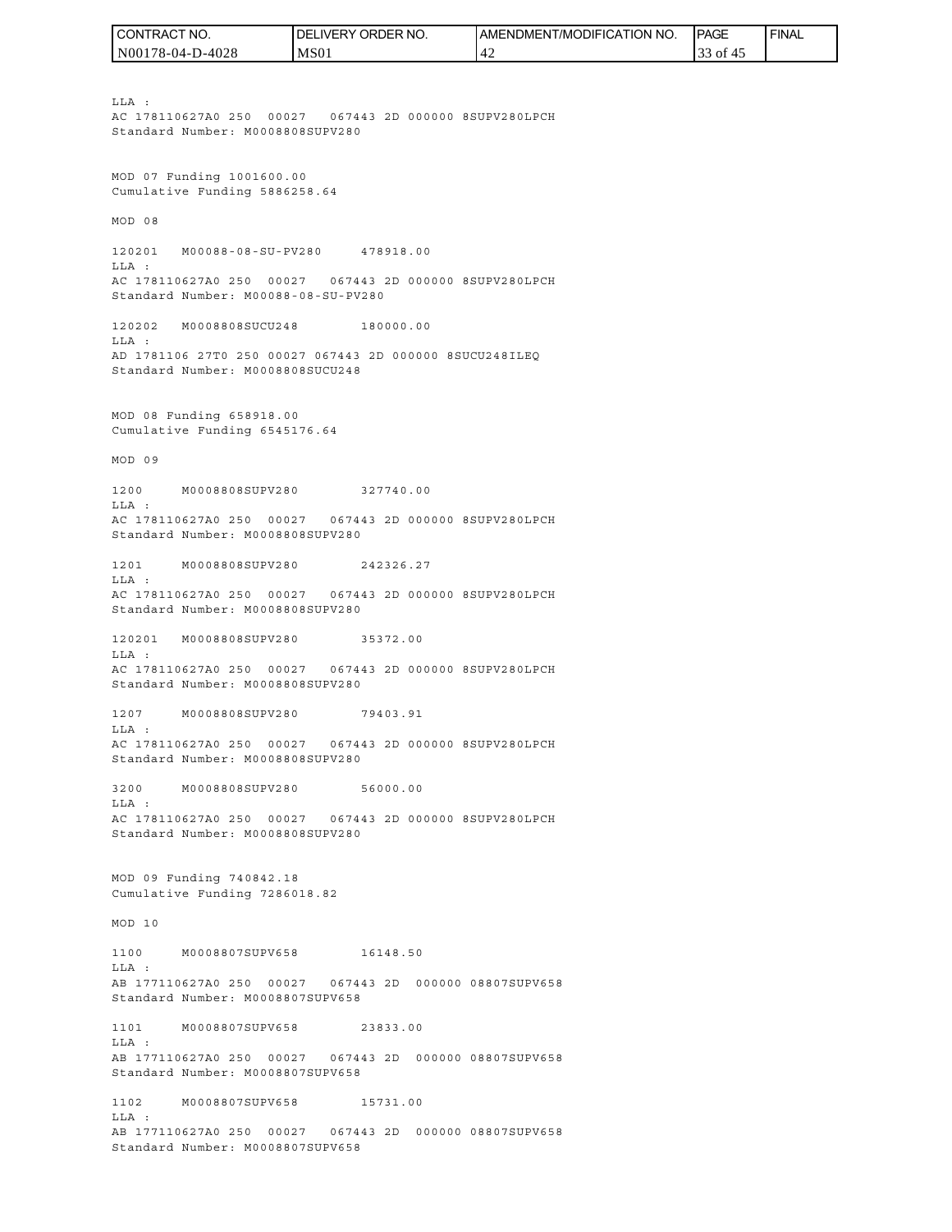N00178-04-D-4028 DELIVERY ORDER NO. MS01 AMENDMENT/MODIFICATION NO. 42 **IPAGE**  33 of 45 FINAL

LLA : AC 178110627A0 250 00027 067443 2D 000000 8SUPV280LPCH Standard Number: M0008808SUPV280 MOD 07 Funding 1001600.00 Cumulative Funding 5886258.64 MOD 08 120201 M00088-08-SU-PV280 478918.00 LLA : AC 178110627A0 250 00027 067443 2D 000000 8SUPV280LPCH Standard Number: M00088-08-SU-PV280 120202 M0008808SUCU248 180000.00 LLA : AD 1781106 27T0 250 00027 067443 2D 000000 8SUCU248ILEQ Standard Number: M0008808SUCU248 MOD 08 Funding 658918.00 Cumulative Funding 6545176.64 MOD 09 1200 M0008808SUPV280 327740.00 LLA : AC 178110627A0 250 00027 067443 2D 000000 8SUPV280LPCH Standard Number: M0008808SUPV280 1201 M0008808SUPV280 242326.27  $T.T.A$  : AC 178110627A0 250 00027 067443 2D 000000 8SUPV280LPCH Standard Number: M0008808SUPV280 120201 M0008808SUPV280 35372.00 LLA : AC 178110627A0 250 00027 067443 2D 000000 8SUPV280LPCH Standard Number: M0008808SUPV280 1207 M0008808SUPV280 79403.91  $T.T.A$  : AC 178110627A0 250 00027 067443 2D 000000 8SUPV280LPCH Standard Number: M0008808SUPV280 3200 M0008808SUPV280 56000.00 LLA : AC 178110627A0 250 00027 067443 2D 000000 8SUPV280LPCH Standard Number: M0008808SUPV280 MOD 09 Funding 740842.18 Cumulative Funding 7286018.82 MOD 10 1100 M0008807SUPV658 16148.50 LLA : AB 177110627A0 250 00027 067443 2D 000000 08807SUPV658 Standard Number: M0008807SUPV658 1101 M0008807SUPV658 23833.00 LLA : AB 177110627A0 250 00027 067443 2D 000000 08807SUPV658 Standard Number: M0008807SUPV658 1102 M0008807SUPV658 15731.00 LLA : AB 177110627A0 250 00027 067443 2D 000000 08807SUPV658 CONTRACT NO.<br>
IMA :<br>
IMA :<br>
IMA :<br>
IMA :<br>
IMA :<br>
ELA :<br>
ELA :<br>
ELA :<br>
ELA :<br>
ELA :<br>
ELA :<br>
ELA :<br>
ELA :<br>
ELA :<br>
ELA :<br>
ELA :<br>
ELA :<br>
MOD 07 Funding 1001600.00<br>
CCULTA:<br>
IMA :<br>
MOD 08<br>
CCULTA:<br>
MOD 08<br>
20201 MO0088-08-5U-PV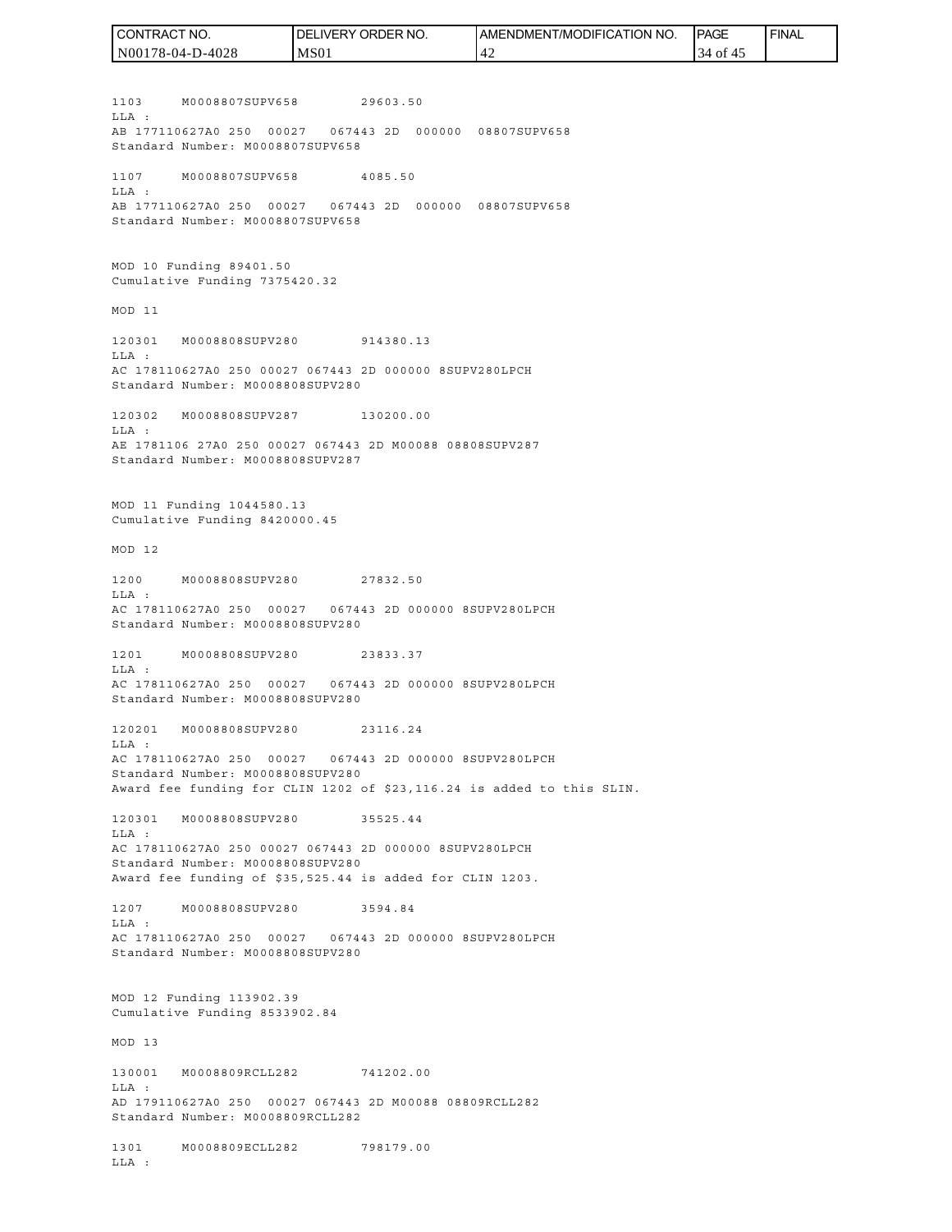1103 M0008807SUPV658 29603.50 LLA : AB 177110627A0 250 00027 067443 2D 000000 08807SUPV658 Standard Number: M0008807SUPV658 1107 M0008807SUPV658 4085.50 LLA : AB 177110627A0 250 00027 067443 2D 000000 08807SUPV658 Standard Number: M0008807SUPV658 MOD 10 Funding 89401.50 Cumulative Funding 7375420.32 MOD 11 120301 M0008808SUPV280 914380.13 LLA : AC 178110627A0 250 00027 067443 2D 000000 8SUPV280LPCH Standard Number: M0008808SUPV280 120302 M0008808SUPV287 130200.00 LLA : AE 1781106 27A0 250 00027 067443 2D M00088 08808SUPV287 Standard Number: M0008808SUPV287 MOD 11 Funding 1044580.13 Cumulative Funding 8420000.45 MOD 12 1200 M0008808SUPV280 27832.50 LLA : AC 178110627A0 250 00027 067443 2D 000000 8SUPV280LPCH Standard Number: M0008808SUPV280 1201 M0008808SUPV280 23833.37 LLA : AC 178110627A0 250 00027 067443 2D 000000 8SUPV280LPCH Standard Number: M0008808SUPV280 120201 M0008808SUPV280 23116.24 LLA : AC 178110627A0 250 00027 067443 2D 000000 8SUPV280LPCH Standard Number: M0008808SUPV280 Award fee funding for CLIN 1202 of \$23,116.24 is added to this SLIN. 120301 M0008808SUPV280 35525.44 LLA : AC 178110627A0 250 00027 067443 2D 000000 8SUPV280LPCH Standard Number: M0008808SUPV280 Award fee funding of \$35,525.44 is added for CLIN 1203. 1207 M0008808SUPV280 3594.84 LLA : AC 178110627A0 250 00027 067443 2D 000000 8SUPV280LPCH Standard Number: M0008808SUPV280 MOD 12 Funding 113902.39 Cumulative Funding 8533902.84 MOD 13 130001 M0008809RCLL282 741202.00 LLA : AD 179110627A0 250 00027 067443 2D M00088 08809RCLL282 Standard Number: M0008809RCLL282 1301 M0008809ECLL282 798179.00 LLA : CONTRACT NO. N00178-04-D-4028 DELIVERY ORDER NO. MS01 AMENDMENT/MODIFICATION NO. 42 **IPAGE**  34 of 45 FINAL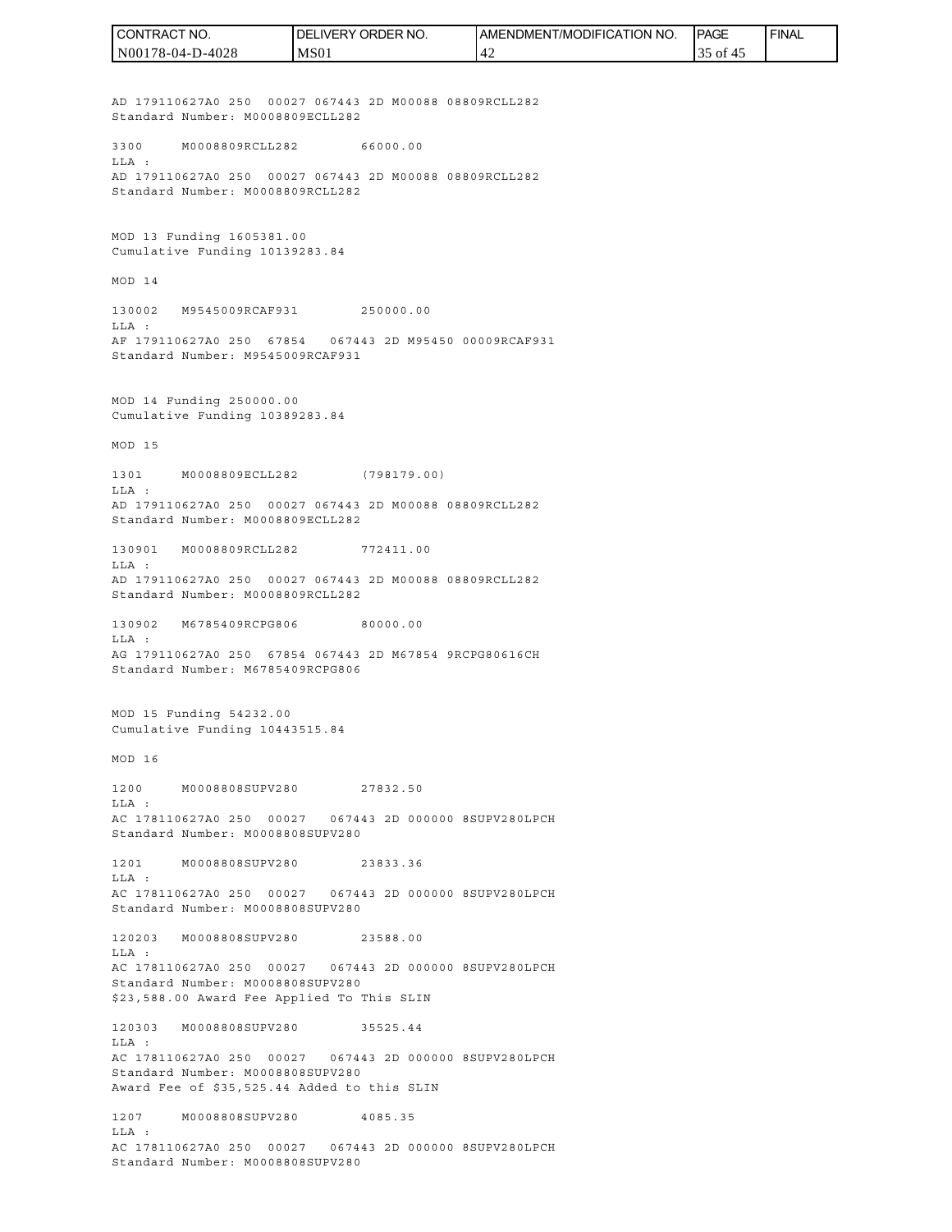AD 179110627A0 250 00027 067443 2D M00088 08809RCLL282 Standard Number: M0008809ECLL282 3300 M0008809RCLL282 66000.00 LLA : AD 179110627A0 250 00027 067443 2D M00088 08809RCLL282 Standard Number: M0008809RCLL282 MOD 13 Funding 1605381.00 Cumulative Funding 10139283.84 MOD 14 130002 M9545009RCAF931 250000.00 LLA : AF 179110627A0 250 67854 067443 2D M95450 00009RCAF931 Standard Number: M9545009RCAF931 MOD 14 Funding 250000.00 Cumulative Funding 10389283.84 MOD 15 1301 M0008809ECLL282 (798179.00) LLA : AD 179110627A0 250 00027 067443 2D M00088 08809RCLL282 Standard Number: M0008809ECLL282 130901 M0008809RCLL282 772411.00  $T.T.A$  : AD 179110627A0 250 00027 067443 2D M00088 08809RCLL282 Standard Number: M0008809RCLL282 130902 M6785409RCPG806 80000.00  $T.T.A$  : AG 179110627A0 250 67854 067443 2D M67854 9RCPG80616CH Standard Number: M6785409RCPG806 MOD 15 Funding 54232.00 Cumulative Funding 10443515.84 MOD 16 1200 M0008808SUPV280 27832.50 LLA : AC 178110627A0 250 00027 067443 2D 000000 8SUPV280LPCH Standard Number: M0008808SUPV280 1201 M0008808SUPV280 23833.36 LLA : AC 178110627A0 250 00027 067443 2D 000000 8SUPV280LPCH Standard Number: M0008808SUPV280 120203 M0008808SUPV280 23588.00 LLA : AC 178110627A0 250 00027 067443 2D 000000 8SUPV280LPCH Standard Number: M0008808SUPV280 \$23,588.00 Award Fee Applied To This SLIN 120303 M0008808SUPV280 35525.44 LLA : AC 178110627A0 250 00027 067443 2D 000000 8SUPV280LPCH Standard Number: M0008808SUPV280 Award Fee of \$35,525.44 Added to this SLIN 1207 M0008808SUPV280 4085.35 LLA : AC 178110627A0 250 00027 067443 2D 000000 8SUPV280LPCH Standard Number: M0008808SUPV280 N00178-04-D-4028 MS01 42 35 of 45

CONTRACT NO.

DELIVERY ORDER NO.

AMENDMENT/MODIFICATION NO.

**IPAGE** 

FINAL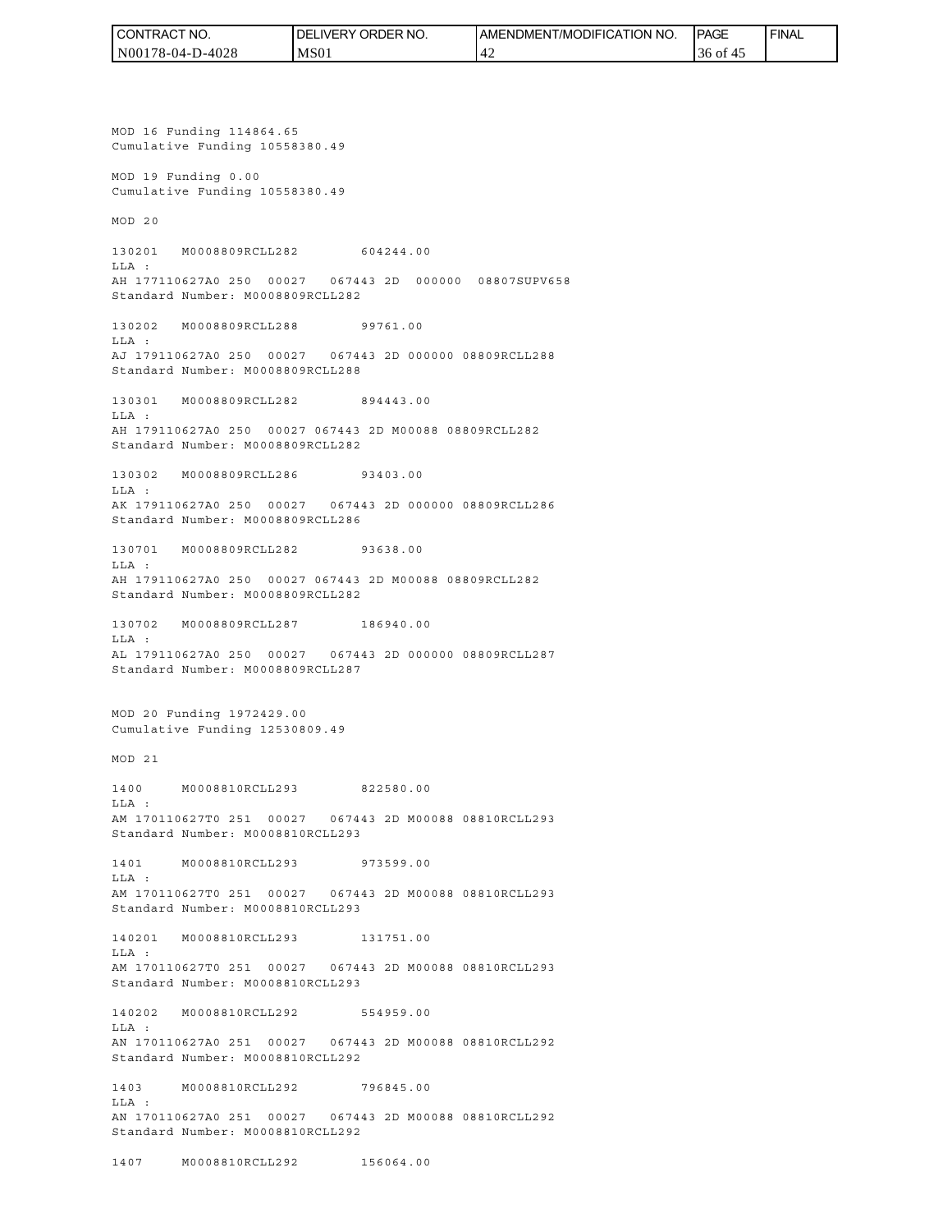| ' CONTRACT NO.   | NO.<br>' ORDER<br><b>DELIVERY</b> | <b>NO</b><br>AMENDMENT/MODIFICATION | <b>PAGE</b>  | <b>FINAL</b> |
|------------------|-----------------------------------|-------------------------------------|--------------|--------------|
| N00178-04-D-4028 | MS <sub>01</sub>                  |                                     | 36 of<br>-45 |              |

MOD 16 Funding 114864.65 Cumulative Funding 10558380.49 MOD 19 Funding 0.00 Cumulative Funding 10558380.49 MOD 20 130201 M0008809RCLL282 604244.00 LLA : AH 177110627A0 250 00027 067443 2D 000000 08807SUPV658 Standard Number: M0008809RCLL282 130202 M0008809RCLL288 99761.00 LLA : AJ 179110627A0 250 00027 067443 2D 000000 08809RCLL288 Standard Number: M0008809RCLL288 130301 M0008809RCLL282 894443.00 LLA : AH 179110627A0 250 00027 067443 2D M00088 08809RCLL282 Standard Number: M0008809RCLL282 130302 M0008809RCLL286 93403.00 LLA : AK 179110627A0 250 00027 067443 2D 000000 08809RCLL286 Standard Number: M0008809RCLL286 130701 M0008809RCLL282 93638.00  $T.T.A$  : AH 179110627A0 250 00027 067443 2D M00088 08809RCLL282 Standard Number: M0008809RCLL282 130702 M0008809RCLL287 186940.00  $T.T.A$  : AL 179110627A0 250 00027 067443 2D 000000 08809RCLL287 Standard Number: M0008809RCLL287 MOD 20 Funding 1972429.00 Cumulative Funding 12530809.49 MOD 21 1400 M0008810RCLL293 822580.00 LLA : AM 170110627T0 251 00027 067443 2D M00088 08810RCLL293 Standard Number: M0008810RCLL293 1401 M0008810RCLL293 973599.00 LLA : AM 170110627T0 251 00027 067443 2D M00088 08810RCLL293 Standard Number: M0008810RCLL293 140201 M0008810RCLL293 131751.00 LLA : AM 170110627T0 251 00027 067443 2D M00088 08810RCLL293 Standard Number: M0008810RCLL293 140202 M0008810RCLL292 554959.00 LLA : AN 170110627A0 251 00027 067443 2D M00088 08810RCLL292 Standard Number: M0008810RCLL292 1403 M0008810RCLL292 796845.00  $T.T.A$  : AN 170110627A0 251 00027 067443 2D M00088 08810RCLL292 Standard Number: M0008810RCLL292

1407 M0008810RCLL292 156064.00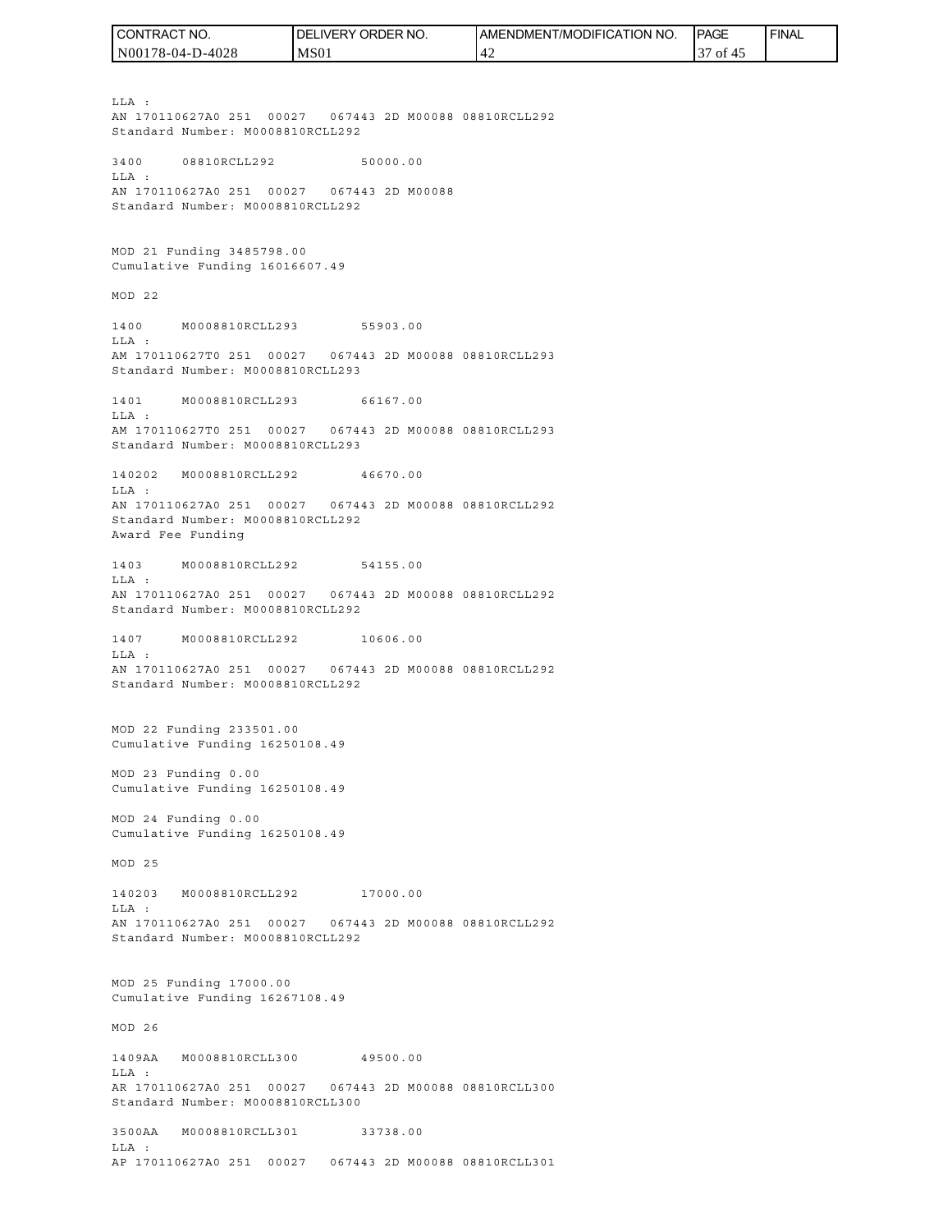| I CONTRACT NO.   | <b>IDELIVERY ORDER NO.</b> | <b>IAMENDMENT/MODIFICATION NO.</b> | <b>PAGE</b>         | <b>FINAL</b> |
|------------------|----------------------------|------------------------------------|---------------------|--------------|
| N00178-04-D-4028 | MS <sub>01</sub>           | $\overline{4}$                     | ΟĪ<br>$\Delta$<br>◡ |              |

LLA : AN 170110627A0 251 00027 067443 2D M00088 08810RCLL292 Standard Number: M0008810RCLL292 3400 08810RCLL292 50000.00 LLA : AN 170110627A0 251 00027 067443 2D M00088 Standard Number: M0008810RCLL292 MOD 21 Funding 3485798.00 Cumulative Funding 16016607.49 MOD 22 1400 M0008810RCLL293 55903.00 LLA : AM 170110627T0 251 00027 067443 2D M00088 08810RCLL293 Standard Number: M0008810RCLL293 1401 M0008810RCLL293 66167.00 LLA : AM 170110627T0 251 00027 067443 2D M00088 08810RCLL293 Standard Number: M0008810RCLL293 140202 M0008810RCLL292 46670.00 LLA : AN 170110627A0 251 00027 067443 2D M00088 08810RCLL292 Standard Number: M0008810RCLL292 Award Fee Funding 1403 M0008810RCLL292 54155.00 LLA : AN 170110627A0 251 00027 067443 2D M00088 08810RCLL292 Standard Number: M0008810RCLL292 1407 M0008810RCLL292 10606.00 LLA : AN 170110627A0 251 00027 067443 2D M00088 08810RCLL292 Standard Number: M0008810RCLL292 MOD 22 Funding 233501.00 Cumulative Funding 16250108.49 MOD 23 Funding 0.00 Cumulative Funding 16250108.49 MOD 24 Funding 0.00 Cumulative Funding 16250108.49 MOD 25 140203 M0008810RCLL292 17000.00 LLA : AN 170110627A0 251 00027 067443 2D M00088 08810RCLL292 Standard Number: M0008810RCLL292 MOD 25 Funding 17000.00 Cumulative Funding 16267108.49 MOD 26 1409AA M0008810RCLL300 49500.00 LLA : AR 170110627A0 251 00027 067443 2D M00088 08810RCLL300 Standard Number: M0008810RCLL300 3500AA M0008810RCLL301 33738.00 LLA :

AP 170110627A0 251 00027 067443 2D M00088 08810RCLL301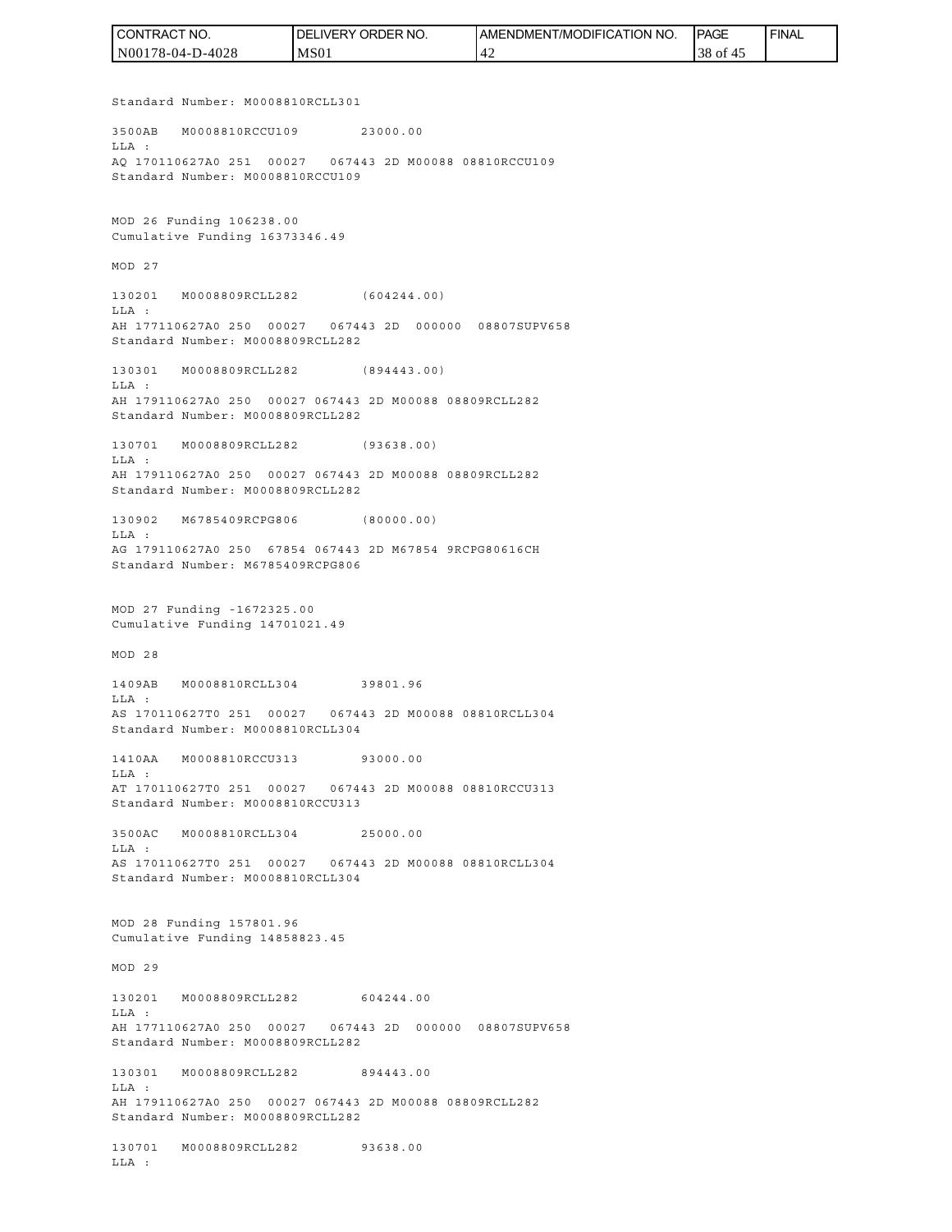| I CONTRACT NO.   | <b>IDELIVERY ORDER NO.</b> | <b>IAMENDMENT/MODIFICATION NO.</b> | <b>IPAGE</b> | <b>FINAL</b> |
|------------------|----------------------------|------------------------------------|--------------|--------------|
| N00178-04-D-4028 | MS <sub>01</sub>           | '42                                | 38 of 45     |              |

Standard Number: M0008810RCLL301

3500AB M0008810RCCU109 23000.00 LLA : AQ 170110627A0 251 00027 067443 2D M00088 08810RCCU109 Standard Number: M0008810RCCU109

MOD 26 Funding 106238.00 Cumulative Funding 16373346.49

MOD 27

130201 M0008809RCLL282 (604244.00) LLA : AH 177110627A0 250 00027 067443 2D 000000 08807SUPV658 Standard Number: M0008809RCLL282

130301 M0008809RCLL282 (894443.00) LLA :

AH 179110627A0 250 00027 067443 2D M00088 08809RCLL282 Standard Number: M0008809RCLL282

130701 M0008809RCLL282 (93638.00) LLA : AH 179110627A0 250 00027 067443 2D M00088 08809RCLL282 Standard Number: M0008809RCLL282

130902 M6785409RCPG806 (80000.00) LLA : AG 179110627A0 250 67854 067443 2D M67854 9RCPG80616CH Standard Number: M6785409RCPG806

MOD 27 Funding -1672325.00 Cumulative Funding 14701021.49

MOD 28

1409AB M0008810RCLL304 39801.96 LLA : AS 170110627T0 251 00027 067443 2D M00088 08810RCLL304 Standard Number: M0008810RCLL304

1410AA M0008810RCCU313 93000.00 LLA : AT 170110627T0 251 00027 067443 2D M00088 08810RCCU313 Standard Number: M0008810RCCU313

3500AC M0008810RCLL304 25000.00 LLA : AS 170110627T0 251 00027 067443 2D M00088 08810RCLL304 Standard Number: M0008810RCLL304

MOD 28 Funding 157801.96 Cumulative Funding 14858823.45

MOD 29

130201 M0008809RCLL282 604244.00 LLA : AH 177110627A0 250 00027 067443 2D 000000 08807SUPV658 Standard Number: M0008809RCLL282

130301 M0008809RCLL282 894443.00 LLA : AH 179110627A0 250 00027 067443 2D M00088 08809RCLL282 Standard Number: M0008809RCLL282

130701 M0008809RCLL282 93638.00 LLA :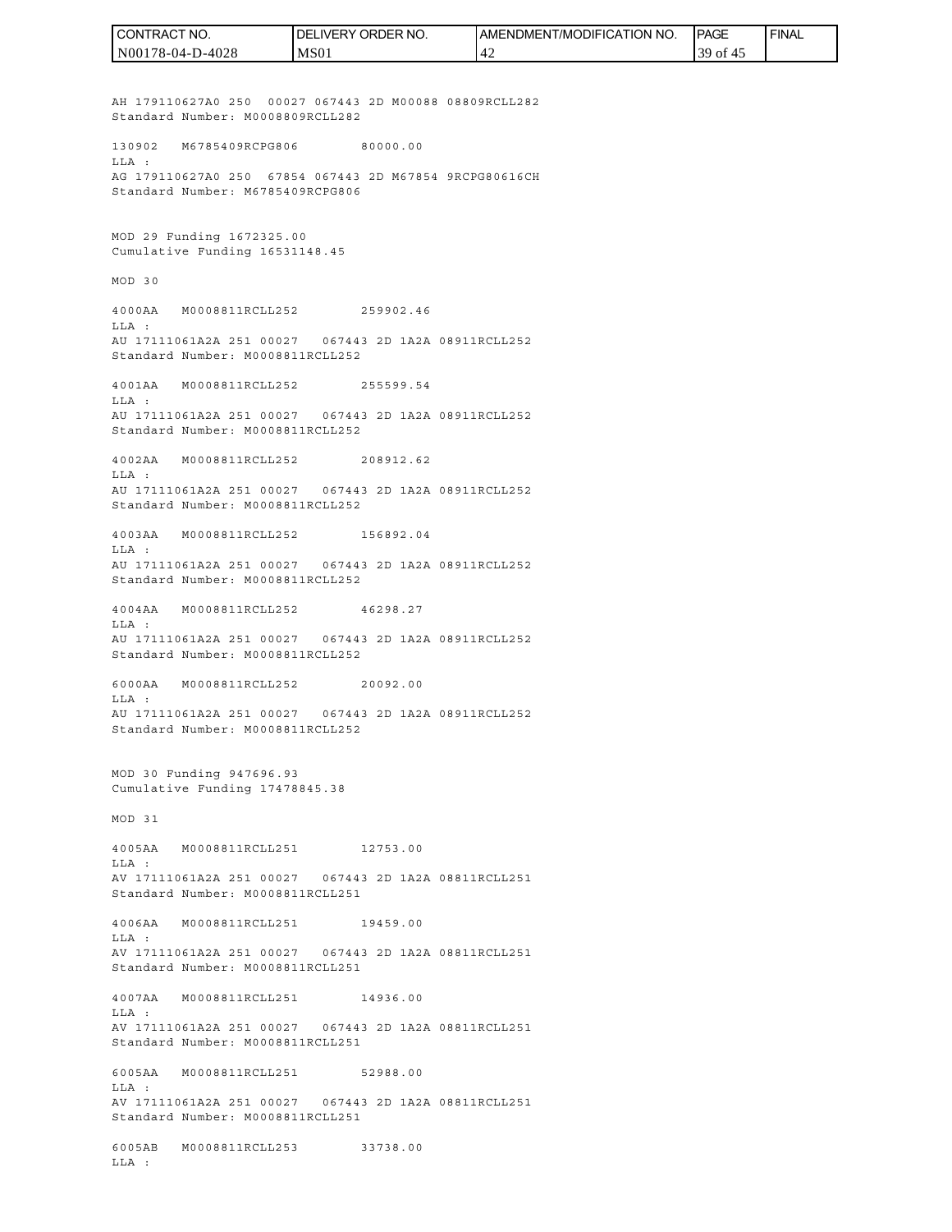AH 179110627A0 250 00027 067443 2D M00088 08809RCLL282 Standard Number: M0008809RCLL282 130902 M6785409RCPG806 80000.00 LLA : AG 179110627A0 250 67854 067443 2D M67854 9RCPG80616CH Standard Number: M6785409RCPG806 MOD 29 Funding 1672325.00 Cumulative Funding 16531148.45 MOD 30 4000AA M0008811RCLL252 259902.46 LLA : AU 17111061A2A 251 00027 067443 2D 1A2A 08911RCLL252 Standard Number: M0008811RCLL252 4001AA M0008811RCLL252 255599.54  $T.T.A$  : AU 17111061A2A 251 00027 067443 2D 1A2A 08911RCLL252 Standard Number: M0008811RCLL252 4002AA M0008811RCLL252 208912.62  $T.T.A$  : AU 17111061A2A 251 00027 067443 2D 1A2A 08911RCLL252 Standard Number: M0008811RCLL252 4003AA M0008811RCLL252 156892.04 LLA : AU 17111061A2A 251 00027 067443 2D 1A2A 08911RCLL252 Standard Number: M0008811RCLL252 4004AA M0008811RCLL252 46298.27 LLA : AU 17111061A2A 251 00027 067443 2D 1A2A 08911RCLL252 Standard Number: M0008811RCLL252 6000AA M0008811RCLL252 20092.00 LLA : AU 17111061A2A 251 00027 067443 2D 1A2A 08911RCLL252 Standard Number: M0008811RCLL252 MOD 30 Funding 947696.93 Cumulative Funding 17478845.38 MOD 31 4005AA M0008811RCLL251 12753.00 LLA : AV 17111061A2A 251 00027 067443 2D 1A2A 08811RCLL251 Standard Number: M0008811RCLL251 4006AA M0008811RCLL251 19459.00  $T.T.A$  : AV 17111061A2A 251 00027 067443 2D 1A2A 08811RCLL251 Standard Number: M0008811RCLL251 4007AA M0008811RCLL251 14936.00 LLA : AV 17111061A2A 251 00027 067443 2D 1A2A 08811RCLL251 Standard Number: M0008811RCLL251 6005AA M0008811RCLL251 52988.00 LLA : AV 17111061A2A 251 00027 067443 2D 1A2A 08811RCLL251 Standard Number: M0008811RCLL251 6005AB M0008811RCLL253 33738.00 LLA : N00178-04-D-4028 MS01 42 39 of 45

CONTRACT NO.

DELIVERY ORDER NO.

AMENDMENT/MODIFICATION NO.

**IPAGE** 

**FINAL**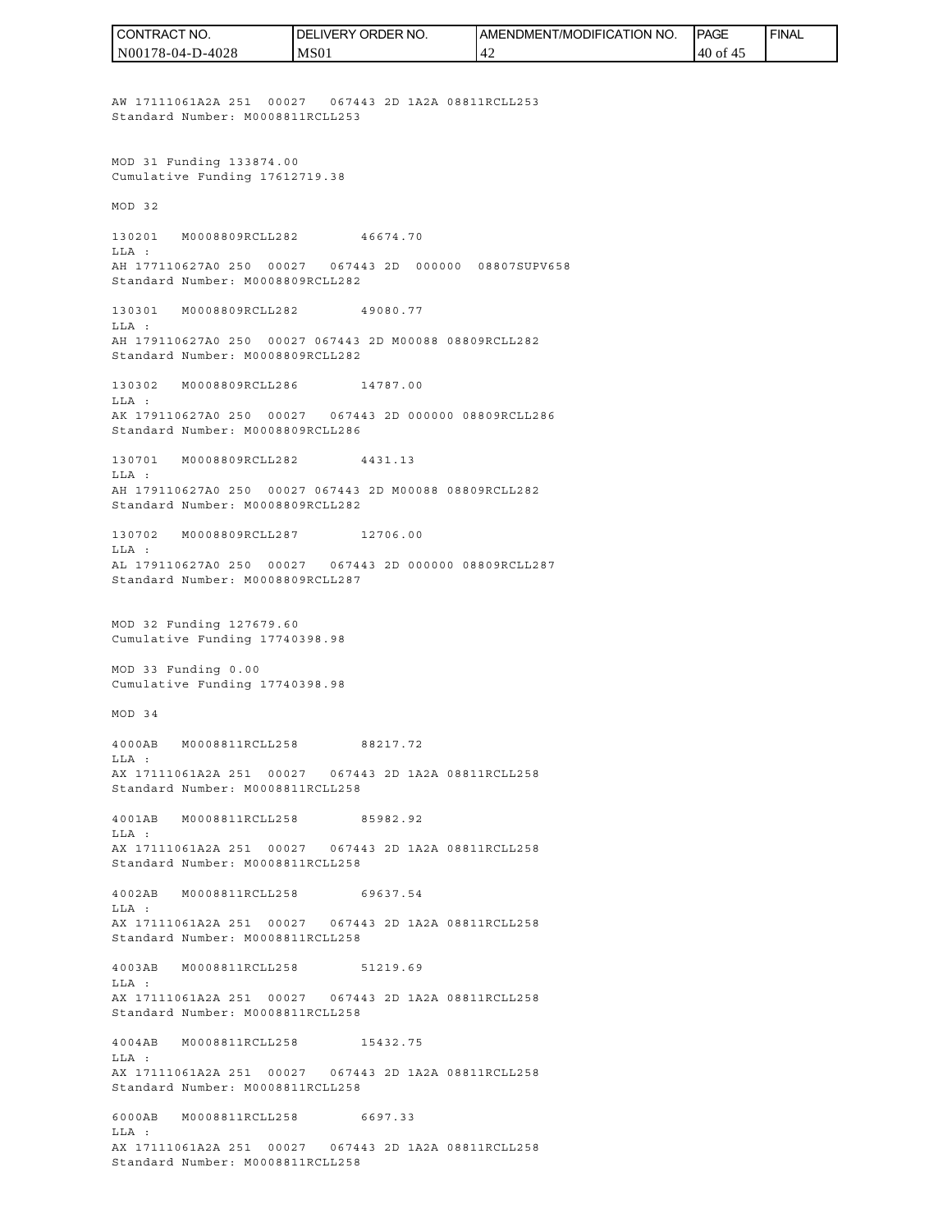AW 17111061A2A 251 00027 067443 2D 1A2A 08811RCLL253 Standard Number: M0008811RCLL253 MOD 31 Funding 133874.00 Cumulative Funding 17612719.38 MOD 32 130201 M0008809RCLL282 46674.70 LLA : AH 177110627A0 250 00027 067443 2D 000000 08807SUPV658 Standard Number: M0008809RCLL282 130301 M0008809RCLL282 49080.77 LLA : AH 179110627A0 250 00027 067443 2D M00088 08809RCLL282 Standard Number: M0008809RCLL282 130302 M0008809RCLL286 14787.00  $T.T.A$  : AK 179110627A0 250 00027 067443 2D 000000 08809RCLL286 Standard Number: M0008809RCLL286 130701 M0008809RCLL282 4431.13  $T.T.A$  : AH 179110627A0 250 00027 067443 2D M00088 08809RCLL282 Standard Number: M0008809RCLL282 130702 M0008809RCLL287 12706.00 LLA : AL 179110627A0 250 00027 067443 2D 000000 08809RCLL287 Standard Number: M0008809RCLL287 MOD 32 Funding 127679.60 Cumulative Funding 17740398.98 MOD 33 Funding 0.00 Cumulative Funding 17740398.98 MOD 34 4000AB M0008811RCLL258 88217.72 LLA : AX 17111061A2A 251 00027 067443 2D 1A2A 08811RCLL258 Standard Number: M0008811RCLL258 4001AB M0008811RCLL258 85982.92 LLA : AX 17111061A2A 251 00027 067443 2D 1A2A 08811RCLL258 Standard Number: M0008811RCLL258 4002AB M0008811RCLL258 69637.54 LLA : AX 17111061A2A 251 00027 067443 2D 1A2A 08811RCLL258 Standard Number: M0008811RCLL258 4003AB M0008811RCLL258 51219.69 LLA : AX 17111061A2A 251 00027 067443 2D 1A2A 08811RCLL258 Standard Number: M0008811RCLL258 4004AB M0008811RCLL258 15432.75 LLA : AX 17111061A2A 251 00027 067443 2D 1A2A 08811RCLL258 Standard Number: M0008811RCLL258 6000AB M0008811RCLL258 6697.33 LLA : AX 17111061A2A 251 00027 067443 2D 1A2A 08811RCLL258 Standard Number: M0008811RCLL258 N00178-04-D-4028 MS01 42 40 of 45

CONTRACT NO.

DELIVERY ORDER NO.

AMENDMENT/MODIFICATION NO.

**IPAGE** 

**FINAL**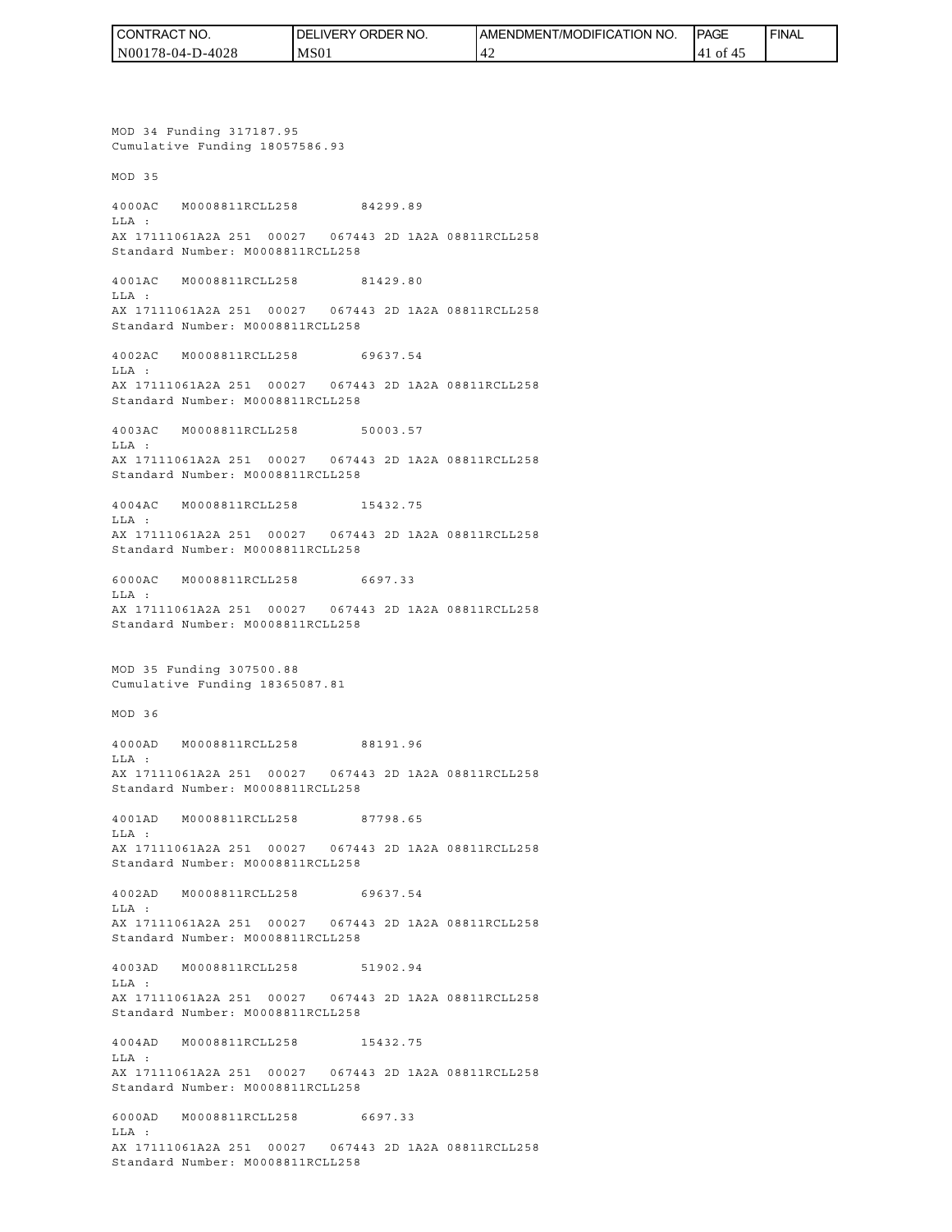| CONTRACT NO.     | NO.<br>' ORDER<br>DELI<br><b>IVERY</b> | I AMENDMENT/MODIFICATION I<br><b>NO</b> | <b>PAGE</b>             | <b>FINAL</b> |
|------------------|----------------------------------------|-----------------------------------------|-------------------------|--------------|
| N00178-04-D-4028 | MS <sub>01</sub>                       |                                         | of<br>$\mathbf{A}$<br>4 |              |

MOD 34 Funding 317187.95 Cumulative Funding 18057586.93 MOD 35 4000AC M0008811RCLL258 84299.89 LLA : AX 17111061A2A 251 00027 067443 2D 1A2A 08811RCLL258 Standard Number: M0008811RCLL258 4001AC M0008811RCLL258 81429.80 LLA : AX 17111061A2A 251 00027 067443 2D 1A2A 08811RCLL258 Standard Number: M0008811RCLL258 4002AC M0008811RCLL258 69637.54 LLA : AX 17111061A2A 251 00027 067443 2D 1A2A 08811RCLL258 Standard Number: M0008811RCLL258 4003AC M0008811RCLL258 50003.57 LLA : AX 17111061A2A 251 00027 067443 2D 1A2A 08811RCLL258 Standard Number: M0008811RCLL258 4004AC M0008811RCLL258 15432.75 LLA : AX 17111061A2A 251 00027 067443 2D 1A2A 08811RCLL258 Standard Number: M0008811RCLL258 6000AC M0008811RCLL258 6697.33 LLA : AX 17111061A2A 251 00027 067443 2D 1A2A 08811RCLL258 Standard Number: M0008811RCLL258 MOD 35 Funding 307500.88 Cumulative Funding 18365087.81 MOD 36 4000AD M0008811RCLL258 88191.96 LLA : AX 17111061A2A 251 00027 067443 2D 1A2A 08811RCLL258 Standard Number: M0008811RCLL258 4001AD M0008811RCLL258 87798.65 LLA : AX 17111061A2A 251 00027 067443 2D 1A2A 08811RCLL258 Standard Number: M0008811RCLL258 4002AD M0008811RCLL258 69637.54 LLA : AX 17111061A2A 251 00027 067443 2D 1A2A 08811RCLL258 Standard Number: M0008811RCLL258 4003AD M0008811RCLL258 51902.94 LLA : AX 17111061A2A 251 00027 067443 2D 1A2A 08811RCLL258 Standard Number: M0008811RCLL258 4004AD M0008811RCLL258 15432.75 LLA : AX 17111061A2A 251 00027 067443 2D 1A2A 08811RCLL258 Standard Number: M0008811RCLL258 6000AD M0008811RCLL258 6697.33 LLA : AX 17111061A2A 251 00027 067443 2D 1A2A 08811RCLL258 Standard Number: M0008811RCLL258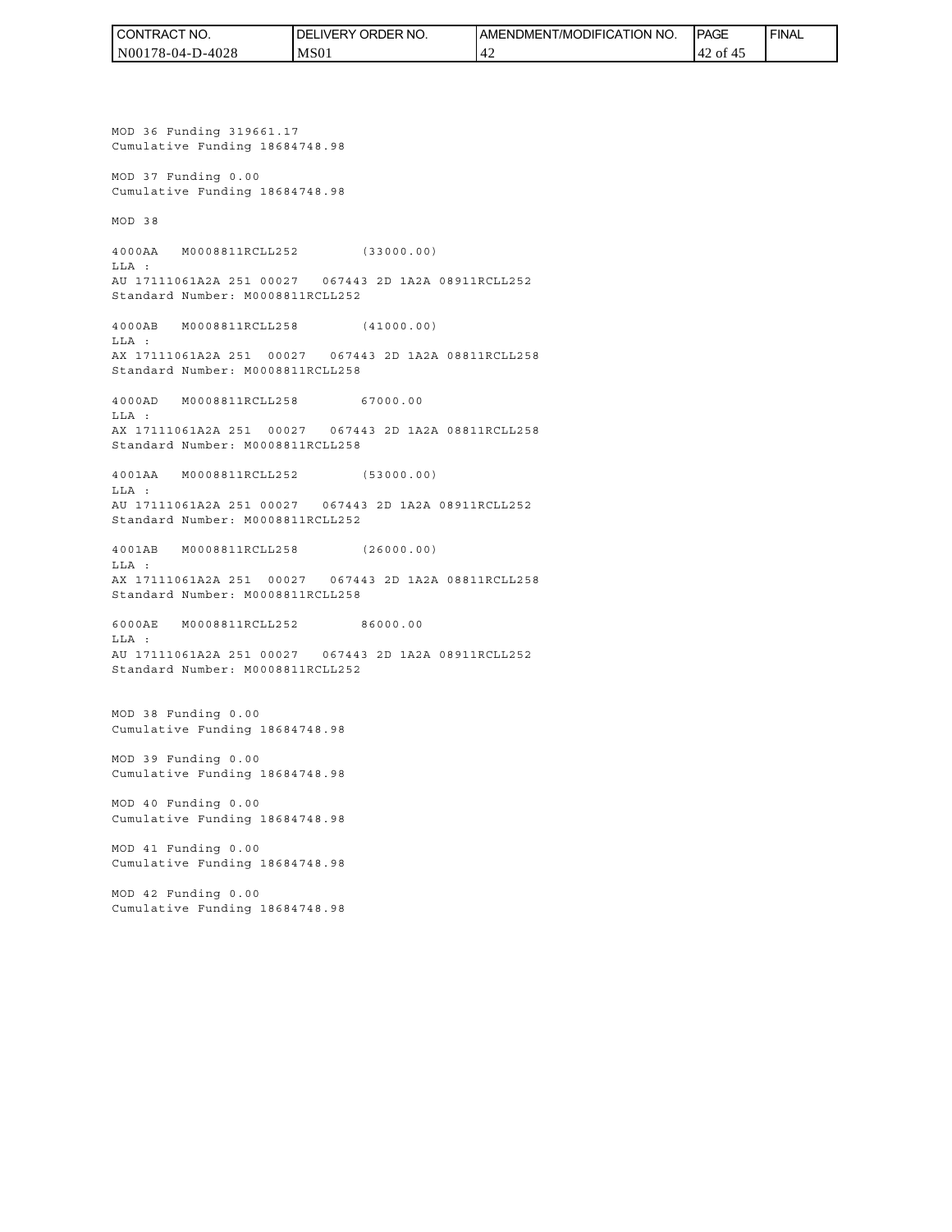| CONTRACT NO.     | <b>IDELIVERY ORDER NO.</b> | AMENDMENT/MODIFICATION NO. | <b>PAGE</b> | <b>FINAL</b> |
|------------------|----------------------------|----------------------------|-------------|--------------|
| N00178-04-D-4028 | MS <sub>01</sub>           |                            | '42 of 45   |              |

MOD 36 Funding 319661.17 Cumulative Funding 18684748.98 MOD 37 Funding 0.00 Cumulative Funding 18684748.98 MOD 38 4000AA M0008811RCLL252 (33000.00) LLA : AU 17111061A2A 251 00027 067443 2D 1A2A 08911RCLL252 Standard Number: M0008811RCLL252 4000AB M0008811RCLL258 (41000.00) LLA : AX 17111061A2A 251 00027 067443 2D 1A2A 08811RCLL258 Standard Number: M0008811RCLL258 4000AD M0008811RCLL258 67000.00 LLA : AX 17111061A2A 251 00027 067443 2D 1A2A 08811RCLL258 Standard Number: M0008811RCLL258 4001AA M0008811RCLL252 (53000.00) LLA : AU 17111061A2A 251 00027 067443 2D 1A2A 08911RCLL252 Standard Number: M0008811RCLL252 4001AB M0008811RCLL258 (26000.00)  $T.T.A$  : AX 17111061A2A 251 00027 067443 2D 1A2A 08811RCLL258 Standard Number: M0008811RCLL258 6000AE M0008811RCLL252 86000.00 LLA : AU 17111061A2A 251 00027 067443 2D 1A2A 08911RCLL252 Standard Number: M0008811RCLL252 MOD 38 Funding 0.00 Cumulative Funding 18684748.98 MOD 39 Funding 0.00 Cumulative Funding 18684748.98 MOD 40 Funding 0.00 Cumulative Funding 18684748.98 MOD 41 Funding 0.00 Cumulative Funding 18684748.98 MOD 42 Funding 0.00 Cumulative Funding 18684748.98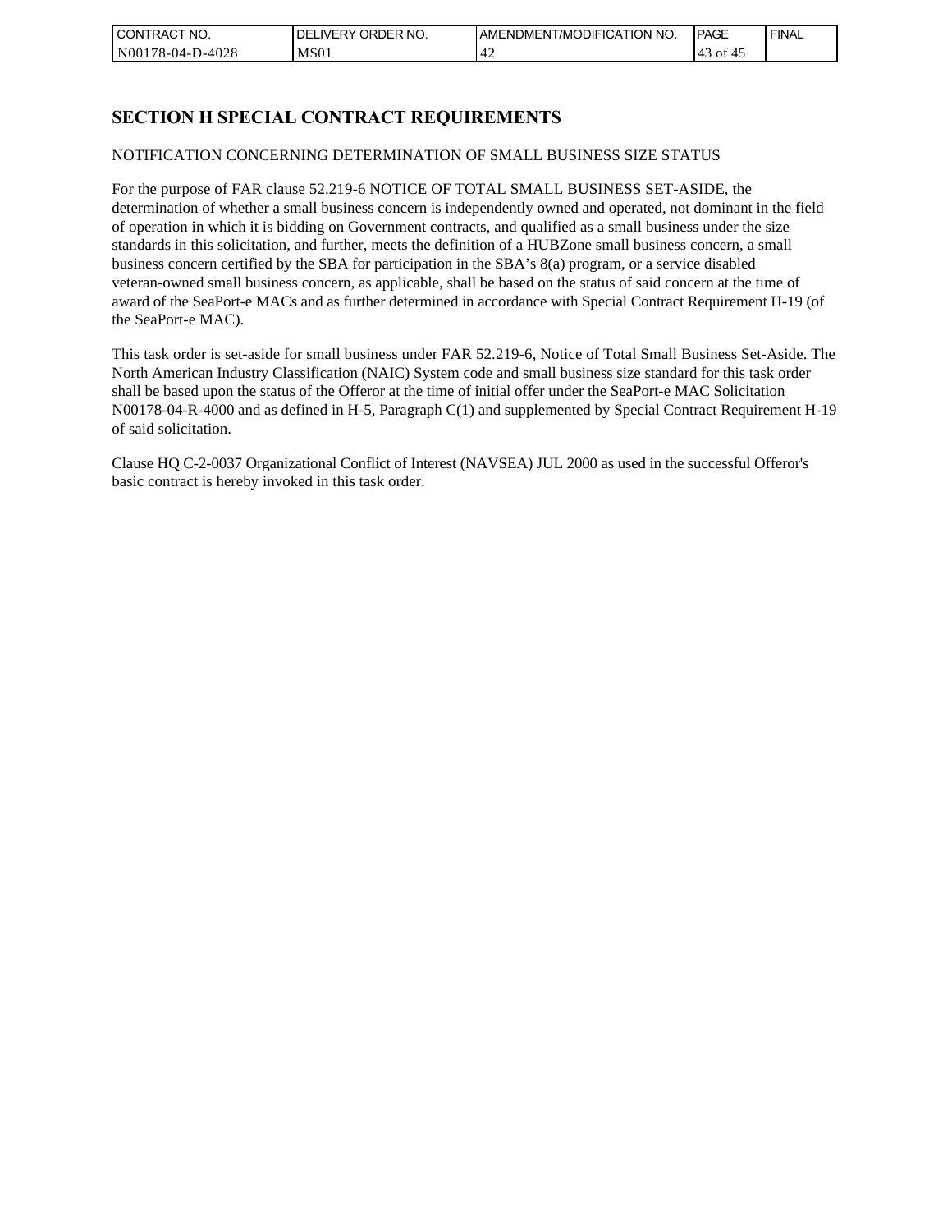| CONTRACT NO.     | <b>IDELIVERY ORDER NO.</b> | <b>IAMENDMENT/MODIFICATION NO.</b> | <b>IPAGE</b> | <b>FINAL</b> |
|------------------|----------------------------|------------------------------------|--------------|--------------|
| N00178-04-D-4028 | MS01                       | '42                                | 143 of 45    |              |

## **SECTION H SPECIAL CONTRACT REQUIREMENTS**

### NOTIFICATION CONCERNING DETERMINATION OF SMALL BUSINESS SIZE STATUS

For the purpose of FAR clause 52.219-6 NOTICE OF TOTAL SMALL BUSINESS SET-ASIDE, the determination of whether a small business concern is independently owned and operated, not dominant in the field of operation in which it is bidding on Government contracts, and qualified as a small business under the size standards in this solicitation, and further, meets the definition of a HUBZone small business concern, a small business concern certified by the SBA for participation in the SBA's 8(a) program, or a service disabled veteran-owned small business concern, as applicable, shall be based on the status of said concern at the time of award of the SeaPort-e MACs and as further determined in accordance with Special Contract Requirement H-19 (of the SeaPort-e MAC).

This task order is set-aside for small business under FAR 52.219-6, Notice of Total Small Business Set-Aside. The North American Industry Classification (NAIC) System code and small business size standard for this task order shall be based upon the status of the Offeror at the time of initial offer under the SeaPort-e MAC Solicitation N00178-04-R-4000 and as defined in H-5, Paragraph C(1) and supplemented by Special Contract Requirement H-19 of said solicitation.

Clause HQ C-2-0037 Organizational Conflict of Interest (NAVSEA) JUL 2000 as used in the successful Offeror's basic contract is hereby invoked in this task order.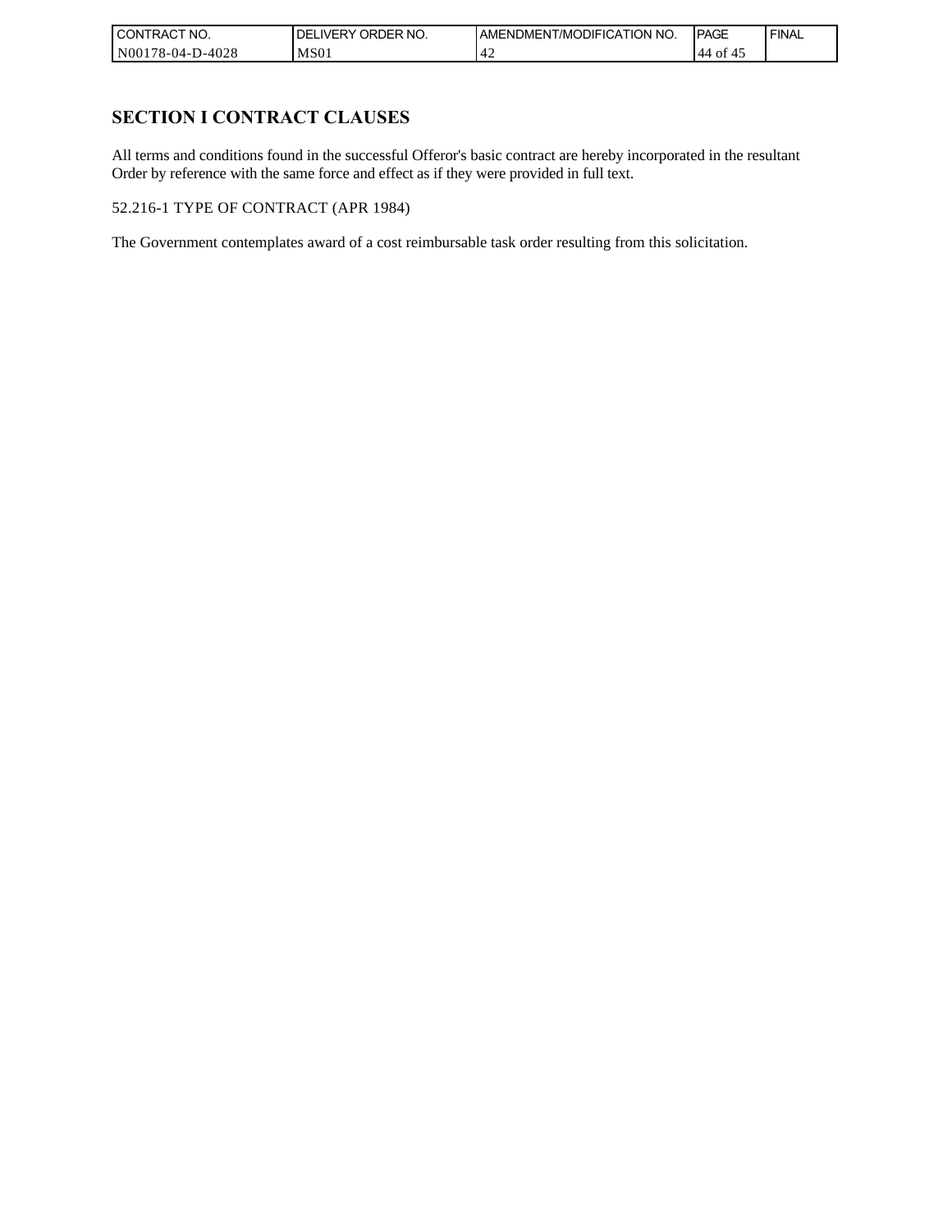| l CON<br>'TRACT NO. | 'NO.<br><b>ORDER</b><br>DELI'<br>IVERY | AMENDMENT/MODIFICATION NO. | <b>IPAGE</b> | <b>FINAL</b> |
|---------------------|----------------------------------------|----------------------------|--------------|--------------|
| N00178-04-D-4028    | MS <sub>01</sub>                       | ГД                         | .44 of       |              |

## **SECTION I CONTRACT CLAUSES**

All terms and conditions found in the successful Offeror's basic contract are hereby incorporated in the resultant Order by reference with the same force and effect as if they were provided in full text.

52.216-1 TYPE OF CONTRACT (APR 1984)

The Government contemplates award of a cost reimbursable task order resulting from this solicitation.